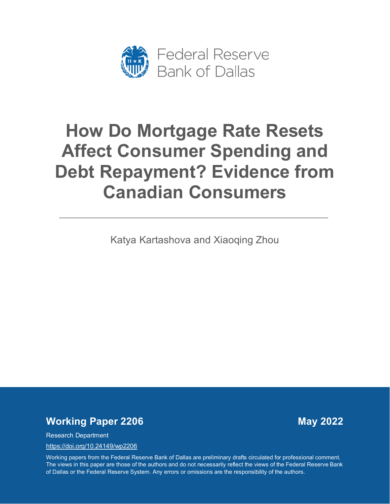

# **How Do Mortgage Rate Resets Affect Consumer Spending and Debt Repayment? Evidence from Canadian Consumers**

Katya Kartashova and Xiaoqing Zhou

# *Working Paper 2206* May 2022

Research Department

<https://doi.org/10.24149/wp2206>

Working papers from the Federal Reserve Bank of Dallas are preliminary drafts circulated for professional comment. The views in this paper are those of the authors and do not necessarily reflect the views of the Federal Reserve Bank of Dallas or the Federal Reserve System. Any errors or omissions are the responsibility of the authors.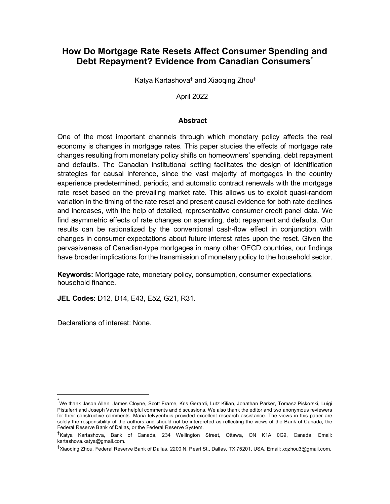# **How Do Mortgage Rate Resets Affect Consumer Spending and Debt Repayment? Evidence from Canadian Consumers[\\*](#page-1-0)**

Katya Kartashova† and Xiaoqing Zhou‡

April 2022

# **Abstract**

One of the most important channels through which monetary policy affects the real economy is changes in mortgage rates. This paper studies the effects of mortgage rate changes resulting from monetary policy shifts on homeowners' spending, debt repayment and defaults. The Canadian institutional setting facilitates the design of identification strategies for causal inference, since the vast majority of mortgages in the country experience predetermined, periodic, and automatic contract renewals with the mortgage rate reset based on the prevailing market rate. This allows us to exploit quasi-random variation in the timing of the rate reset and present causal evidence for both rate declines and increases, with the help of detailed, representative consumer credit panel data. We find asymmetric effects of rate changes on spending, debt repayment and defaults. Our results can be rationalized by the conventional cash-flow effect in conjunction with changes in consumer expectations about future interest rates upon the reset. Given the pervasiveness of Canadian-type mortgages in many other OECD countries, our findings have broader implications for the transmission of monetary policy to the household sector.

**Keywords:** Mortgage rate, monetary policy, consumption, consumer expectations, household finance.

**JEL Codes**: D12, D14, E43, E52, G21, R31.

Declarations of interest: None.

<span id="page-1-0"></span><sup>\*</sup> We thank Jason Allen, James Cloyne, Scott Frame, Kris Gerardi, Lutz Kilian, Jonathan Parker, Tomasz Piskorski, Luigi Pistaferri and Joseph Vavra for helpful comments and discussions. We also thank the editor and two anonymous reviewers for their constructive comments. Maria teNyenhuis provided excellent research assistance. The views in this paper are solely the responsibility of the authors and should not be interpreted as reflecting the views of the Bank of Canada, the Federal Reserve Bank of Dallas, or the Federal Reserve System.

<sup>&</sup>lt;sup>†</sup>Katva Kartashova, Bank of Canada, 234 Wellington Street, Ottawa, ON K1A 0G9, Canada, Email: [kartashova.katya@gmail.com.](mailto:kartashova.katya@gmail.com) 

<sup>‡</sup> Xiaoqing Zhou, Federal Reserve Bank of Dallas, 2200 N. Pearl St., Dallas, TX 75201, USA. Email: [xqzhou3@gmail.com.](mailto:xqzhou3@gmail.com)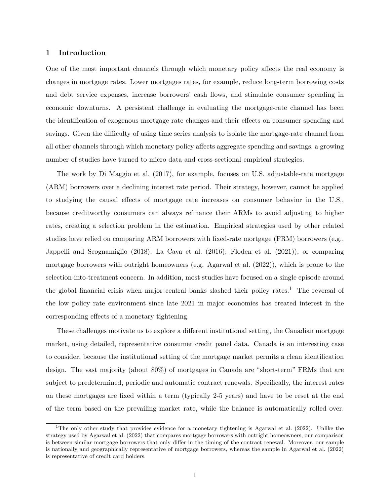# **1 Introduction**

One of the most important channels through which monetary policy affects the real economy is changes in mortgage rates. Lower mortgages rates, for example, reduce long-term borrowing costs and debt service expenses, increase borrowers' cash flows, and stimulate consumer spending in economic downturns. A persistent challenge in evaluating the mortgage-rate channel has been the identification of exogenous mortgage rate changes and their effects on consumer spending and savings. Given the difficulty of using time series analysis to isolate the mortgage-rate channel from all other channels through which monetary policy affects aggregate spending and savings, a growing number of studies have turned to micro data and cross-sectional empirical strategies.

The work by [Di Maggio et al.](#page-34-0) [\(2017\)](#page-34-0), for example, focuses on U.S. adjustable-rate mortgage (ARM) borrowers over a declining interest rate period. Their strategy, however, cannot be applied to studying the causal effects of mortgage rate increases on consumer behavior in the U.S., because creditworthy consumers can always refinance their ARMs to avoid adjusting to higher rates, creating a selection problem in the estimation. Empirical strategies used by other related studies have relied on comparing ARM borrowers with fixed-rate mortgage (FRM) borrowers (e.g., [Jappelli and Scognamiglio](#page-35-0) [\(2018\)](#page-35-0); [La Cava et al.](#page-35-1) [\(2016\)](#page-35-1); [Floden et al.](#page-34-1) [\(2021\)](#page-34-1)), or comparing mortgage borrowers with outright homeowners (e.g. [Agarwal et al.](#page-33-0) [\(2022\)](#page-33-0)), which is prone to the selection-into-treatment concern. In addition, most studies have focused on a single episode around the global financial crisis when major central banks slashed their policy rates.<sup>1</sup> The reversal of the low policy rate environment since late 2021 in major economies has created interest in the corresponding effects of a monetary tightening.

These challenges motivate us to explore a different institutional setting, the Canadian mortgage market, using detailed, representative consumer credit panel data. Canada is an interesting case to consider, because the institutional setting of the mortgage market permits a clean identification design. The vast majority (about 80%) of mortgages in Canada are "short-term" FRMs that are subject to predetermined, periodic and automatic contract renewals. Specifically, the interest rates on these mortgages are fixed within a term (typically 2-5 years) and have to be reset at the end of the term based on the prevailing market rate, while the balance is automatically rolled over.

<sup>1</sup>The only other study that provides evidence for a monetary tightening is [Agarwal et al.](#page-33-0) [\(2022\)](#page-33-0). Unlike the strategy used by [Agarwal et al.](#page-33-0) [\(2022\)](#page-33-0) that compares mortgage borrowers with outright homeowners, our comparison is between similar mortgage borrowers that only differ in the timing of the contract renewal. Moreover, our sample is nationally and geographically representative of mortgage borrowers, whereas the sample in [Agarwal et al.](#page-33-0) [\(2022\)](#page-33-0) is representative of credit card holders.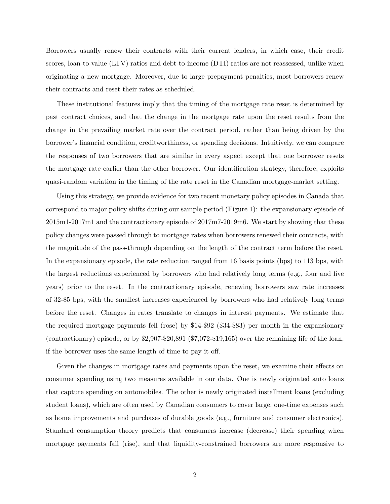Borrowers usually renew their contracts with their current lenders, in which case, their credit scores, loan-to-value (LTV) ratios and debt-to-income (DTI) ratios are not reassessed, unlike when originating a new mortgage. Moreover, due to large prepayment penalties, most borrowers renew their contracts and reset their rates as scheduled.

These institutional features imply that the timing of the mortgage rate reset is determined by past contract choices, and that the change in the mortgage rate upon the reset results from the change in the prevailing market rate over the contract period, rather than being driven by the borrower's financial condition, creditworthiness, or spending decisions. Intuitively, we can compare the responses of two borrowers that are similar in every aspect except that one borrower resets the mortgage rate earlier than the other borrower. Our identification strategy, therefore, exploits quasi-random variation in the timing of the rate reset in the Canadian mortgage-market setting.

Using this strategy, we provide evidence for two recent monetary policy episodes in Canada that correspond to major policy shifts during our sample period (Figure [1\)](#page-37-0): the expansionary episode of 2015m1-2017m1 and the contractionary episode of 2017m7-2019m6. We start by showing that these policy changes were passed through to mortgage rates when borrowers renewed their contracts, with the magnitude of the pass-through depending on the length of the contract term before the reset. In the expansionary episode, the rate reduction ranged from 16 basis points (bps) to 113 bps, with the largest reductions experienced by borrowers who had relatively long terms (e.g., four and five years) prior to the reset. In the contractionary episode, renewing borrowers saw rate increases of 32-85 bps, with the smallest increases experienced by borrowers who had relatively long terms before the reset. Changes in rates translate to changes in interest payments. We estimate that the required mortgage payments fell (rose) by \$14-\$92 (\$34-\$83) per month in the expansionary (contractionary) episode, or by \$2,907-\$20,891 (\$7,072-\$19,165) over the remaining life of the loan, if the borrower uses the same length of time to pay it off.

Given the changes in mortgage rates and payments upon the reset, we examine their effects on consumer spending using two measures available in our data. One is newly originated auto loans that capture spending on automobiles. The other is newly originated installment loans (excluding student loans), which are often used by Canadian consumers to cover large, one-time expenses such as home improvements and purchases of durable goods (e.g., furniture and consumer electronics). Standard consumption theory predicts that consumers increase (decrease) their spending when mortgage payments fall (rise), and that liquidity-constrained borrowers are more responsive to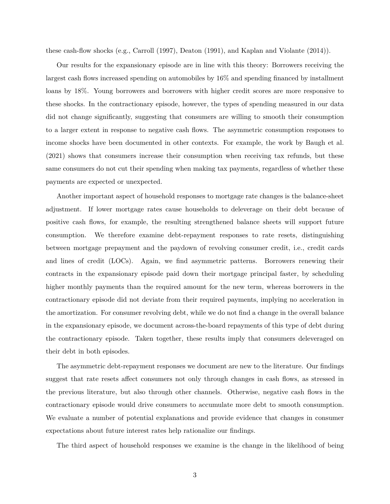these cash-flow shocks (e.g., [Carroll](#page-34-2) [\(1997\)](#page-34-2), [Deaton](#page-34-3) [\(1991\)](#page-34-3), and [Kaplan and Violante](#page-35-2) [\(2014\)](#page-35-2)).

Our results for the expansionary episode are in line with this theory: Borrowers receiving the largest cash flows increased spending on automobiles by 16% and spending financed by installment loans by 18%. Young borrowers and borrowers with higher credit scores are more responsive to these shocks. In the contractionary episode, however, the types of spending measured in our data did not change significantly, suggesting that consumers are willing to smooth their consumption to a larger extent in response to negative cash flows. The asymmetric consumption responses to income shocks have been documented in other contexts. For example, the work by [Baugh et al.](#page-34-4) [\(2021\)](#page-34-4) shows that consumers increase their consumption when receiving tax refunds, but these same consumers do not cut their spending when making tax payments, regardless of whether these payments are expected or unexpected.

Another important aspect of household responses to mortgage rate changes is the balance-sheet adjustment. If lower mortgage rates cause households to deleverage on their debt because of positive cash flows, for example, the resulting strengthened balance sheets will support future consumption. We therefore examine debt-repayment responses to rate resets, distinguishing between mortgage prepayment and the paydown of revolving consumer credit, i.e., credit cards and lines of credit (LOCs). Again, we find asymmetric patterns. Borrowers renewing their contracts in the expansionary episode paid down their mortgage principal faster, by scheduling higher monthly payments than the required amount for the new term, whereas borrowers in the contractionary episode did not deviate from their required payments, implying no acceleration in the amortization. For consumer revolving debt, while we do not find a change in the overall balance in the expansionary episode, we document across-the-board repayments of this type of debt during the contractionary episode. Taken together, these results imply that consumers deleveraged on their debt in both episodes.

The asymmetric debt-repayment responses we document are new to the literature. Our findings suggest that rate resets affect consumers not only through changes in cash flows, as stressed in the previous literature, but also through other channels. Otherwise, negative cash flows in the contractionary episode would drive consumers to accumulate more debt to smooth consumption. We evaluate a number of potential explanations and provide evidence that changes in consumer expectations about future interest rates help rationalize our findings.

The third aspect of household responses we examine is the change in the likelihood of being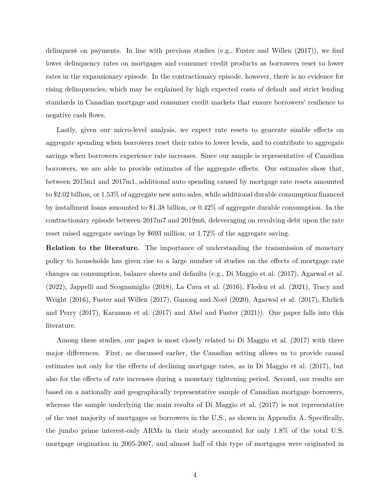delinquent on payments. In line with previous studies (e.g., [Fuster and Willen](#page-34-5) [\(2017\)](#page-34-5)), we find lower delinquency rates on mortgages and consumer credit products as borrowers reset to lower rates in the expansionary episode. In the contractionary episode, however, there is no evidence for rising delinquencies, which may be explained by high expected costs of default and strict lending standards in Canadian mortgage and consumer credit markets that ensure borrowers' resilience to negative cash flows.

Lastly, given our micro-level analysis, we expect rate resets to generate sizable effects on aggregate spending when borrowers reset their rates to lower levels, and to contribute to aggregate savings when borrowers experience rate increases. Since our sample is representative of Canadian borrowers, we are able to provide estimates of the aggregate effects. Our estimates show that, between 2015m1 and 2017m1, additional auto spending caused by mortgage rate resets amounted to \$2.02 billion, or 1.53% of aggregate new auto sales, while additional durable consumption financed by installment loans amounted to \$1.38 billion, or 0.42% of aggregate durable consumption. In the contractionary episode between 2017m7 and 2019m6, deleveraging on revolving debt upon the rate reset raised aggregate savings by \$693 million, or 1.72% of the aggregate saving.

**Relation to the literature.** The importance of understanding the transmission of monetary policy to households has given rise to a large number of studies on the effects of mortgage rate changes on consumption, balance sheets and defaults (e.g., [Di Maggio et al.](#page-34-0) [\(2017\)](#page-34-0), [Agarwal et al.](#page-33-0) [\(2022\)](#page-33-0), [Jappelli and Scognamiglio](#page-35-0) [\(2018\)](#page-35-0), [La Cava et al.](#page-35-1) [\(2016\)](#page-35-1), [Floden et al.](#page-34-1) [\(2021\)](#page-34-1), [Tracy and](#page-36-0) [Wright](#page-36-0) [\(2016\)](#page-36-0), [Fuster and Willen](#page-34-5) [\(2017\)](#page-34-5), [Ganong and Noel](#page-35-3) [\(2020\)](#page-35-3), [Agarwal et al.](#page-33-1) [\(2017\)](#page-33-1), [Ehrlich](#page-34-6) [and Perry](#page-34-6) [\(2017\)](#page-34-6), [Karamon et al.](#page-35-4) [\(2017\)](#page-35-4) and [Abel and Fuster](#page-33-2) [\(2021\)](#page-33-2)). Our paper falls into this literature.

Among these studies, our paper is most closely related to [Di Maggio et al.](#page-34-0) [\(2017\)](#page-34-0) with three major differences. First, as discussed earlier, the Canadian setting allows us to provide causal estimates not only for the effects of declining mortgage rates, as in [Di Maggio et al.](#page-34-0) [\(2017\)](#page-34-0), but also for the effects of rate increases during a monetary tightening period. Second, our results are based on a nationally and geographically representative sample of Canadian mortgage borrowers, whereas the sample underlying the main results of [Di Maggio et al.](#page-34-0) [\(2017\)](#page-34-0) is not representative of the vast majority of mortgages or borrowers in the U.S., as shown in Appendix A. Specifically, the jumbo prime interest-only ARMs in their study accounted for only 1.8% of the total U.S. mortgage origination in 2005-2007, and almost half of this type of mortgages were originated in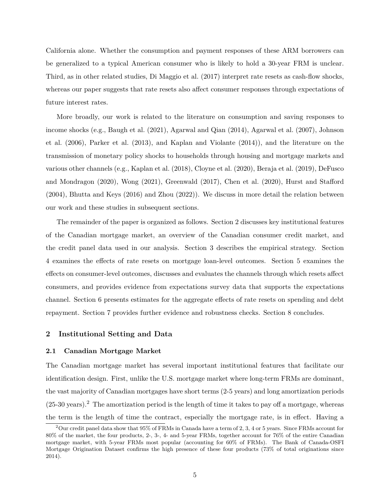California alone. Whether the consumption and payment responses of these ARM borrowers can be generalized to a typical American consumer who is likely to hold a 30-year FRM is unclear. Third, as in other related studies, [Di Maggio et al.](#page-34-0) [\(2017\)](#page-34-0) interpret rate resets as cash-flow shocks, whereas our paper suggests that rate resets also affect consumer responses through expectations of future interest rates.

More broadly, our work is related to the literature on consumption and saving responses to income shocks (e.g., [Baugh et al.](#page-34-4) [\(2021\)](#page-34-4), [Agarwal and Qian](#page-33-3) [\(2014\)](#page-33-3), [Agarwal et al.](#page-33-4) [\(2007\)](#page-33-4), [Johnson](#page-35-5) [et al.](#page-35-5) [\(2006\)](#page-35-5), [Parker et al.](#page-35-6) [\(2013\)](#page-35-6), and [Kaplan and Violante](#page-35-2) [\(2014\)](#page-35-2)), and the literature on the transmission of monetary policy shocks to households through housing and mortgage markets and various other channels (e.g., [Kaplan et al.](#page-35-7) [\(2018\)](#page-35-7), [Cloyne et al.](#page-34-7) [\(2020\)](#page-34-7), [Beraja et al.](#page-34-8) [\(2019\)](#page-34-8), [DeFusco](#page-34-9) [and Mondragon](#page-34-9) [\(2020\)](#page-34-9), [Wong](#page-36-1) [\(2021\)](#page-36-1), [Greenwald](#page-35-8) [\(2017\)](#page-35-8), [Chen et al.](#page-34-10) [\(2020\)](#page-34-10), [Hurst and Stafford](#page-35-9) [\(2004\)](#page-35-9), [Bhutta and Keys](#page-34-11) [\(2016\)](#page-34-11) and [Zhou](#page-36-2) [\(2022\)](#page-36-2)). We discuss in more detail the relation between our work and these studies in subsequent sections.

The remainder of the paper is organized as follows. Section 2 discusses key institutional features of the Canadian mortgage market, an overview of the Canadian consumer credit market, and the credit panel data used in our analysis. Section 3 describes the empirical strategy. Section 4 examines the effects of rate resets on mortgage loan-level outcomes. Section 5 examines the effects on consumer-level outcomes, discusses and evaluates the channels through which resets affect consumers, and provides evidence from expectations survey data that supports the expectations channel. Section 6 presents estimates for the aggregate effects of rate resets on spending and debt repayment. Section 7 provides further evidence and robustness checks. Section 8 concludes.

# **2 Institutional Setting and Data**

#### **2.1 Canadian Mortgage Market**

The Canadian mortgage market has several important institutional features that facilitate our identification design. First, unlike the U.S. mortgage market where long-term FRMs are dominant, the vast majority of Canadian mortgages have short terms (2-5 years) and long amortization periods  $(25-30 \text{ years})$ .<sup>2</sup> The amortization period is the length of time it takes to pay off a mortgage, whereas the term is the length of time the contract, especially the mortgage rate, is in effect. Having a

<sup>&</sup>lt;sup>2</sup>Our credit panel data show that 95% of FRMs in Canada have a term of 2, 3, 4 or 5 years. Since FRMs account for 80% of the market, the four products, 2-, 3-, 4- and 5-year FRMs, together account for 76% of the entire Canadian mortgage market, with 5-year FRMs most popular (accounting for 60% of FRMs). The Bank of Canada-OSFI Mortgage Origination Dataset confirms the high presence of these four products (73% of total originations since 2014).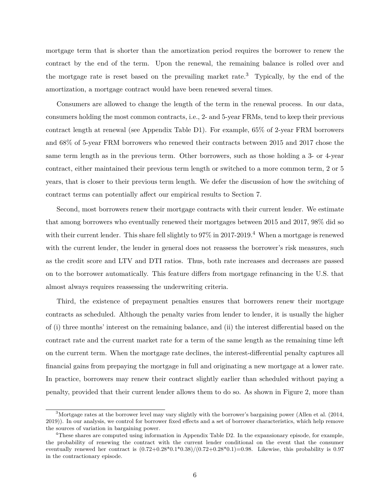mortgage term that is shorter than the amortization period requires the borrower to renew the contract by the end of the term. Upon the renewal, the remaining balance is rolled over and the mortgage rate is reset based on the prevailing market rate.<sup>3</sup> Typically, by the end of the amortization, a mortgage contract would have been renewed several times.

Consumers are allowed to change the length of the term in the renewal process. In our data, consumers holding the most common contracts, i.e., 2- and 5-year FRMs, tend to keep their previous contract length at renewal (see Appendix Table [D1\)](#page-58-0). For example, 65% of 2-year FRM borrowers and 68% of 5-year FRM borrowers who renewed their contracts between 2015 and 2017 chose the same term length as in the previous term. Other borrowers, such as those holding a 3- or 4-year contract, either maintained their previous term length or switched to a more common term, 2 or 5 years, that is closer to their previous term length. We defer the discussion of how the switching of contract terms can potentially affect our empirical results to Section 7.

Second, most borrowers renew their mortgage contracts with their current lender. We estimate that among borrowers who eventually renewed their mortgages between 2015 and 2017, 98% did so with their current lender. This share fell slightly to  $97\%$  in  $2017$ -2019.<sup>4</sup> When a mortgage is renewed with the current lender, the lender in general does not reassess the borrower's risk measures, such as the credit score and LTV and DTI ratios. Thus, both rate increases and decreases are passed on to the borrower automatically. This feature differs from mortgage refinancing in the U.S. that almost always requires reassessing the underwriting criteria.

Third, the existence of prepayment penalties ensures that borrowers renew their mortgage contracts as scheduled. Although the penalty varies from lender to lender, it is usually the higher of (i) three months' interest on the remaining balance, and (ii) the interest differential based on the contract rate and the current market rate for a term of the same length as the remaining time left on the current term. When the mortgage rate declines, the interest-differential penalty captures all financial gains from prepaying the mortgage in full and originating a new mortgage at a lower rate. In practice, borrowers may renew their contract slightly earlier than scheduled without paying a penalty, provided that their current lender allows them to do so. As shown in Figure [2,](#page-37-1) more than

<sup>&</sup>lt;sup>3</sup>Mortgage rates at the borrower level may vary slightly with the borrower's bargaining power [\(Allen et al.](#page-33-5) [\(2014,](#page-33-5) [2019\)](#page-33-6)). In our analysis, we control for borrower fixed effects and a set of borrower characteristics, which help remove the sources of variation in bargaining power.

<sup>&</sup>lt;sup>4</sup>These shares are computed using information in Appendix Table [D2.](#page-59-0) In the expansionary episode, for example, the probability of renewing the contract with the current lender conditional on the event that the consumer eventually renewed her contract is  $(0.72+0.28*0.1*0.38)/(0.72+0.28*0.1)=0.98$ . Likewise, this probability is 0.97 in the contractionary episode.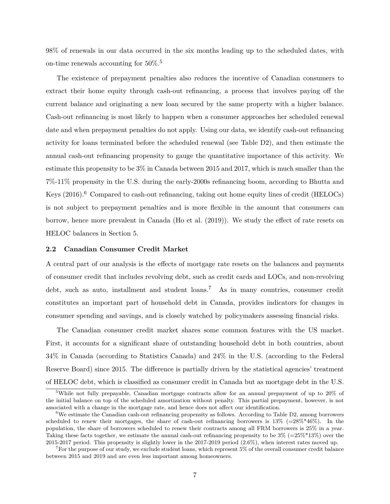98% of renewals in our data occurred in the six months leading up to the scheduled dates, with on-time renewals accounting for 50%.<sup>5</sup>

The existence of prepayment penalties also reduces the incentive of Canadian consumers to extract their home equity through cash-out refinancing, a process that involves paying off the current balance and originating a new loan secured by the same property with a higher balance. Cash-out refinancing is most likely to happen when a consumer approaches her scheduled renewal date and when prepayment penalties do not apply. Using our data, we identify cash-out refinancing activity for loans terminated before the scheduled renewal (see Table [D2\)](#page-59-0), and then estimate the annual cash-out refinancing propensity to gauge the quantitative importance of this activity. We estimate this propensity to be 3% in Canada between 2015 and 2017, which is much smaller than the 7%-11% propensity in the U.S. during the early-2000s refinancing boom, according to [Bhutta and](#page-34-11) [Keys](#page-34-11)  $(2016)$ .<sup>6</sup> Compared to cash-out refinancing, taking out home equity lines of credit (HELOCs) is not subject to prepayment penalties and is more flexible in the amount that consumers can borrow, hence more prevalent in Canada [\(Ho et al.](#page-35-10) [\(2019\)](#page-35-10)). We study the effect of rate resets on HELOC balances in Section 5.

#### **2.2 Canadian Consumer Credit Market**

A central part of our analysis is the effects of mortgage rate resets on the balances and payments of consumer credit that includes revolving debt, such as credit cards and LOCs, and non-revolving debt, such as auto, installment and student  $\alpha$ .<sup>7</sup> As in many countries, consumer credit constitutes an important part of household debt in Canada, provides indicators for changes in consumer spending and savings, and is closely watched by policymakers assessing financial risks.

The Canadian consumer credit market shares some common features with the US market. First, it accounts for a significant share of outstanding household debt in both countries, about 34% in Canada (according to Statistics Canada) and 24% in the U.S. (according to the Federal Reserve Board) since 2015. The difference is partially driven by the statistical agencies' treatment of HELOC debt, which is classified as consumer credit in Canada but as mortgage debt in the U.S.

<sup>&</sup>lt;sup>5</sup>While not fully prepayable, Canadian mortgage contracts allow for an annual prepayment of up to 20% of the initial balance on top of the scheduled amortization without penalty. This partial prepayment, however, is not associated with a change in the mortgage rate, and hence does not affect our identification.

 $6$ We estimate the Canadian cash-out refinancing propensity as follows. According to Table [D2,](#page-59-0) among borrowers scheduled to renew their mortgages, the share of cash-out refinancing borrowers is  $13\%$  (=28%\*46%). In the population, the share of borrowers scheduled to renew their contracts among all FRM borrowers is 25% in a year. Taking these facts together, we estimate the annual cash-out refinancing propensity to be  $3\%$  (=25%\*13%) over the 2015-2017 period. This propensity is slightly lower in the 2017-2019 period (2.6%), when interest rates moved up.

<sup>&</sup>lt;sup>7</sup>For the purpose of our study, we exclude student loans, which represent 5% of the overall consumer credit balance between 2015 and 2019 and are even less important among homeowners.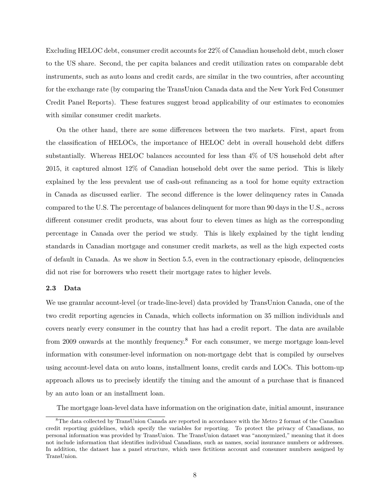Excluding HELOC debt, consumer credit accounts for 22% of Canadian household debt, much closer to the US share. Second, the per capita balances and credit utilization rates on comparable debt instruments, such as auto loans and credit cards, are similar in the two countries, after accounting for the exchange rate (by comparing the TransUnion Canada data and the New York Fed Consumer Credit Panel Reports). These features suggest broad applicability of our estimates to economies with similar consumer credit markets.

On the other hand, there are some differences between the two markets. First, apart from the classification of HELOCs, the importance of HELOC debt in overall household debt differs substantially. Whereas HELOC balances accounted for less than 4% of US household debt after 2015, it captured almost 12% of Canadian household debt over the same period. This is likely explained by the less prevalent use of cash-out refinancing as a tool for home equity extraction in Canada as discussed earlier. The second difference is the lower delinquency rates in Canada compared to the U.S. The percentage of balances delinquent for more than 90 days in the U.S., across different consumer credit products, was about four to eleven times as high as the corresponding percentage in Canada over the period we study. This is likely explained by the tight lending standards in Canadian mortgage and consumer credit markets, as well as the high expected costs of default in Canada. As we show in Section 5.5, even in the contractionary episode, delinquencies did not rise for borrowers who resett their mortgage rates to higher levels.

# **2.3 Data**

We use granular account-level (or trade-line-level) data provided by TransUnion Canada, one of the two credit reporting agencies in Canada, which collects information on 35 million individuals and covers nearly every consumer in the country that has had a credit report. The data are available from 2009 onwards at the monthly frequency.<sup>8</sup> For each consumer, we merge mortgage loan-level information with consumer-level information on non-mortgage debt that is compiled by ourselves using account-level data on auto loans, installment loans, credit cards and LOCs. This bottom-up approach allows us to precisely identify the timing and the amount of a purchase that is financed by an auto loan or an installment loan.

The mortgage loan-level data have information on the origination date, initial amount, insurance

<sup>&</sup>lt;sup>8</sup>The data collected by TransUnion Canada are reported in accordance with the Metro 2 format of the Canadian credit reporting guidelines, which specify the variables for reporting. To protect the privacy of Canadians, no personal information was provided by TransUnion. The TransUnion dataset was "anonymized," meaning that it does not include information that identifies individual Canadians, such as names, social insurance numbers or addresses. In addition, the dataset has a panel structure, which uses fictitious account and consumer numbers assigned by TransUnion.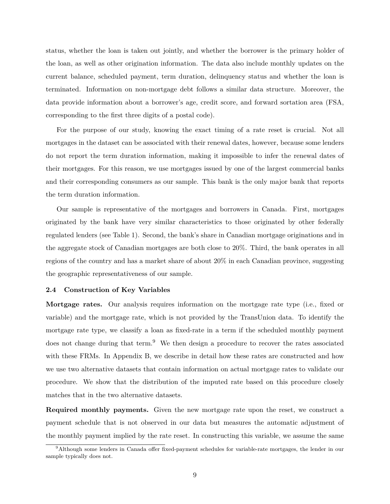status, whether the loan is taken out jointly, and whether the borrower is the primary holder of the loan, as well as other origination information. The data also include monthly updates on the current balance, scheduled payment, term duration, delinquency status and whether the loan is terminated. Information on non-mortgage debt follows a similar data structure. Moreover, the data provide information about a borrower's age, credit score, and forward sortation area (FSA, corresponding to the first three digits of a postal code).

For the purpose of our study, knowing the exact timing of a rate reset is crucial. Not all mortgages in the dataset can be associated with their renewal dates, however, because some lenders do not report the term duration information, making it impossible to infer the renewal dates of their mortgages. For this reason, we use mortgages issued by one of the largest commercial banks and their corresponding consumers as our sample. This bank is the only major bank that reports the term duration information.

Our sample is representative of the mortgages and borrowers in Canada. First, mortgages originated by the bank have very similar characteristics to those originated by other federally regulated lenders (see Table [1\)](#page-41-0). Second, the bank's share in Canadian mortgage originations and in the aggregate stock of Canadian mortgages are both close to 20%. Third, the bank operates in all regions of the country and has a market share of about 20% in each Canadian province, suggesting the geographic representativeness of our sample.

#### **2.4 Construction of Key Variables**

**Mortgage rates.** Our analysis requires information on the mortgage rate type (i.e., fixed or variable) and the mortgage rate, which is not provided by the TransUnion data. To identify the mortgage rate type, we classify a loan as fixed-rate in a term if the scheduled monthly payment does not change during that term.<sup>9</sup> We then design a procedure to recover the rates associated with these FRMs. In Appendix B, we describe in detail how these rates are constructed and how we use two alternative datasets that contain information on actual mortgage rates to validate our procedure. We show that the distribution of the imputed rate based on this procedure closely matches that in the two alternative datasets.

**Required monthly payments.** Given the new mortgage rate upon the reset, we construct a payment schedule that is not observed in our data but measures the automatic adjustment of the monthly payment implied by the rate reset. In constructing this variable, we assume the same

<sup>9</sup>Although some lenders in Canada offer fixed-payment schedules for variable-rate mortgages, the lender in our sample typically does not.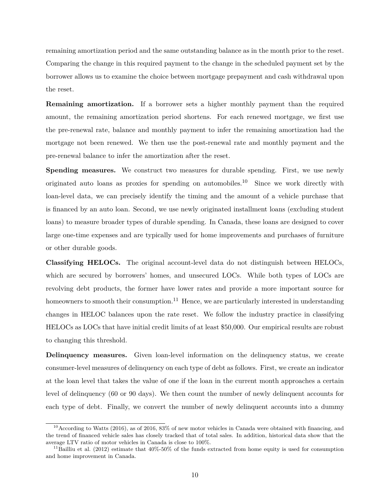remaining amortization period and the same outstanding balance as in the month prior to the reset. Comparing the change in this required payment to the change in the scheduled payment set by the borrower allows us to examine the choice between mortgage prepayment and cash withdrawal upon the reset.

**Remaining amortization.** If a borrower sets a higher monthly payment than the required amount, the remaining amortization period shortens. For each renewed mortgage, we first use the pre-renewal rate, balance and monthly payment to infer the remaining amortization had the mortgage not been renewed. We then use the post-renewal rate and monthly payment and the pre-renewal balance to infer the amortization after the reset.

**Spending measures.** We construct two measures for durable spending. First, we use newly originated auto loans as proxies for spending on automobiles.<sup>10</sup> Since we work directly with loan-level data, we can precisely identify the timing and the amount of a vehicle purchase that is financed by an auto loan. Second, we use newly originated installment loans (excluding student loans) to measure broader types of durable spending. In Canada, these loans are designed to cover large one-time expenses and are typically used for home improvements and purchases of furniture or other durable goods.

**Classifying HELOCs.** The original account-level data do not distinguish between HELOCs, which are secured by borrowers' homes, and unsecured LOCs. While both types of LOCs are revolving debt products, the former have lower rates and provide a more important source for homeowners to smooth their consumption.<sup>11</sup> Hence, we are particularly interested in understanding changes in HELOC balances upon the rate reset. We follow the industry practice in classifying HELOCs as LOCs that have initial credit limits of at least \$50,000. Our empirical results are robust to changing this threshold.

**Delinquency measures.** Given loan-level information on the delinquency status, we create consumer-level measures of delinquency on each type of debt as follows. First, we create an indicator at the loan level that takes the value of one if the loan in the current month approaches a certain level of delinquency (60 or 90 days). We then count the number of newly delinquent accounts for each type of debt. Finally, we convert the number of newly delinquent accounts into a dummy

<sup>&</sup>lt;sup>10</sup> According to [Watts](#page-36-3) [\(2016\)](#page-36-3), as of 2016, 83% of new motor vehicles in Canada were obtained with financing, and the trend of financed vehicle sales has closely tracked that of total sales. In addition, historical data show that the average LTV ratio of motor vehicles in Canada is close to 100%.

<sup>&</sup>lt;sup>11</sup>[Bailliu et al.](#page-34-12) [\(2012\)](#page-34-12) estimate that  $40\%$ -50% of the funds extracted from home equity is used for consumption and home improvement in Canada.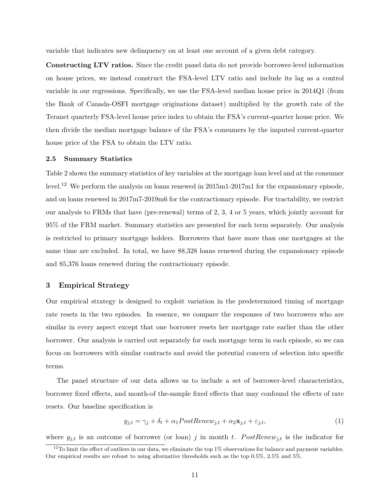variable that indicates new delinquency on at least one account of a given debt category.

**Constructing LTV ratios.** Since the credit panel data do not provide borrower-level information on house prices, we instead construct the FSA-level LTV ratio and include its lag as a control variable in our regressions. Specifically, we use the FSA-level median house price in 2014Q1 (from the Bank of Canada-OSFI mortgage originations dataset) multiplied by the growth rate of the Teranet quarterly FSA-level house price index to obtain the FSA's current-quarter house price. We then divide the median mortgage balance of the FSA's consumers by the imputed current-quarter house price of the FSA to obtain the LTV ratio.

# **2.5 Summary Statistics**

Table [2](#page-42-0) shows the summary statistics of key variables at the mortgage loan level and at the consumer level.<sup>12</sup> We perform the analysis on loans renewed in 2015m1-2017m1 for the expansionary episode, and on loans renewed in 2017m7-2019m6 for the contractionary episode. For tractability, we restrict our analysis to FRMs that have (pre-renewal) terms of 2, 3, 4 or 5 years, which jointly account for 95% of the FRM market. Summary statistics are presented for each term separately. Our analysis is restricted to primary mortgage holders. Borrowers that have more than one mortgages at the same time are excluded. In total, we have 88,328 loans renewed during the expansionary episode and 85,376 loans renewed during the contractionary episode.

# **3 Empirical Strategy**

Our empirical strategy is designed to exploit variation in the predetermined timing of mortgage rate resets in the two episodes. In essence, we compare the responses of two borrowers who are similar in every aspect except that one borrower resets her mortgage rate earlier than the other borrower. Our analysis is carried out separately for each mortgage term in each episode, so we can focus on borrowers with similar contracts and avoid the potential concern of selection into specific terms.

The panel structure of our data allows us to include a set of borrower-level characteristics, borrower fixed effects, and month-of the-sample fixed effects that may confound the effects of rate resets. Our baseline specification is

<span id="page-12-0"></span>
$$
y_{j,t} = \gamma_j + \delta_t + \alpha_1 PostRenew_{j,t} + \alpha_2 \mathbf{x}_{j,t} + \varepsilon_{j,t},\tag{1}
$$

where  $y_{j,t}$  is an outcome of borrower (or loan) *j* in month *t*.  $PostRemove_{j,t}$  is the indicator for

<sup>&</sup>lt;sup>12</sup>To limit the effect of outliers in our data, we eliminate the top  $1\%$  observations for balance and payment variables. Our empirical results are robust to using alternative thresholds such as the top 0.5%, 2.5% and 5%.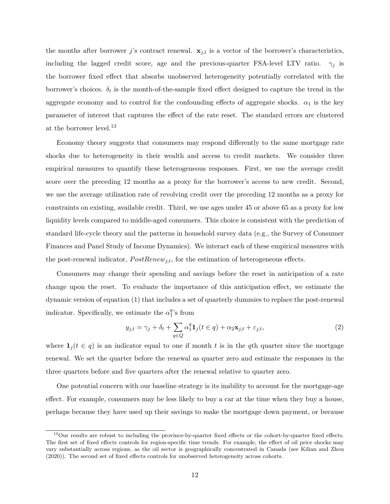the months after borrower *j*'s contract renewal.  $\mathbf{x}_{j,t}$  is a vector of the borrower's characteristics, including the lagged credit score, age and the previous-quarter FSA-level LTV ratio.  $\gamma_i$  is the borrower fixed effect that absorbs unobserved heterogeneity potentially correlated with the borrower's choices.  $\delta_t$  is the month-of-the-sample fixed effect designed to capture the trend in the aggregate economy and to control for the confounding effects of aggregate shocks.  $\alpha_1$  is the key parameter of interest that captures the effect of the rate reset. The standard errors are clustered at the borrower level.<sup>13</sup>

Economy theory suggests that consumers may respond differently to the same mortgage rate shocks due to heterogeneity in their wealth and access to credit markets. We consider three empirical measures to quantify these heterogeneous responses. First, we use the average credit score over the preceding 12 months as a proxy for the borrower's access to new credit. Second, we use the average utilization rate of revolving credit over the preceding 12 months as a proxy for constraints on existing, available credit. Third, we use ages under 45 or above 65 as a proxy for low liquidity levels compared to middle-aged consumers. This choice is consistent with the prediction of standard life-cycle theory and the patterns in household survey data (e.g., the Survey of Consumer Finances and Panel Study of Income Dynamics). We interact each of these empirical measures with the post-renewal indicator,  $PostRemove_{j,t}$ , for the estimation of heterogeneous effects.

Consumers may change their spending and savings before the reset in anticipation of a rate change upon the reset. To evaluate the importance of this anticipation effect, we estimate the dynamic version of equation [\(1\)](#page-12-0) that includes a set of quarterly dummies to replace the post-renewal indicator. Specifically, we estimate the  $\alpha_1^q$  $_1^q$ 's from

<span id="page-13-0"></span>
$$
y_{j,t} = \gamma_j + \delta_t + \sum_{q \in Q} \alpha_1^q \mathbf{1}_j(t \in q) + \alpha_2 \mathbf{x}_{j,t} + \varepsilon_{j,t},\tag{2}
$$

where  $\mathbf{1}_j(t \in q)$  is an indicator equal to one if month *t* is in the *q*th quarter since the mortgage renewal. We set the quarter before the renewal as quarter zero and estimate the responses in the three quarters before and five quarters after the renewal relative to quarter zero.

One potential concern with our baseline strategy is its inability to account for the mortgage-age effect. For example, consumers may be less likely to buy a car at the time when they buy a house, perhaps because they have used up their savings to make the mortgage down payment, or because

<sup>&</sup>lt;sup>13</sup>Our results are robust to including the province-by-quarter fixed effects or the cohort-by-quarter fixed effects. The first set of fixed effects controls for region-specific time trends. For example, the effect of oil price shocks may vary substantially across regions, as the oil sector is geographically concentrated in Canada (see [Kilian and Zhou](#page-35-11) [\(2020\)](#page-35-11)). The second set of fixed effects controls for unobserved heterogeneity across cohorts.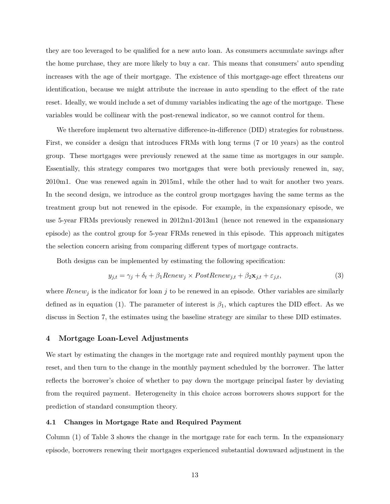they are too leveraged to be qualified for a new auto loan. As consumers accumulate savings after the home purchase, they are more likely to buy a car. This means that consumers' auto spending increases with the age of their mortgage. The existence of this mortgage-age effect threatens our identification, because we might attribute the increase in auto spending to the effect of the rate reset. Ideally, we would include a set of dummy variables indicating the age of the mortgage. These variables would be collinear with the post-renewal indicator, so we cannot control for them.

We therefore implement two alternative difference-in-difference (DID) strategies for robustness. First, we consider a design that introduces FRMs with long terms (7 or 10 years) as the control group. These mortgages were previously renewed at the same time as mortgages in our sample. Essentially, this strategy compares two mortgages that were both previously renewed in, say, 2010m1. One was renewed again in 2015m1, while the other had to wait for another two years. In the second design, we introduce as the control group mortgages having the same terms as the treatment group but not renewed in the episode. For example, in the expansionary episode, we use 5-year FRMs previously renewed in 2012m1-2013m1 (hence not renewed in the expansionary episode) as the control group for 5-year FRMs renewed in this episode. This approach mitigates the selection concern arising from comparing different types of mortgage contracts.

Both designs can be implemented by estimating the following specification:

<span id="page-14-0"></span>
$$
y_{j,t} = \gamma_j + \delta_t + \beta_1 \text{Renew}_j \times \text{PostRenew}_{j,t} + \beta_2 \mathbf{x}_{j,t} + \varepsilon_{j,t},\tag{3}
$$

where  $Renew<sub>i</sub>$  is the indicator for loan *j* to be renewed in an episode. Other variables are similarly defined as in equation [\(1\)](#page-12-0). The parameter of interest is  $\beta_1$ , which captures the DID effect. As we discuss in Section 7, the estimates using the baseline strategy are similar to these DID estimates.

# **4 Mortgage Loan-Level Adjustments**

We start by estimating the changes in the mortgage rate and required monthly payment upon the reset, and then turn to the change in the monthly payment scheduled by the borrower. The latter reflects the borrower's choice of whether to pay down the mortgage principal faster by deviating from the required payment. Heterogeneity in this choice across borrowers shows support for the prediction of standard consumption theory.

#### **4.1 Changes in Mortgage Rate and Required Payment**

Column (1) of Table [3](#page-43-0) shows the change in the mortgage rate for each term. In the expansionary episode, borrowers renewing their mortgages experienced substantial downward adjustment in the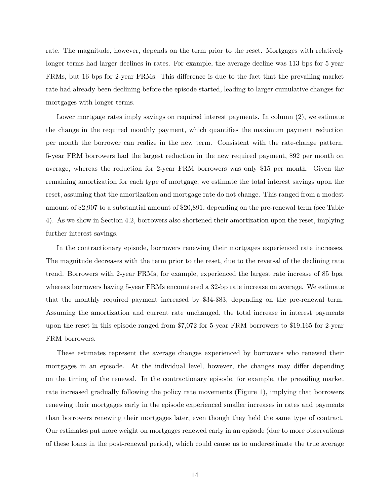rate. The magnitude, however, depends on the term prior to the reset. Mortgages with relatively longer terms had larger declines in rates. For example, the average decline was 113 bps for 5-year FRMs, but 16 bps for 2-year FRMs. This difference is due to the fact that the prevailing market rate had already been declining before the episode started, leading to larger cumulative changes for mortgages with longer terms.

Lower mortgage rates imply savings on required interest payments. In column  $(2)$ , we estimate the change in the required monthly payment, which quantifies the maximum payment reduction per month the borrower can realize in the new term. Consistent with the rate-change pattern, 5-year FRM borrowers had the largest reduction in the new required payment, \$92 per month on average, whereas the reduction for 2-year FRM borrowers was only \$15 per month. Given the remaining amortization for each type of mortgage, we estimate the total interest savings upon the reset, assuming that the amortization and mortgage rate do not change. This ranged from a modest amount of \$2,907 to a substantial amount of \$20,891, depending on the pre-renewal term (see Table [4\)](#page-44-0). As we show in Section 4.2, borrowers also shortened their amortization upon the reset, implying further interest savings.

In the contractionary episode, borrowers renewing their mortgages experienced rate increases. The magnitude decreases with the term prior to the reset, due to the reversal of the declining rate trend. Borrowers with 2-year FRMs, for example, experienced the largest rate increase of 85 bps, whereas borrowers having 5-year FRMs encountered a 32-bp rate increase on average. We estimate that the monthly required payment increased by \$34-\$83, depending on the pre-renewal term. Assuming the amortization and current rate unchanged, the total increase in interest payments upon the reset in this episode ranged from \$7,072 for 5-year FRM borrowers to \$19,165 for 2-year FRM borrowers.

These estimates represent the average changes experienced by borrowers who renewed their mortgages in an episode. At the individual level, however, the changes may differ depending on the timing of the renewal. In the contractionary episode, for example, the prevailing market rate increased gradually following the policy rate movements (Figure [1\)](#page-37-0), implying that borrowers renewing their mortgages early in the episode experienced smaller increases in rates and payments than borrowers renewing their mortgages later, even though they held the same type of contract. Our estimates put more weight on mortgages renewed early in an episode (due to more observations of these loans in the post-renewal period), which could cause us to underestimate the true average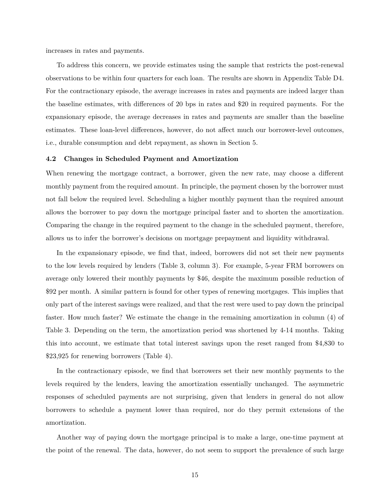increases in rates and payments.

To address this concern, we provide estimates using the sample that restricts the post-renewal observations to be within four quarters for each loan. The results are shown in Appendix Table [D4.](#page-61-0) For the contractionary episode, the average increases in rates and payments are indeed larger than the baseline estimates, with differences of 20 bps in rates and \$20 in required payments. For the expansionary episode, the average decreases in rates and payments are smaller than the baseline estimates. These loan-level differences, however, do not affect much our borrower-level outcomes, i.e., durable consumption and debt repayment, as shown in Section 5.

#### **4.2 Changes in Scheduled Payment and Amortization**

When renewing the mortgage contract, a borrower, given the new rate, may choose a different monthly payment from the required amount. In principle, the payment chosen by the borrower must not fall below the required level. Scheduling a higher monthly payment than the required amount allows the borrower to pay down the mortgage principal faster and to shorten the amortization. Comparing the change in the required payment to the change in the scheduled payment, therefore, allows us to infer the borrower's decisions on mortgage prepayment and liquidity withdrawal.

In the expansionary episode, we find that, indeed, borrowers did not set their new payments to the low levels required by lenders (Table [3,](#page-43-0) column 3). For example, 5-year FRM borrowers on average only lowered their monthly payments by \$46, despite the maximum possible reduction of \$92 per month. A similar pattern is found for other types of renewing mortgages. This implies that only part of the interest savings were realized, and that the rest were used to pay down the principal faster. How much faster? We estimate the change in the remaining amortization in column (4) of Table [3.](#page-43-0) Depending on the term, the amortization period was shortened by 4-14 months. Taking this into account, we estimate that total interest savings upon the reset ranged from \$4,830 to \$23,925 for renewing borrowers (Table [4\)](#page-44-0).

In the contractionary episode, we find that borrowers set their new monthly payments to the levels required by the lenders, leaving the amortization essentially unchanged. The asymmetric responses of scheduled payments are not surprising, given that lenders in general do not allow borrowers to schedule a payment lower than required, nor do they permit extensions of the amortization.

Another way of paying down the mortgage principal is to make a large, one-time payment at the point of the renewal. The data, however, do not seem to support the prevalence of such large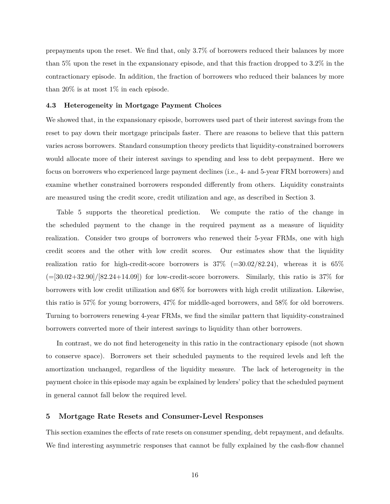prepayments upon the reset. We find that, only 3.7% of borrowers reduced their balances by more than 5% upon the reset in the expansionary episode, and that this fraction dropped to 3.2% in the contractionary episode. In addition, the fraction of borrowers who reduced their balances by more than 20% is at most 1% in each episode.

# **4.3 Heterogeneity in Mortgage Payment Choices**

We showed that, in the expansionary episode, borrowers used part of their interest savings from the reset to pay down their mortgage principals faster. There are reasons to believe that this pattern varies across borrowers. Standard consumption theory predicts that liquidity-constrained borrowers would allocate more of their interest savings to spending and less to debt prepayment. Here we focus on borrowers who experienced large payment declines (i.e., 4- and 5-year FRM borrowers) and examine whether constrained borrowers responded differently from others. Liquidity constraints are measured using the credit score, credit utilization and age, as described in Section 3.

Table [5](#page-44-1) supports the theoretical prediction. We compute the ratio of the change in the scheduled payment to the change in the required payment as a measure of liquidity realization. Consider two groups of borrowers who renewed their 5-year FRMs, one with high credit scores and the other with low credit scores. Our estimates show that the liquidity realization ratio for high-credit-score borrowers is  $37\%$  (=30.02/82.24), whereas it is 65%  $(=[30.02+32.90]/[82.24+14.09])$  for low-credit-score borrowers. Similarly, this ratio is 37% for borrowers with low credit utilization and 68% for borrowers with high credit utilization. Likewise, this ratio is 57% for young borrowers, 47% for middle-aged borrowers, and 58% for old borrowers. Turning to borrowers renewing 4-year FRMs, we find the similar pattern that liquidity-constrained borrowers converted more of their interest savings to liquidity than other borrowers.

In contrast, we do not find heterogeneity in this ratio in the contractionary episode (not shown to conserve space). Borrowers set their scheduled payments to the required levels and left the amortization unchanged, regardless of the liquidity measure. The lack of heterogeneity in the payment choice in this episode may again be explained by lenders' policy that the scheduled payment in general cannot fall below the required level.

# **5 Mortgage Rate Resets and Consumer-Level Responses**

This section examines the effects of rate resets on consumer spending, debt repayment, and defaults. We find interesting asymmetric responses that cannot be fully explained by the cash-flow channel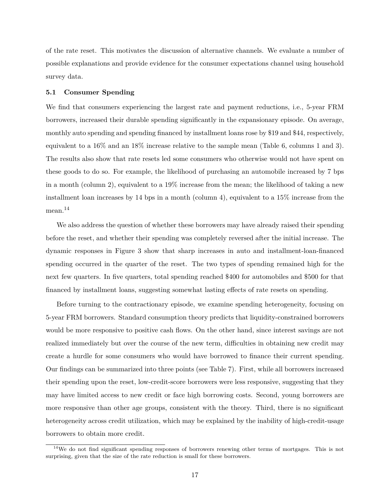of the rate reset. This motivates the discussion of alternative channels. We evaluate a number of possible explanations and provide evidence for the consumer expectations channel using household survey data.

#### **5.1 Consumer Spending**

We find that consumers experiencing the largest rate and payment reductions, i.e., 5-year FRM borrowers, increased their durable spending significantly in the expansionary episode. On average, monthly auto spending and spending financed by installment loans rose by \$19 and \$44, respectively, equivalent to a 16% and an 18% increase relative to the sample mean (Table [6,](#page-45-0) columns 1 and 3). The results also show that rate resets led some consumers who otherwise would not have spent on these goods to do so. For example, the likelihood of purchasing an automobile increased by 7 bps in a month (column 2), equivalent to a 19% increase from the mean; the likelihood of taking a new installment loan increases by 14 bps in a month (column 4), equivalent to a  $15\%$  increase from the mean.<sup>14</sup>

We also address the question of whether these borrowers may have already raised their spending before the reset, and whether their spending was completely reversed after the initial increase. The dynamic responses in Figure [3](#page-38-0) show that sharp increases in auto and installment-loan-financed spending occurred in the quarter of the reset. The two types of spending remained high for the next few quarters. In five quarters, total spending reached \$400 for automobiles and \$500 for that financed by installment loans, suggesting somewhat lasting effects of rate resets on spending.

Before turning to the contractionary episode, we examine spending heterogeneity, focusing on 5-year FRM borrowers. Standard consumption theory predicts that liquidity-constrained borrowers would be more responsive to positive cash flows. On the other hand, since interest savings are not realized immediately but over the course of the new term, difficulties in obtaining new credit may create a hurdle for some consumers who would have borrowed to finance their current spending. Our findings can be summarized into three points (see Table [7\)](#page-46-0). First, while all borrowers increased their spending upon the reset, low-credit-score borrowers were less responsive, suggesting that they may have limited access to new credit or face high borrowing costs. Second, young borrowers are more responsive than other age groups, consistent with the theory. Third, there is no significant heterogeneity across credit utilization, which may be explained by the inability of high-credit-usage borrowers to obtain more credit.

 $14$ We do not find significant spending responses of borrowers renewing other terms of mortgages. This is not surprising, given that the size of the rate reduction is small for these borrowers.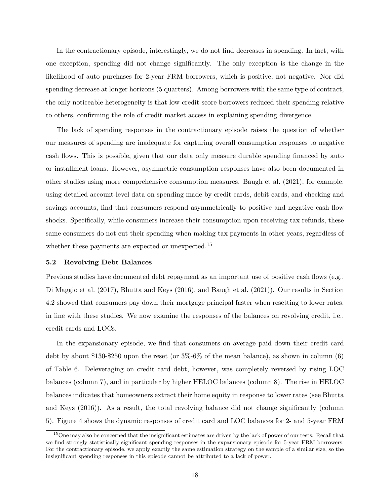In the contractionary episode, interestingly, we do not find decreases in spending. In fact, with one exception, spending did not change significantly. The only exception is the change in the likelihood of auto purchases for 2-year FRM borrowers, which is positive, not negative. Nor did spending decrease at longer horizons (5 quarters). Among borrowers with the same type of contract, the only noticeable heterogeneity is that low-credit-score borrowers reduced their spending relative to others, confirming the role of credit market access in explaining spending divergence.

The lack of spending responses in the contractionary episode raises the question of whether our measures of spending are inadequate for capturing overall consumption responses to negative cash flows. This is possible, given that our data only measure durable spending financed by auto or installment loans. However, asymmetric consumption responses have also been documented in other studies using more comprehensive consumption measures. [Baugh et al.](#page-34-4) [\(2021\)](#page-34-4), for example, using detailed account-level data on spending made by credit cards, debit cards, and checking and savings accounts, find that consumers respond asymmetrically to positive and negative cash flow shocks. Specifically, while consumers increase their consumption upon receiving tax refunds, these same consumers do not cut their spending when making tax payments in other years, regardless of whether these payments are expected or unexpected.<sup>15</sup>

# **5.2 Revolving Debt Balances**

Previous studies have documented debt repayment as an important use of positive cash flows (e.g., [Di Maggio et al.](#page-34-0) [\(2017\)](#page-34-0), [Bhutta and Keys](#page-34-11) [\(2016\)](#page-34-11), and [Baugh et al.](#page-34-4) [\(2021\)](#page-34-4)). Our results in Section 4.2 showed that consumers pay down their mortgage principal faster when resetting to lower rates, in line with these studies. We now examine the responses of the balances on revolving credit, i.e., credit cards and LOCs.

In the expansionary episode, we find that consumers on average paid down their credit card debt by about \$130-\$250 upon the reset (or 3%-6% of the mean balance), as shown in column (6) of Table [6.](#page-45-0) Deleveraging on credit card debt, however, was completely reversed by rising LOC balances (column 7), and in particular by higher HELOC balances (column 8). The rise in HELOC balances indicates that homeowners extract their home equity in response to lower rates (see [Bhutta](#page-34-11) [and Keys](#page-34-11) [\(2016\)](#page-34-11)). As a result, the total revolving balance did not change significantly (column 5). Figure [4](#page-39-0) shows the dynamic responses of credit card and LOC balances for 2- and 5-year FRM

<sup>&</sup>lt;sup>15</sup>One may also be concerned that the insignificant estimates are driven by the lack of power of our tests. Recall that we find strongly statistically significant spending responses in the expansionary episode for 5-year FRM borrowers. For the contractionary episode, we apply exactly the same estimation strategy on the sample of a similar size, so the insignificant spending responses in this episode cannot be attributed to a lack of power.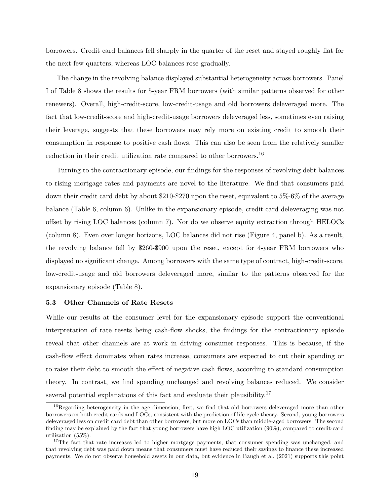borrowers. Credit card balances fell sharply in the quarter of the reset and stayed roughly flat for the next few quarters, whereas LOC balances rose gradually.

The change in the revolving balance displayed substantial heterogeneity across borrowers. Panel I of Table [8](#page-47-0) shows the results for 5-year FRM borrowers (with similar patterns observed for other renewers). Overall, high-credit-score, low-credit-usage and old borrowers deleveraged more. The fact that low-credit-score and high-credit-usage borrowers deleveraged less, sometimes even raising their leverage, suggests that these borrowers may rely more on existing credit to smooth their consumption in response to positive cash flows. This can also be seen from the relatively smaller reduction in their credit utilization rate compared to other borrowers.<sup>16</sup>

Turning to the contractionary episode, our findings for the responses of revolving debt balances to rising mortgage rates and payments are novel to the literature. We find that consumers paid down their credit card debt by about \$210-\$270 upon the reset, equivalent to 5%-6% of the average balance (Table [6,](#page-45-0) column 6). Unlike in the expansionary episode, credit card deleveraging was not offset by rising LOC balances (column 7). Nor do we observe equity extraction through HELOCs (column 8). Even over longer horizons, LOC balances did not rise (Figure [4,](#page-39-0) panel b). As a result, the revolving balance fell by \$260-\$900 upon the reset, except for 4-year FRM borrowers who displayed no significant change. Among borrowers with the same type of contract, high-credit-score, low-credit-usage and old borrowers deleveraged more, similar to the patterns observed for the expansionary episode (Table [8\)](#page-47-0).

# **5.3 Other Channels of Rate Resets**

While our results at the consumer level for the expansionary episode support the conventional interpretation of rate resets being cash-flow shocks, the findings for the contractionary episode reveal that other channels are at work in driving consumer responses. This is because, if the cash-flow effect dominates when rates increase, consumers are expected to cut their spending or to raise their debt to smooth the effect of negative cash flows, according to standard consumption theory. In contrast, we find spending unchanged and revolving balances reduced. We consider several potential explanations of this fact and evaluate their plausibility.<sup>17</sup>

<sup>&</sup>lt;sup>16</sup>Regarding heterogeneity in the age dimension, first, we find that old borrowers deleveraged more than other borrowers on both credit cards and LOCs, consistent with the prediction of life-cycle theory. Second, young borrowers deleveraged less on credit card debt than other borrowers, but more on LOCs than middle-aged borrowers. The second finding may be explained by the fact that young borrowers have high LOC utilization (90%), compared to credit-card utilization (55%).

<sup>&</sup>lt;sup>17</sup>The fact that rate increases led to higher mortgage payments, that consumer spending was unchanged, and that revolving debt was paid down means that consumers must have reduced their savings to finance these increased payments. We do not observe household assets in our data, but evidence in [Baugh et al.](#page-34-4) [\(2021\)](#page-34-4) supports this point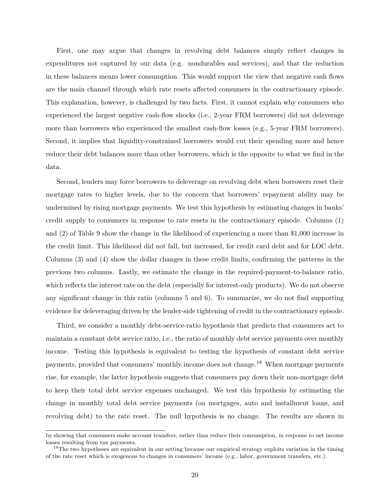First, one may argue that changes in revolving debt balances simply reflect changes in expenditures not captured by our data (e.g. nondurables and services), and that the reduction in these balances means lower consumption. This would support the view that negative cash flows are the main channel through which rate resets affected consumers in the contractionary episode. This explanation, however, is challenged by two facts. First, it cannot explain why consumers who experienced the largest negative cash-flow shocks (i.e., 2-year FRM borrowers) did not deleverage more than borrowers who experienced the smallest cash-flow losses (e.g., 5-year FRM borrowers). Second, it implies that liquidity-constrained borrowers would cut their spending more and hence reduce their debt balances more than other borrowers, which is the opposite to what we find in the data.

Second, lenders may force borrowers to deleverage on revolving debt when borrowers reset their mortgage rates to higher levels, due to the concern that borrowers' repayment ability may be undermined by rising mortgage payments. We test this hypothesis by estimating changes in banks' credit supply to consumers in response to rate resets in the contractionary episode. Columns (1) and (2) of Table [9](#page-48-0) show the change in the likelihood of experiencing a more than \$1,000 increase in the credit limit. This likelihood did not fall, but increased, for credit card debt and for LOC debt. Columns (3) and (4) show the dollar changes in these credit limits, confirming the patterns in the previous two columns. Lastly, we estimate the change in the required-payment-to-balance ratio, which reflects the interest rate on the debt (especially for interest-only products). We do not observe any significant change in this ratio (columns 5 and 6). To summarize, we do not find supporting evidence for deleveraging driven by the lender-side tightening of credit in the contractionary episode.

Third, we consider a monthly debt-service-ratio hypothesis that predicts that consumers act to maintain a constant debt service ratio, i.e., the ratio of monthly debt service payments over monthly income. Testing this hypothesis is equivalent to testing the hypothesis of constant debt service payments, provided that consumers' monthly income does not change.<sup>18</sup> When mortgage payments rise, for example, the latter hypothesis suggests that consumers pay down their non-mortgage debt to keep their total debt service expenses unchanged. We test this hypothesis by estimating the change in monthly total debt service payments (on mortgages, auto and installment loans, and revolving debt) to the rate reset. The null hypothesis is no change. The results are shown in

by showing that consumers make account transfers, rather than reduce their consumption, in response to net income losses resulting from tax payments.

<sup>&</sup>lt;sup>18</sup>The two hypotheses are equivalent in our setting because our empirical strategy exploits variation in the timing of the rate reset which is exogenous to changes in consumers' income (e.g., labor, government transfers, etc.).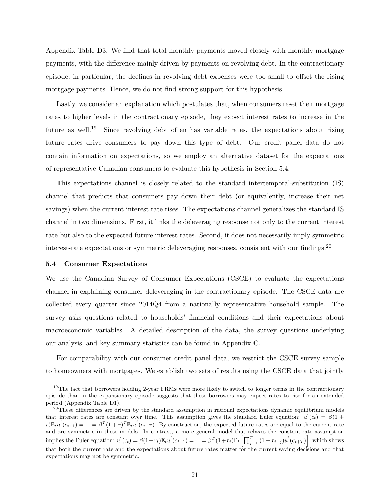Appendix Table [D3.](#page-60-0) We find that total monthly payments moved closely with monthly mortgage payments, with the difference mainly driven by payments on revolving debt. In the contractionary episode, in particular, the declines in revolving debt expenses were too small to offset the rising mortgage payments. Hence, we do not find strong support for this hypothesis.

Lastly, we consider an explanation which postulates that, when consumers reset their mortgage rates to higher levels in the contractionary episode, they expect interest rates to increase in the future as well.<sup>19</sup> Since revolving debt often has variable rates, the expectations about rising future rates drive consumers to pay down this type of debt. Our credit panel data do not contain information on expectations, so we employ an alternative dataset for the expectations of representative Canadian consumers to evaluate this hypothesis in Section 5.4.

This expectations channel is closely related to the standard intertemporal-substitution (IS) channel that predicts that consumers pay down their debt (or equivalently, increase their net savings) when the current interest rate rises. The expectations channel generalizes the standard IS channel in two dimensions. First, it links the deleveraging response not only to the current interest rate but also to the expected future interest rates. Second, it does not necessarily imply symmetric interest-rate expectations or symmetric deleveraging responses, consistent with our findings.<sup>20</sup>

#### **5.4 Consumer Expectations**

We use the Canadian Survey of Consumer Expectations (CSCE) to evaluate the expectations channel in explaining consumer deleveraging in the contractionary episode. The CSCE data are collected every quarter since 2014Q4 from a nationally representative household sample. The survey asks questions related to households' financial conditions and their expectations about macroeconomic variables. A detailed description of the data, the survey questions underlying our analysis, and key summary statistics can be found in Appendix C.

For comparability with our consumer credit panel data, we restrict the CSCE survey sample to homeowners with mortgages. We establish two sets of results using the CSCE data that jointly

<sup>&</sup>lt;sup>19</sup>The fact that borrowers holding 2-year FRMs were more likely to switch to longer terms in the contractionary episode than in the expansionary episode suggests that these borrowers may expect rates to rise for an extended period (Appendix Table [D1\)](#page-58-0).

<sup>&</sup>lt;sup>20</sup>These differences are driven by the standard assumption in rational expectations dynamic equilibrium models that interest rates are constant over time. This assumption gives the standard Euler equation:  $u'(c_t) = \beta(1 +$  $r\mathbb{E}_t u^{'}(c_{t+1}) = ... = \beta^T (1+r)^T \mathbb{E}_t u^{'}(c_{t+T})$ . By construction, the expected future rates are equal to the current rate and are symmetric in these models. In contrast, a more general model that relaxes the constant-rate assumption implies the Euler equation:  $u^{'}(c_t) = \beta(1+r_t)\mathbb{E}_t u^{'}(c_{t+1}) = ... = \beta^T(1+r_t)\mathbb{E}_t \left[\prod_{j=1}^{T-1}(1+r_{t+j})u^{'}(c_{t+T})\right]$ , which shows that both the current rate and the expectations about future rates matter for the current saving decisions and that expectations may not be symmetric.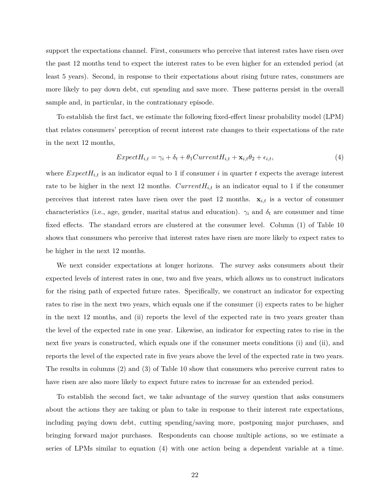support the expectations channel. First, consumers who perceive that interest rates have risen over the past 12 months tend to expect the interest rates to be even higher for an extended period (at least 5 years). Second, in response to their expectations about rising future rates, consumers are more likely to pay down debt, cut spending and save more. These patterns persist in the overall sample and, in particular, in the contrationary episode.

To establish the first fact, we estimate the following fixed-effect linear probability model (LPM) that relates consumers' perception of recent interest rate changes to their expectations of the rate in the next 12 months,

<span id="page-23-0"></span>
$$
ExpectedH_{i,t} = \gamma_i + \delta_t + \theta_1 CurrentH_{i,t} + \mathbf{x}_{i,t}\theta_2 + \epsilon_{i,t},
$$
\n
$$
\tag{4}
$$

where  $Expected_{i,t}$  is an indicator equal to 1 if consumer *i* in quarter *t* expects the average interest rate to be higher in the next 12 months.  $CurrentH_{i,t}$  is an indicator equal to 1 if the consumer perceives that interest rates have risen over the past 12 months.  $\mathbf{x}_{i,t}$  is a vector of consumer characteristics (i.e., age, gender, marital status and education).  $\gamma_i$  and  $\delta_t$  are consumer and time fixed effects. The standard errors are clustered at the consumer level. Column (1) of Table [10](#page-48-1) shows that consumers who perceive that interest rates have risen are more likely to expect rates to be higher in the next 12 months.

We next consider expectations at longer horizons. The survey asks consumers about their expected levels of interest rates in one, two and five years, which allows us to construct indicators for the rising path of expected future rates. Specifically, we construct an indicator for expecting rates to rise in the next two years, which equals one if the consumer (i) expects rates to be higher in the next 12 months, and (ii) reports the level of the expected rate in two years greater than the level of the expected rate in one year. Likewise, an indicator for expecting rates to rise in the next five years is constructed, which equals one if the consumer meets conditions (i) and (ii), and reports the level of the expected rate in five years above the level of the expected rate in two years. The results in columns (2) and (3) of Table [10](#page-48-1) show that consumers who perceive current rates to have risen are also more likely to expect future rates to increase for an extended period.

To establish the second fact, we take advantage of the survey question that asks consumers about the actions they are taking or plan to take in response to their interest rate expectations, including paying down debt, cutting spending/saving more, postponing major purchases, and bringing forward major purchases. Respondents can choose multiple actions, so we estimate a series of LPMs similar to equation [\(4\)](#page-23-0) with one action being a dependent variable at a time.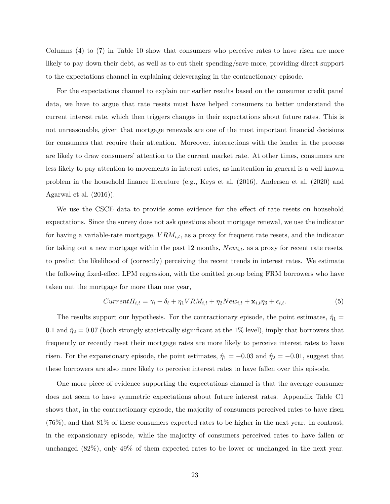Columns (4) to (7) in Table [10](#page-48-1) show that consumers who perceive rates to have risen are more likely to pay down their debt, as well as to cut their spending/save more, providing direct support to the expectations channel in explaining deleveraging in the contractionary episode.

For the expectations channel to explain our earlier results based on the consumer credit panel data, we have to argue that rate resets must have helped consumers to better understand the current interest rate, which then triggers changes in their expectations about future rates. This is not unreasonable, given that mortgage renewals are one of the most important financial decisions for consumers that require their attention. Moreover, interactions with the lender in the process are likely to draw consumers' attention to the current market rate. At other times, consumers are less likely to pay attention to movements in interest rates, as inattention in general is a well known problem in the household finance literature (e.g., [Keys et al.](#page-35-12) [\(2016\)](#page-35-12), [Andersen et al.](#page-33-7) [\(2020\)](#page-33-7) and [Agarwal et al.](#page-33-8) [\(2016\)](#page-33-8)).

We use the CSCE data to provide some evidence for the effect of rate resets on household expectations. Since the survey does not ask questions about mortgage renewal, we use the indicator for having a variable-rate mortgage, *V RMi,t*, as a proxy for frequent rate resets, and the indicator for taking out a new mortgage within the past 12 months, *Newi,t*, as a proxy for recent rate resets, to predict the likelihood of (correctly) perceiving the recent trends in interest rates. We estimate the following fixed-effect LPM regression, with the omitted group being FRM borrowers who have taken out the mortgage for more than one year,

$$
CurrentH_{i,t} = \gamma_i + \delta_t + \eta_1 VRM_{i,t} + \eta_2 New_{i,t} + \mathbf{x}_{i,t}\eta_3 + \epsilon_{i,t}.
$$
\n
$$
\tag{5}
$$

The results support our hypothesis. For the contractionary episode, the point estimates,  $\hat{\eta}_1$  = 0.1 and  $\hat{\eta}_2 = 0.07$  (both strongly statistically significant at the 1% level), imply that borrowers that frequently or recently reset their mortgage rates are more likely to perceive interest rates to have risen. For the expansionary episode, the point estimates,  $\hat{\eta}_1 = -0.03$  and  $\hat{\eta}_2 = -0.01$ , suggest that these borrowers are also more likely to perceive interest rates to have fallen over this episode.

One more piece of evidence supporting the expectations channel is that the average consumer does not seem to have symmetric expectations about future interest rates. Appendix Table [C1](#page-57-0) shows that, in the contractionary episode, the majority of consumers perceived rates to have risen (76%), and that 81% of these consumers expected rates to be higher in the next year. In contrast, in the expansionary episode, while the majority of consumers perceived rates to have fallen or unchanged (82%), only 49% of them expected rates to be lower or unchanged in the next year.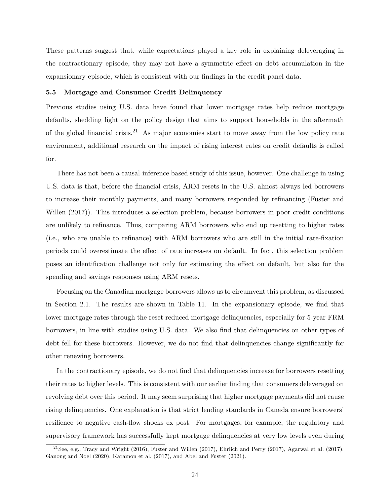These patterns suggest that, while expectations played a key role in explaining deleveraging in the contractionary episode, they may not have a symmetric effect on debt accumulation in the expansionary episode, which is consistent with our findings in the credit panel data.

#### **5.5 Mortgage and Consumer Credit Delinquency**

Previous studies using U.S. data have found that lower mortgage rates help reduce mortgage defaults, shedding light on the policy design that aims to support households in the aftermath of the global financial crisis.<sup>21</sup> As major economies start to move away from the low policy rate environment, additional research on the impact of rising interest rates on credit defaults is called for.

There has not been a causal-inference based study of this issue, however. One challenge in using U.S. data is that, before the financial crisis, ARM resets in the U.S. almost always led borrowers to increase their monthly payments, and many borrowers responded by refinancing [\(Fuster and](#page-34-5) [Willen](#page-34-5)  $(2017)$ ). This introduces a selection problem, because borrowers in poor credit conditions are unlikely to refinance. Thus, comparing ARM borrowers who end up resetting to higher rates (i.e., who are unable to refinance) with ARM borrowers who are still in the initial rate-fixation periods could overestimate the effect of rate increases on default. In fact, this selection problem poses an identification challenge not only for estimating the effect on default, but also for the spending and savings responses using ARM resets.

Focusing on the Canadian mortgage borrowers allows us to circumvent this problem, as discussed in Section 2.1. The results are shown in Table [11.](#page-49-0) In the expansionary episode, we find that lower mortgage rates through the reset reduced mortgage delinquencies, especially for 5-year FRM borrowers, in line with studies using U.S. data. We also find that delinquencies on other types of debt fell for these borrowers. However, we do not find that delinquencies change significantly for other renewing borrowers.

In the contractionary episode, we do not find that delinquencies increase for borrowers resetting their rates to higher levels. This is consistent with our earlier finding that consumers deleveraged on revolving debt over this period. It may seem surprising that higher mortgage payments did not cause rising delinquencies. One explanation is that strict lending standards in Canada ensure borrowers' resilience to negative cash-flow shocks ex post. For mortgages, for example, the regulatory and supervisory framework has successfully kept mortgage delinquencies at very low levels even during

<sup>&</sup>lt;sup>21</sup>See, e.g., [Tracy and Wright](#page-36-0) [\(2016\)](#page-36-0), [Fuster and Willen](#page-34-5) [\(2017\)](#page-33-1), [Ehrlich and Perry](#page-34-6) (2017), [Agarwal et al.](#page-33-1) (2017), [Ganong and Noel](#page-35-3) [\(2020\)](#page-35-3), [Karamon et al.](#page-35-4) [\(2017\)](#page-35-4), and [Abel and Fuster](#page-33-2) [\(2021\)](#page-33-2).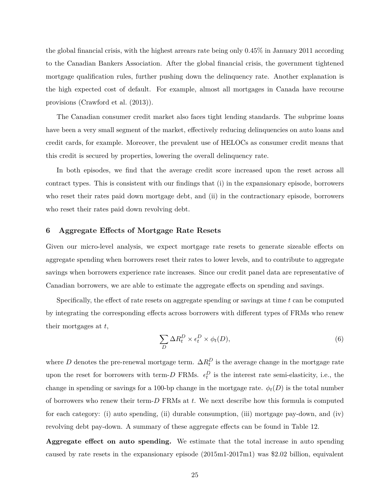the global financial crisis, with the highest arrears rate being only 0.45% in January 2011 according to the Canadian Bankers Association. After the global financial crisis, the government tightened mortgage qualification rules, further pushing down the delinquency rate. Another explanation is the high expected cost of default. For example, almost all mortgages in Canada have recourse provisions [\(Crawford et al.](#page-34-13) [\(2013\)](#page-34-13)).

The Canadian consumer credit market also faces tight lending standards. The subprime loans have been a very small segment of the market, effectively reducing delinquencies on auto loans and credit cards, for example. Moreover, the prevalent use of HELOCs as consumer credit means that this credit is secured by properties, lowering the overall delinquency rate.

In both episodes, we find that the average credit score increased upon the reset across all contract types. This is consistent with our findings that (i) in the expansionary episode, borrowers who reset their rates paid down mortgage debt, and (ii) in the contractionary episode, borrowers who reset their rates paid down revolving debt.

# **6 Aggregate Effects of Mortgage Rate Resets**

Given our micro-level analysis, we expect mortgage rate resets to generate sizeable effects on aggregate spending when borrowers reset their rates to lower levels, and to contribute to aggregate savings when borrowers experience rate increases. Since our credit panel data are representative of Canadian borrowers, we are able to estimate the aggregate effects on spending and savings.

Specifically, the effect of rate resets on aggregate spending or savings at time *t* can be computed by integrating the corresponding effects across borrowers with different types of FRMs who renew their mortgages at *t*,

<span id="page-26-0"></span>
$$
\sum_{D} \Delta R_t^D \times \epsilon_t^D \times \phi_t(D),\tag{6}
$$

where *D* denotes the pre-renewal mortgage term.  $\Delta R_t^D$  is the average change in the mortgage rate upon the reset for borrowers with term-*D* FRMs.  $\epsilon_t^D$  is the interest rate semi-elasticity, i.e., the change in spending or savings for a 100-bp change in the mortgage rate.  $\phi_t(D)$  is the total number of borrowers who renew their term-*D* FRMs at *t*. We next describe how this formula is computed for each category: (i) auto spending, (ii) durable consumption, (iii) mortgage pay-down, and (iv) revolving debt pay-down. A summary of these aggregate effects can be found in Table [12.](#page-50-0)

**Aggregate effect on auto spending.** We estimate that the total increase in auto spending caused by rate resets in the expansionary episode (2015m1-2017m1) was \$2.02 billion, equivalent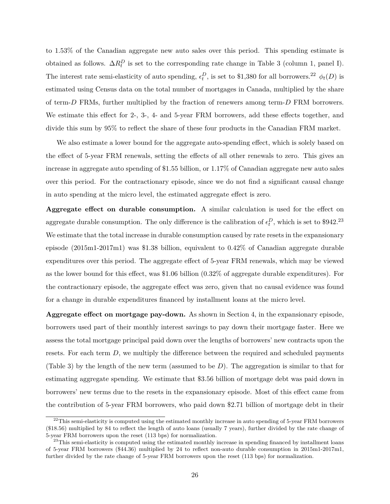to 1.53% of the Canadian aggregate new auto sales over this period. This spending estimate is obtained as follows.  $\Delta R_t^D$  is set to the corresponding rate change in Table [3](#page-43-0) (column 1, panel I). The interest rate semi-elasticity of auto spending,  $\epsilon_t^D$ , is set to \$1,380 for all borrowers.<sup>22</sup>  $\phi_t(D)$  is estimated using Census data on the total number of mortgages in Canada, multiplied by the share of term-*D* FRMs, further multiplied by the fraction of renewers among term-*D* FRM borrowers. We estimate this effect for 2-, 3-, 4- and 5-year FRM borrowers, add these effects together, and divide this sum by 95% to reflect the share of these four products in the Canadian FRM market.

We also estimate a lower bound for the aggregate auto-spending effect, which is solely based on the effect of 5-year FRM renewals, setting the effects of all other renewals to zero. This gives an increase in aggregate auto spending of \$1.55 billion, or 1.17% of Canadian aggregate new auto sales over this period. For the contractionary episode, since we do not find a significant causal change in auto spending at the micro level, the estimated aggregate effect is zero.

**Aggregate effect on durable consumption.** A similar calculation is used for the effect on aggregate durable consumption. The only difference is the calibration of  $\epsilon_t^D$ , which is set to \$942.<sup>23</sup> We estimate that the total increase in durable consumption caused by rate resets in the expansionary episode (2015m1-2017m1) was \$1.38 billion, equivalent to 0.42% of Canadian aggregate durable expenditures over this period. The aggregate effect of 5-year FRM renewals, which may be viewed as the lower bound for this effect, was \$1.06 billion (0.32% of aggregate durable expenditures). For the contractionary episode, the aggregate effect was zero, given that no causal evidence was found for a change in durable expenditures financed by installment loans at the micro level.

**Aggregate effect on mortgage pay-down.** As shown in Section 4, in the expansionary episode, borrowers used part of their monthly interest savings to pay down their mortgage faster. Here we assess the total mortgage principal paid down over the lengths of borrowers' new contracts upon the resets. For each term *D*, we multiply the difference between the required and scheduled payments (Table [3\)](#page-43-0) by the length of the new term (assumed to be *D*). The aggregation is similar to that for estimating aggregate spending. We estimate that \$3.56 billion of mortgage debt was paid down in borrowers' new terms due to the resets in the expansionary episode. Most of this effect came from the contribution of 5-year FRM borrowers, who paid down \$2.71 billion of mortgage debt in their

 $^{22}$ This semi-elasticity is computed using the estimated monthly increase in auto spending of 5-year FRM borrowers (\$18.56) multiplied by 84 to reflect the length of auto loans (usually 7 years), further divided by the rate change of 5-year FRM borrowers upon the reset (113 bps) for normalization.

 $23$ This semi-elasticity is computed using the estimated monthly increase in spending financed by installment loans of 5-year FRM borrowers (\$44.36) multiplied by 24 to reflect non-auto durable consumption in 2015m1-2017m1, further divided by the rate change of 5-year FRM borrowers upon the reset (113 bps) for normalization.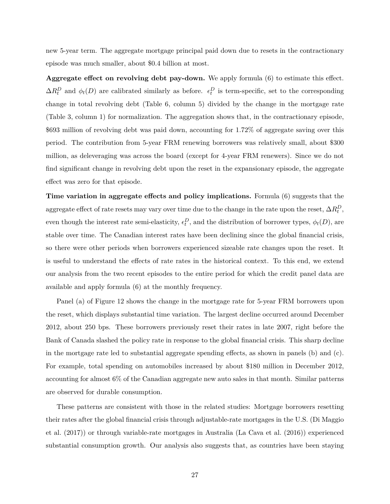new 5-year term. The aggregate mortgage principal paid down due to resets in the contractionary episode was much smaller, about \$0.4 billion at most.

**Aggregate effect on revolving debt pay-down.** We apply formula [\(6\)](#page-26-0) to estimate this effect.  $\Delta R_t^D$  and  $\phi_t(D)$  are calibrated similarly as before.  $\epsilon_t^D$  is term-specific, set to the corresponding change in total revolving debt (Table [6,](#page-45-0) column 5) divided by the change in the mortgage rate (Table [3,](#page-43-0) column 1) for normalization. The aggregation shows that, in the contractionary episode, \$693 million of revolving debt was paid down, accounting for 1.72% of aggregate saving over this period. The contribution from 5-year FRM renewing borrowers was relatively small, about \$300 million, as deleveraging was across the board (except for 4-year FRM renewers). Since we do not find significant change in revolving debt upon the reset in the expansionary episode, the aggregate effect was zero for that episode.

**Time variation in aggregate effects and policy implications.** Formula [\(6\)](#page-26-0) suggests that the  $\Delta R_t^D$ , as a first of rate resets may vary over time due to the change in the rate upon the reset,  $\Delta R_t^D$ , even though the interest rate semi-elasticity,  $\epsilon_t^D$ , and the distribution of borrower types,  $\phi_t(D)$ , are stable over time. The Canadian interest rates have been declining since the global financial crisis, so there were other periods when borrowers experienced sizeable rate changes upon the reset. It is useful to understand the effects of rate rates in the historical context. To this end, we extend our analysis from the two recent episodes to the entire period for which the credit panel data are available and apply formula [\(6\)](#page-26-0) at the monthly frequency.

Panel (a) of Figure [12](#page-50-0) shows the change in the mortgage rate for 5-year FRM borrowers upon the reset, which displays substantial time variation. The largest decline occurred around December 2012, about 250 bps. These borrowers previously reset their rates in late 2007, right before the Bank of Canada slashed the policy rate in response to the global financial crisis. This sharp decline in the mortgage rate led to substantial aggregate spending effects, as shown in panels (b) and (c). For example, total spending on automobiles increased by about \$180 million in December 2012, accounting for almost 6% of the Canadian aggregate new auto sales in that month. Similar patterns are observed for durable consumption.

These patterns are consistent with those in the related studies: Mortgage borrowers resetting their rates after the global financial crisis through adjustable-rate mortgages in the U.S. [\(Di Maggio](#page-34-0) [et al.](#page-34-0) [\(2017\)](#page-34-0)) or through variable-rate mortgages in Australia [\(La Cava et al.](#page-35-1) [\(2016\)](#page-35-1)) experienced substantial consumption growth. Our analysis also suggests that, as countries have been staying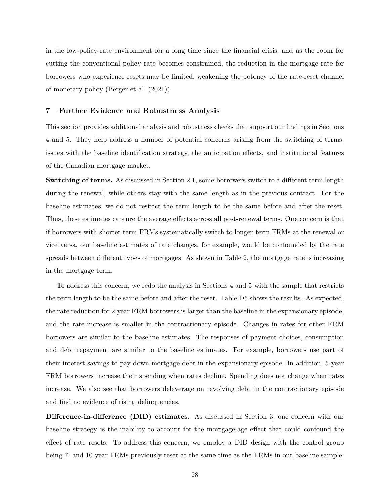in the low-policy-rate environment for a long time since the financial crisis, and as the room for cutting the conventional policy rate becomes constrained, the reduction in the mortgage rate for borrowers who experience resets may be limited, weakening the potency of the rate-reset channel of monetary policy [\(Berger et al.](#page-34-14) [\(2021\)](#page-34-14)).

### **7 Further Evidence and Robustness Analysis**

This section provides additional analysis and robustness checks that support our findings in Sections 4 and 5. They help address a number of potential concerns arising from the switching of terms, issues with the baseline identification strategy, the anticipation effects, and institutional features of the Canadian mortgage market.

**Switching of terms.** As discussed in Section 2.1, some borrowers switch to a different term length during the renewal, while others stay with the same length as in the previous contract. For the baseline estimates, we do not restrict the term length to be the same before and after the reset. Thus, these estimates capture the average effects across all post-renewal terms. One concern is that if borrowers with shorter-term FRMs systematically switch to longer-term FRMs at the renewal or vice versa, our baseline estimates of rate changes, for example, would be confounded by the rate spreads between different types of mortgages. As shown in Table [2,](#page-42-0) the mortgage rate is increasing in the mortgage term.

To address this concern, we redo the analysis in Sections 4 and 5 with the sample that restricts the term length to be the same before and after the reset. Table [D5](#page-62-0) shows the results. As expected, the rate reduction for 2-year FRM borrowers is larger than the baseline in the expansionary episode, and the rate increase is smaller in the contractionary episode. Changes in rates for other FRM borrowers are similar to the baseline estimates. The responses of payment choices, consumption and debt repayment are similar to the baseline estimates. For example, borrowers use part of their interest savings to pay down mortgage debt in the expansionary episode. In addition, 5-year FRM borrowers increase their spending when rates decline. Spending does not change when rates increase. We also see that borrowers deleverage on revolving debt in the contractionary episode and find no evidence of rising delinquencies.

**Difference-in-difference (DID) estimates.** As discussed in Section 3, one concern with our baseline strategy is the inability to account for the mortgage-age effect that could confound the effect of rate resets. To address this concern, we employ a DID design with the control group being 7- and 10-year FRMs previously reset at the same time as the FRMs in our baseline sample.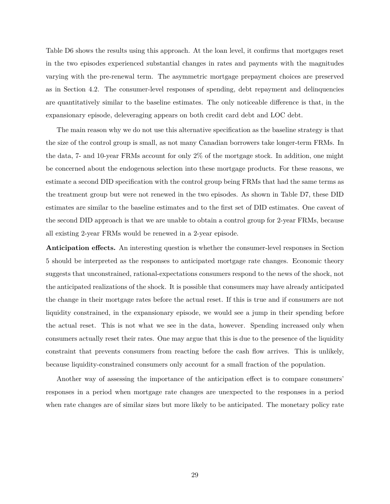Table [D6](#page-63-0) shows the results using this approach. At the loan level, it confirms that mortgages reset in the two episodes experienced substantial changes in rates and payments with the magnitudes varying with the pre-renewal term. The asymmetric mortgage prepayment choices are preserved as in Section 4.2. The consumer-level responses of spending, debt repayment and delinquencies are quantitatively similar to the baseline estimates. The only noticeable difference is that, in the expansionary episode, deleveraging appears on both credit card debt and LOC debt.

The main reason why we do not use this alternative specification as the baseline strategy is that the size of the control group is small, as not many Canadian borrowers take longer-term FRMs. In the data, 7- and 10-year FRMs account for only 2% of the mortgage stock. In addition, one might be concerned about the endogenous selection into these mortgage products. For these reasons, we estimate a second DID specification with the control group being FRMs that had the same terms as the treatment group but were not renewed in the two episodes. As shown in Table [D7,](#page-64-0) these DID estimates are similar to the baseline estimates and to the first set of DID estimates. One caveat of the second DID approach is that we are unable to obtain a control group for 2-year FRMs, because all existing 2-year FRMs would be renewed in a 2-year episode.

**Anticipation effects.** An interesting question is whether the consumer-level responses in Section 5 should be interpreted as the responses to anticipated mortgage rate changes. Economic theory suggests that unconstrained, rational-expectations consumers respond to the news of the shock, not the anticipated realizations of the shock. It is possible that consumers may have already anticipated the change in their mortgage rates before the actual reset. If this is true and if consumers are not liquidity constrained, in the expansionary episode, we would see a jump in their spending before the actual reset. This is not what we see in the data, however. Spending increased only when consumers actually reset their rates. One may argue that this is due to the presence of the liquidity constraint that prevents consumers from reacting before the cash flow arrives. This is unlikely, because liquidity-constrained consumers only account for a small fraction of the population.

Another way of assessing the importance of the anticipation effect is to compare consumers' responses in a period when mortgage rate changes are unexpected to the responses in a period when rate changes are of similar sizes but more likely to be anticipated. The monetary policy rate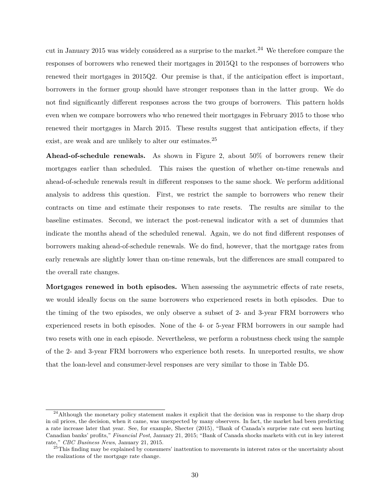cut in January 2015 was widely considered as a surprise to the market.<sup>24</sup> We therefore compare the responses of borrowers who renewed their mortgages in 2015Q1 to the responses of borrowers who renewed their mortgages in 2015Q2. Our premise is that, if the anticipation effect is important, borrowers in the former group should have stronger responses than in the latter group. We do not find significantly different responses across the two groups of borrowers. This pattern holds even when we compare borrowers who who renewed their mortgages in February 2015 to those who renewed their mortgages in March 2015. These results suggest that anticipation effects, if they exist, are weak and are unlikely to alter our estimates.<sup>25</sup>

**Ahead-of-schedule renewals.** As shown in Figure [2,](#page-37-1) about 50% of borrowers renew their mortgages earlier than scheduled. This raises the question of whether on-time renewals and ahead-of-schedule renewals result in different responses to the same shock. We perform additional analysis to address this question. First, we restrict the sample to borrowers who renew their contracts on time and estimate their responses to rate resets. The results are similar to the baseline estimates. Second, we interact the post-renewal indicator with a set of dummies that indicate the months ahead of the scheduled renewal. Again, we do not find different responses of borrowers making ahead-of-schedule renewals. We do find, however, that the mortgage rates from early renewals are slightly lower than on-time renewals, but the differences are small compared to the overall rate changes.

**Mortgages renewed in both episodes.** When assessing the asymmetric effects of rate resets, we would ideally focus on the same borrowers who experienced resets in both episodes. Due to the timing of the two episodes, we only observe a subset of 2- and 3-year FRM borrowers who experienced resets in both episodes. None of the 4- or 5-year FRM borrowers in our sample had two resets with one in each episode. Nevertheless, we perform a robustness check using the sample of the 2- and 3-year FRM borrowers who experience both resets. In unreported results, we show that the loan-level and consumer-level responses are very similar to those in Table [D5.](#page-62-0)

<sup>&</sup>lt;sup>24</sup>Although the monetary policy statement makes it explicit that the decision was in response to the sharp drop in oil prices, the decision, when it came, was unexpected by many observers. In fact, the market had been predicting a rate increase later that year. See, for example, Shecter (2015), "Bank of Canada's surprise rate cut seen hurting Canadian banks' profits," *Financial Post*, January 21, 2015; "Bank of Canada shocks markets with cut in key interest rate," *CBC Business News*, January 21, 2015.

<sup>&</sup>lt;sup>25</sup>This finding may be explained by consumers' inattention to movements in interest rates or the uncertainty about the realizations of the mortgage rate change.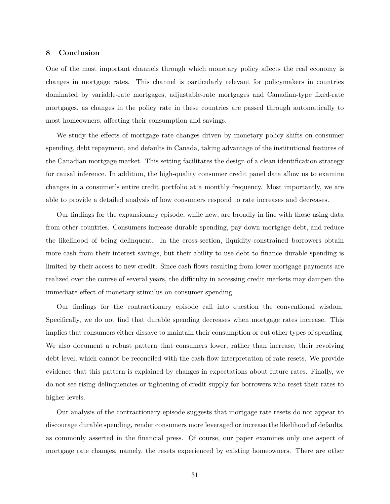# **8 Conclusion**

One of the most important channels through which monetary policy affects the real economy is changes in mortgage rates. This channel is particularly relevant for policymakers in countries dominated by variable-rate mortgages, adjustable-rate mortgages and Canadian-type fixed-rate mortgages, as changes in the policy rate in these countries are passed through automatically to most homeowners, affecting their consumption and savings.

We study the effects of mortgage rate changes driven by monetary policy shifts on consumer spending, debt repayment, and defaults in Canada, taking advantage of the institutional features of the Canadian mortgage market. This setting facilitates the design of a clean identification strategy for causal inference. In addition, the high-quality consumer credit panel data allow us to examine changes in a consumer's entire credit portfolio at a monthly frequency. Most importantly, we are able to provide a detailed analysis of how consumers respond to rate increases and decreases.

Our findings for the expansionary episode, while new, are broadly in line with those using data from other countries. Consumers increase durable spending, pay down mortgage debt, and reduce the likelihood of being delinquent. In the cross-section, liquidity-constrained borrowers obtain more cash from their interest savings, but their ability to use debt to finance durable spending is limited by their access to new credit. Since cash flows resulting from lower mortgage payments are realized over the course of several years, the difficulty in accessing credit markets may dampen the immediate effect of monetary stimulus on consumer spending.

Our findings for the contractionary episode call into question the conventional wisdom. Specifically, we do not find that durable spending decreases when mortgage rates increase. This implies that consumers either dissave to maintain their consumption or cut other types of spending. We also document a robust pattern that consumers lower, rather than increase, their revolving debt level, which cannot be reconciled with the cash-flow interpretation of rate resets. We provide evidence that this pattern is explained by changes in expectations about future rates. Finally, we do not see rising delinquencies or tightening of credit supply for borrowers who reset their rates to higher levels.

Our analysis of the contractionary episode suggests that mortgage rate resets do not appear to discourage durable spending, render consumers more leveraged or increase the likelihood of defaults, as commonly asserted in the financial press. Of course, our paper examines only one aspect of mortgage rate changes, namely, the resets experienced by existing homeowners. There are other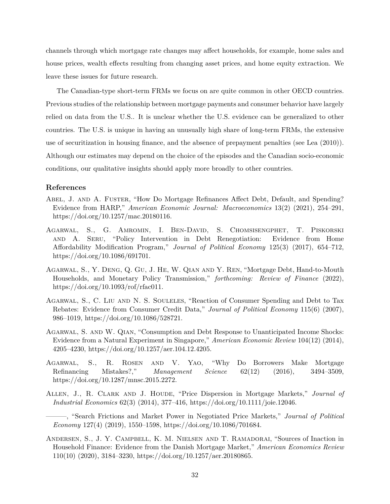channels through which mortgage rate changes may affect households, for example, home sales and house prices, wealth effects resulting from changing asset prices, and home equity extraction. We leave these issues for future research.

The Canadian-type short-term FRMs we focus on are quite common in other OECD countries. Previous studies of the relationship between mortgage payments and consumer behavior have largely relied on data from the U.S.. It is unclear whether the U.S. evidence can be generalized to other countries. The U.S. is unique in having an unusually high share of long-term FRMs, the extensive use of securitization in housing finance, and the absence of prepayment penalties (see [Lea](#page-35-13) [\(2010\)](#page-35-13)). Although our estimates may depend on the choice of the episodes and the Canadian socio-economic conditions, our qualitative insights should apply more broadly to other countries.

#### **References**

- <span id="page-33-2"></span>ABEL, J. AND A. FUSTER, "How Do Mortgage Refinances Affect Debt, Default, and Spending? Evidence from HARP," *American Economic Journal: Macroeconomics* 13(2) (2021), 254–291, https://doi.org/10.1257/mac.20180116.
- <span id="page-33-1"></span>Agarwal, S., G. Amromin, I. Ben-David, S. Chomsisengphet, T. Piskorski and A. Seru, "Policy Intervention in Debt Renegotiation: Evidence from Home Affordability Modification Program," *Journal of Political Economy* 125(3) (2017), 654–712, https://doi.org/10.1086/691701.
- <span id="page-33-0"></span>Agarwal, S., Y. Deng, Q. Gu, J. He, W. Qian and Y. Ren, "Mortgage Debt, Hand-to-Mouth Households, and Monetary Policy Transmission," *forthcoming: Review of Finance* (2022), https://doi.org/10.1093/rof/rfac011.
- <span id="page-33-4"></span>Agarwal, S., C. Liu and N. S. Souleles, "Reaction of Consumer Spending and Debt to Tax Rebates: Evidence from Consumer Credit Data," *Journal of Political Economy* 115(6) (2007), 986–1019, https://doi.org/10.1086/528721.
- <span id="page-33-3"></span>Agarwal, S. and W. Qian, "Consumption and Debt Response to Unanticipated Income Shocks: Evidence from a Natural Experiment in Singapore," *American Economic Review* 104(12) (2014), 4205–4230, https://doi.org/10.1257/aer.104.12.4205.
- <span id="page-33-8"></span>Agarwal, S., R. Rosen and V. Yao, "Why Do Borrowers Make Mortgage Refinancing Mistakes?," *Management Science* 62(12) (2016), 3494–3509, https://doi.org/10.1287/mnsc.2015.2272.
- <span id="page-33-5"></span>ALLEN, J., R. CLARK AND J. HOUDE, "Price Dispersion in Mortgage Markets," *Journal of Industrial Economics* 62(3) (2014), 377–416, https://doi.org/10.1111/joie.12046.

<span id="page-33-6"></span>———, "Search Frictions and Market Power in Negotiated Price Markets," *Journal of Political Economy* 127(4) (2019), 1550–1598, https://doi.org/10.1086/701684.

<span id="page-33-7"></span>Andersen, S., J. Y. Campbell, K. M. Nielsen and T. Ramadorai, "Sources of Inaction in Household Finance: Evidence from the Danish Mortgage Market," *American Economics Review* 110(10) (2020), 3184–3230, https://doi.org/10.1257/aer.20180865.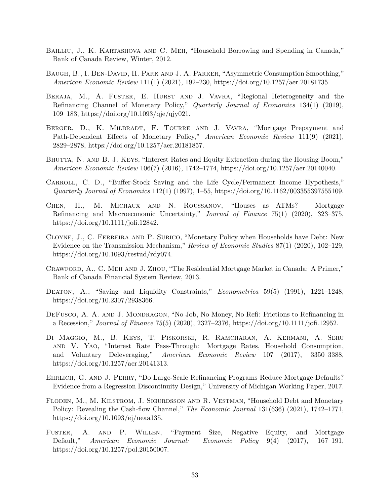- <span id="page-34-12"></span>BAILLIU, J., K. KARTASHOVA AND C. MEH, "Household Borrowing and Spending in Canada," Bank of Canada Review, Winter, 2012.
- <span id="page-34-4"></span>BAUGH, B., I. BEN-DAVID, H. PARK AND J. A. PARKER, "Asymmetric Consumption Smoothing," *American Economic Review* 111(1) (2021), 192–230, https://doi.org/10.1257/aer.20181735.
- <span id="page-34-8"></span>BERAJA, M., A. FUSTER, E. HURST AND J. VAVRA, "Regional Heterogeneity and the Refinancing Channel of Monetary Policy," *Quarterly Journal of Economics* 134(1) (2019), 109–183, https://doi.org/10.1093/qje/qjy021.
- <span id="page-34-14"></span>BERGER, D., K. MILBRADT, F. TOURRE AND J. VAVRA, "Mortgage Prepayment and Path-Dependent Effects of Monetary Policy," *American Economic Review* 111(9) (2021), 2829–2878, https://doi.org/10.1257/aer.20181857.
- <span id="page-34-11"></span>BHUTTA, N. AND B. J. KEYS, "Interest Rates and Equity Extraction during the Housing Boom," *American Economic Review* 106(7) (2016), 1742–1774, https://doi.org/10.1257/aer.20140040.
- <span id="page-34-2"></span>CARROLL, C. D., "Buffer-Stock Saving and the Life Cycle/Permanent Income Hypothesis," *Quarterly Journal of Economics* 112(1) (1997), 1–55, https://doi.org/10.1162/003355397555109.
- <span id="page-34-10"></span>Chen, H., M. Michaux and N. Roussanov, "Houses as ATMs? Mortgage Refinancing and Macroeconomic Uncertainty," *Journal of Finance* 75(1) (2020), 323–375, https://doi.org/10.1111/jofi.12842.
- <span id="page-34-7"></span>Cloyne, J., C. Ferreira and P. Surico, "Monetary Policy when Households have Debt: New Evidence on the Transmission Mechanism," *Review of Economic Studies* 87(1) (2020), 102–129, https://doi.org/10.1093/restud/rdy074.
- <span id="page-34-13"></span>Crawford, A., C. Meh and J. Zhou, "The Residential Mortgage Market in Canada: A Primer," Bank of Canada Financial System Review, 2013.
- <span id="page-34-3"></span>Deaton, A., "Saving and Liquidity Constraints," *Econometrica* 59(5) (1991), 1221–1248, https://doi.org/10.2307/2938366.
- <span id="page-34-9"></span>DEFUSCO, A. A. AND J. MONDRAGON, "No Job, No Money, No Refi: Frictions to Refinancing in a Recession," *Journal of Finance* 75(5) (2020), 2327–2376, https://doi.org/10.1111/jofi.12952.
- <span id="page-34-0"></span>Di Maggio, M., B. Keys, T. Piskorski, R. Ramcharan, A. Kermani, A. Seru and V. Yao, "Interest Rate Pass-Through: Mortgage Rates, Household Consumption, and Voluntary Deleveraging," *American Economic Review* 107 (2017), 3350–3388, https://doi.org/10.1257/aer.20141313.
- <span id="page-34-6"></span>EHRLICH, G. AND J. PERRY, "Do Large-Scale Refinancing Programs Reduce Mortgage Defaults? Evidence from a Regression Discontinuity Design," University of Michigan Working Paper, 2017.
- <span id="page-34-1"></span>Floden, M., M. Kilstrom, J. Sigurdsson and R. Vestman, "Household Debt and Monetary Policy: Revealing the Cash-flow Channel," *The Economic Journal* 131(636) (2021), 1742–1771, https://doi.org/10.1093/ej/ueaa135.
- <span id="page-34-5"></span>Fuster, A. and P. Willen, "Payment Size, Negative Equity, and Mortgage Default," *American Economic Journal: Economic Policy* 9(4) (2017), 167–191, https://doi.org/10.1257/pol.20150007.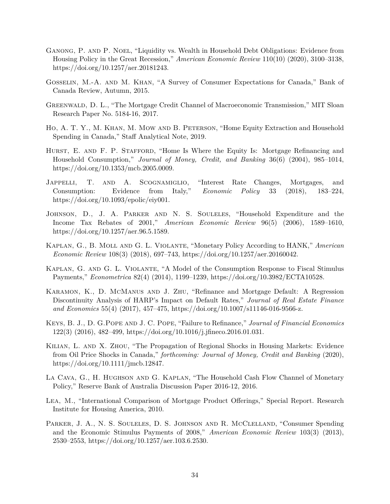- <span id="page-35-3"></span>Ganong, P. and P. Noel, "Liquidity vs. Wealth in Household Debt Obligations: Evidence from Housing Policy in the Great Recession," *American Economic Review* 110(10) (2020), 3100–3138, https://doi.org/10.1257/aer.20181243.
- <span id="page-35-14"></span>Gosselin, M.-A. and M. Khan, "A Survey of Consumer Expectations for Canada," Bank of Canada Review, Autumn, 2015.
- <span id="page-35-8"></span>Greenwald, D. L., "The Mortgage Credit Channel of Macroeconomic Transmission," MIT Sloan Research Paper No. 5184-16, 2017.
- <span id="page-35-10"></span>Ho, A. T. Y., M. Khan, M. Mow and B. Peterson, "Home Equity Extraction and Household Spending in Canada," Staff Analytical Note, 2019.
- <span id="page-35-9"></span>HURST, E. AND F. P. STAFFORD, "Home Is Where the Equity Is: Mortgage Refinancing and Household Consumption," *Journal of Money, Credit, and Banking* 36(6) (2004), 985–1014, https://doi.org/10.1353/mcb.2005.0009.
- <span id="page-35-0"></span>Jappelli, T. and A. Scognamiglio, "Interest Rate Changes, Mortgages, and Consumption: Evidence from Italy," *Economic Policy* 33 (2018), 183–224, https://doi.org/10.1093/epolic/eiy001.
- <span id="page-35-5"></span>Johnson, D., J. A. Parker and N. S. Souleles, "Household Expenditure and the Income Tax Rebates of 2001," *American Economic Review* 96(5) (2006), 1589–1610, https://doi.org/10.1257/aer.96.5.1589.
- <span id="page-35-7"></span>Kaplan, G., B. Moll and G. L. Violante, "Monetary Policy According to HANK," *American Economic Review* 108(3) (2018), 697–743, https://doi.org/10.1257/aer.20160042.
- <span id="page-35-2"></span>Kaplan, G. and G. L. Violante, "A Model of the Consumption Response to Fiscal Stimulus Payments," *Econometrica* 82(4) (2014), 1199–1239, https://doi.org/10.3982/ECTA10528.
- <span id="page-35-4"></span>KARAMON, K., D. MCMANUS AND J. ZHU, "Refinance and Mortgage Default: A Regression Discontinuity Analysis of HARP's Impact on Default Rates," *Journal of Real Estate Finance and Economics* 55(4) (2017), 457–475, https://doi.org/10.1007/s11146-016-9566-z.
- <span id="page-35-12"></span>Keys, B. J., D. G.Pope and J. C. Pope, "Failure to Refinance," *Journal of Financial Economics* 122(3) (2016), 482–499, https://doi.org/10.1016/j.jfineco.2016.01.031.
- <span id="page-35-11"></span>Kilian, L. and X. Zhou, "The Propagation of Regional Shocks in Housing Markets: Evidence from Oil Price Shocks in Canada," *forthcoming: Journal of Money, Credit and Banking* (2020), https://doi.org/10.1111/jmcb.12847.
- <span id="page-35-1"></span>La Cava, G., H. Hughson and G. Kaplan, "The Household Cash Flow Channel of Monetary Policy," Reserve Bank of Australia Discussion Paper 2016-12, 2016.
- <span id="page-35-13"></span>Lea, M., "International Comparison of Mortgage Product Offerings," Special Report. Research Institute for Housing America, 2010.
- <span id="page-35-6"></span>PARKER, J. A., N. S. SOULELES, D. S. JOHNSON AND R. MCCLELLAND, "Consumer Spending and the Economic Stimulus Payments of 2008," *American Economic Review* 103(3) (2013), 2530–2553, https://doi.org/10.1257/aer.103.6.2530.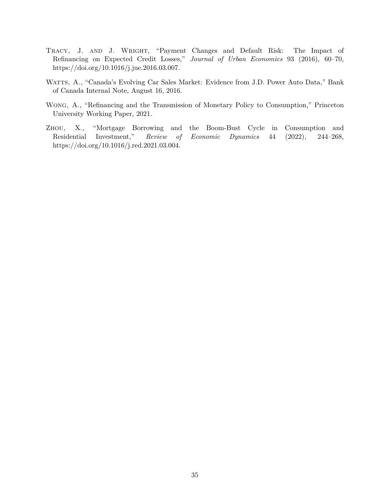- <span id="page-36-0"></span>Tracy, J. and J. Wright, "Payment Changes and Default Risk: The Impact of Refinancing on Expected Credit Losses," *Journal of Urban Economics* 93 (2016), 60–70, https://doi.org/10.1016/j.jue.2016.03.007.
- <span id="page-36-3"></span>WATTS, A., "Canada's Evolving Car Sales Market: Evidence from J.D. Power Auto Data," Bank of Canada Internal Note, August 16, 2016.
- <span id="page-36-1"></span>Wong, A., "Refinancing and the Transmission of Monetary Policy to Consumption," Princeton University Working Paper, 2021.
- <span id="page-36-2"></span>Zhou, X., "Mortgage Borrowing and the Boom-Bust Cycle in Consumption and Residential Investment," *Review of Economic Dynamics* 44 (2022), 244–268, https://doi.org/10.1016/j.red.2021.03.004.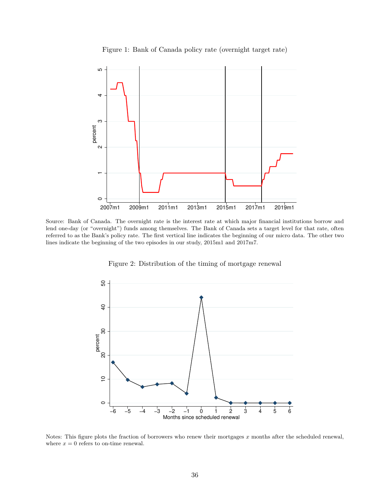

<span id="page-37-0"></span>

Source: Bank of Canada. The overnight rate is the interest rate at which major financial institutions borrow and lend one-day (or "overnight") funds among themselves. The Bank of Canada sets a target level for that rate, often referred to as the Bank's policy rate. The first vertical line indicates the beginning of our micro data. The other two lines indicate the beginning of the two episodes in our study, 2015m1 and 2017m7.

Figure 2: Distribution of the timing of mortgage renewal

<span id="page-37-1"></span>

Notes: This figure plots the fraction of borrowers who renew their mortgages *x* months after the scheduled renewal, where  $x = 0$  refers to on-time renewal.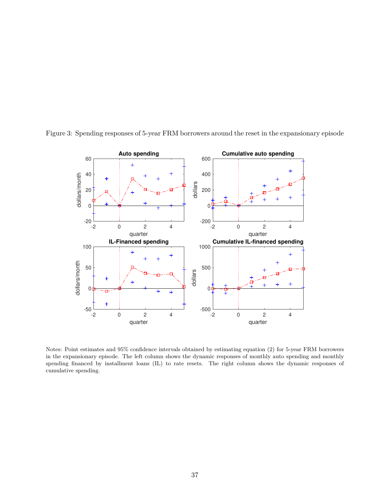

<span id="page-38-0"></span>Figure 3: Spending responses of 5-year FRM borrowers around the reset in the expansionary episode

Notes: Point estimates and 95% confidence intervals obtained by estimating equation [\(2\)](#page-13-0) for 5-year FRM borrowers in the expansionary episode. The left column shows the dynamic responses of monthly auto spending and monthly spending financed by installment loans (IL) to rate resets. The right column shows the dynamic responses of cumulative spending.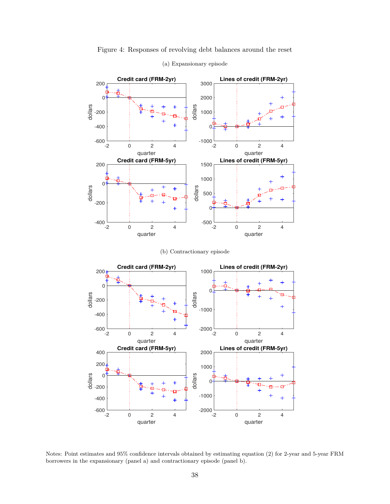<span id="page-39-0"></span>

Figure 4: Responses of revolving debt balances around the reset (a) Expansionary episode

(b) Contractionary episode



Notes: Point estimates and 95% confidence intervals obtained by estimating equation [\(2\)](#page-13-0) for 2-year and 5-year FRM borrowers in the expansionary (panel a) and contractionary episode (panel b).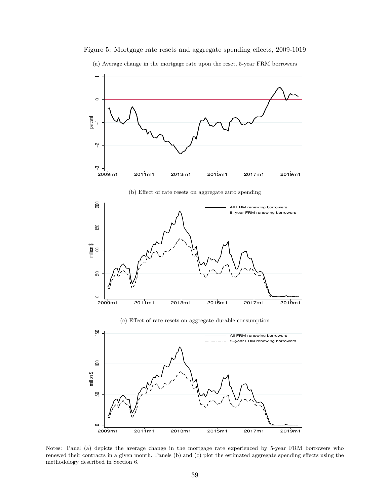

Figure 5: Mortgage rate resets and aggregate spending effects, 2009-1019

(a) Average change in the mortgage rate upon the reset, 5-year FRM borrowers

Notes: Panel (a) depicts the average change in the mortgage rate experienced by 5-year FRM borrowers who renewed their contracts in a given month. Panels (b) and (c) plot the estimated aggregate spending effects using the methodology described in Section 6.

2009m1 2011m1 2013m1 2015m1 2017m1 2019m1

 $\circ$ 

million \$

 $\approx$ 

SS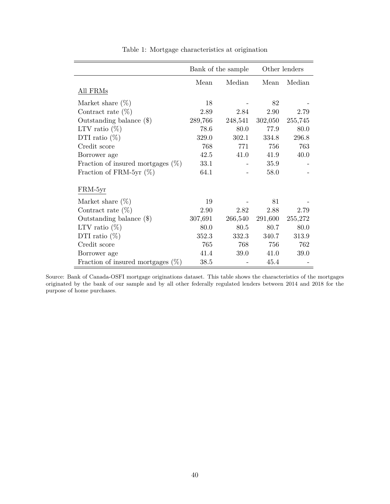<span id="page-41-0"></span>

|                                      |         | Bank of the sample | Other lenders |         |  |  |
|--------------------------------------|---------|--------------------|---------------|---------|--|--|
|                                      | Mean    | Median             | Mean          | Median  |  |  |
| All FRMs                             |         |                    |               |         |  |  |
| Market share $(\%)$                  | 18      |                    | 82            |         |  |  |
| Contract rate $(\%)$                 | 2.89    | 2.84               | 2.90          | 2.79    |  |  |
| Outstanding balance $(\$)$           | 289,766 | 248,541            | 302,050       | 255,745 |  |  |
| LTV ratio $(\%)$                     | 78.6    | 80.0               | 77.9          | 80.0    |  |  |
| DTI ratio $(\%)$                     | 329.0   | 302.1              | 334.8         | 296.8   |  |  |
| Credit score                         | 768     | 771                | 756           | 763     |  |  |
| Borrower age                         | 42.5    | 41.0               | 41.9          | 40.0    |  |  |
| Fraction of insured mortgages $(\%)$ | 33.1    |                    | 35.9          |         |  |  |
| Fraction of FRM-5yr $(\%)$           | 64.1    |                    | 58.0          |         |  |  |
| FRM-5yr                              |         |                    |               |         |  |  |
| Market share $(\%)$                  | 19      |                    | 81            |         |  |  |
| Contract rate $(\%)$                 | 2.90    | 2.82               | 2.88          | 2.79    |  |  |
| Outstanding balance $(\$)$           | 307,691 | 266,540            | 291,600       | 255,272 |  |  |
| LTV ratio $(\%)$                     | 80.0    | 80.5               | 80.7          | 80.0    |  |  |
| DTI ratio $(\%)$                     | 352.3   | 332.3              | 340.7         | 313.9   |  |  |
| Credit score                         | 765     | 768                | 756           | 762     |  |  |
| Borrower age                         | 41.4    | 39.0               | 41.0          | 39.0    |  |  |
| Fraction of insured mortgages $(\%)$ | 38.5    |                    | 45.4          |         |  |  |

Table 1: Mortgage characteristics at origination

Source: Bank of Canada-OSFI mortgage originations dataset. This table shows the characteristics of the mortgages originated by the bank of our sample and by all other federally regulated lenders between 2014 and 2018 for the purpose of home purchases.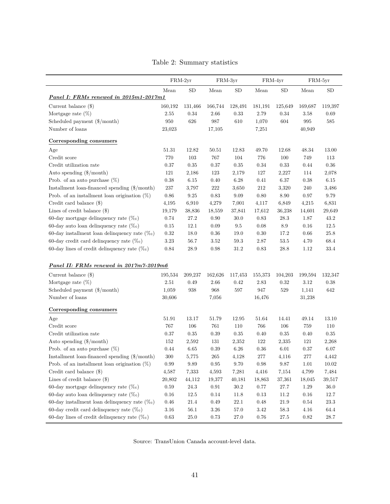|  |  | Table 2: Summary statistics |  |
|--|--|-----------------------------|--|
|--|--|-----------------------------|--|

<span id="page-42-0"></span>

|                                                   |          | $FRM-2yr$  |            | FRM-3yr    | FRM-4yr |            |                    | FRM-5yr   |
|---------------------------------------------------|----------|------------|------------|------------|---------|------------|--------------------|-----------|
|                                                   | Mean     | ${\rm SD}$ | Mean       | SD         | Mean    | ${\rm SD}$ | Mean               | <b>SD</b> |
| Panel I: FRMs renewed in 2015m1-2017m1            |          |            |            |            |         |            |                    |           |
| Current balance $(\$)$                            | 160,192  | 131,466    | 166,744    | 128,491    | 181,191 | 125,649    | 169,687            | 119,397   |
| Mortgage rate $(\%)$                              | 2.55     | 0.34       | 2.66       | 0.33       | 2.79    | 0.34       | 3.58               | 0.69      |
| Scheduled payment (\$/month)                      | $950\,$  | 626        | $987\,$    | $610\,$    | 1,070   | 604        | $\boldsymbol{995}$ | 585       |
| Number of loans                                   | 23,023   |            | 17,105     |            | 7,251   |            | 40,949             |           |
| Corresponding consumers                           |          |            |            |            |         |            |                    |           |
| Age                                               | 51.31    | 12.82      | 50.51      | 12.83      | 49.70   | 12.68      | 48.34              | 13.00     |
| Credit score                                      | 770      | 103        | 767        | 104        | 776     | 100        | 749                | 113       |
| Credit utilization rate                           | 0.37     | $0.35\,$   | 0.37       | $\rm 0.35$ | 0.34    | $0.33\,$   | 0.44               | 0.36      |
| Auto spending (\$/month)                          | 121      | 2,186      | 123        | 2,179      | 127     | 2,227      | 114                | 2,078     |
| Prob. of an auto purchase $(\%)$                  | $0.38\,$ | 6.15       | 0.40       | 6.28       | 0.41    | 6.37       | 0.38               | 6.15      |
| Installment loan-financed spending (\$/month)     | 237      | 3,797      | $222\,$    | 3,650      | $212\,$ | 3,320      | 240                | 3,486     |
| Prob. of an installment loan origination $(\%)$   | 0.86     | 9.25       | 0.83       | 9.09       | 0.80    | 8.90       | 0.97               | 9.79      |
| Credit card balance (\$)                          | 4,195    | 6,910      | 4,279      | 7,001      | 4,117   | 6,849      | 4,215              | 6,831     |
| Lines of credit balance $(\$)$                    | 19,179   | 38,836     | 18,559     | 37,841     | 17,612  | 36,238     | 14,601             | 29,649    |
| 60-day mortgage delinquency rate $(\%_0)$         | 0.74     | 27.2       | 0.90       | 30.0       | 0.83    | 28.3       | 1.87               | 43.2      |
| 60-day auto loan delinquency rate $(\%_0)$        | 0.15     | 12.1       | 0.09       | 9.5        | 0.08    | 8.9        | 0.16               | 12.5      |
| 60-day installment loan delinquency rate $(\%_0)$ | 0.32     | 18.0       | 0.36       | 19.0       | 0.30    | 17.2       | 0.66               | $25.8\,$  |
| 60-day credit card delinquency rate $(\%_0)$      | 3.23     | 56.7       | 3.52       | 59.3       | 2.87    | $53.5\,$   | 4.70               | 68.4      |
| 60-day lines of credit delinquency rate $(\%_0)$  | 0.84     | 28.9       | 0.98       | 31.2       | 0.83    | 28.8       | 1.12               | 33.4      |
|                                                   |          |            |            |            |         |            |                    |           |
| Panel II: FRMs renewed in 2017m7-2019m6           |          |            |            |            |         |            |                    |           |
| Current balance $(\$)$                            | 195,534  | 209,237    | 162,626    | 117,453    | 155,373 | 104,203    | 199,594            | 132,347   |
| Mortgage rate $(\%)$                              | 2.51     | 0.49       | 2.66       | 0.42       | 2.83    | 0.32       | 3.12               | 0.38      |
| Scheduled payment (\$/month)                      | 1,059    | 938        | $968\,$    | $597\,$    | 947     | 529        | 1,141              | 642       |
| Number of loans                                   | 30,606   |            | 7,056      |            | 16,476  |            | 31,238             |           |
| Corresponding consumers                           |          |            |            |            |         |            |                    |           |
| Age                                               | 51.91    | 13.17      | 51.79      | 12.95      | 51.64   | 14.41      | 49.14              | 13.10     |
| Credit score                                      | 767      | 106        | 761        | 110        | 766     | 106        | 759                | 110       |
| Credit utilization rate                           | 0.37     | 0.35       | 0.39       | 0.35       | 0.40    | 0.35       | 0.40               | 0.35      |
| Auto spending $(\$/month)$                        | 152      | 2,592      | 131        | 2,352      | 122     | 2,335      | 121                | 2,268     |
| Prob. of an auto purchase $(\%)$                  | 0.44     | 6.65       | 0.39       | $6.26\,$   | 0.36    | 6.01       | 0.37               | 6.07      |
| Installment loan-financed spending (\$/month)     | $300\,$  | 5,775      | $265\,$    | 4,128      | $277\,$ | $4,\!116$  | $277\,$            | $4,\!442$ |
| Prob. of an installment loan origination $(\%)$   | 0.99     | 9.89       | 0.95       | 9.70       | 0.98    | 9.87       | 1.01               | 10.02     |
| Credit card balance $(\$)$                        | 4,587    | 7,333      | 4,593      | 7,281      | 4,416   | 7,154      | 4,799              | 7,484     |
| Lines of credit balance $(\$)$                    | 20,802   | 44,112     | 19,377     | 40,181     | 18,863  | 37,361     | 18,045             | 39,517    |
| 60-day mortgage delinquency rate $(\%_0)$         | 0.59     | $24.3\,$   | $\rm 0.91$ | $30.2\,$   | 0.77    | $27.7\,$   | 1.29               | 36.0      |
| 60-day auto loan delinquency rate $(\%_0)$        | $0.16\,$ | $12.5\,$   | 0.14       | 11.8       | 0.13    | 11.2       | $0.16\,$           | 12.7      |
| 60-day installment loan delinquency rate $(\%_0)$ | $0.46\,$ | 21.4       | 0.49       | 22.1       | 0.48    | 21.9       | 0.54               | 23.3      |
| 60-day credit card delinquency rate $(\%_0)$      | 3.16     | 56.1       | 3.26       | 57.0       | 3.42    | $58.3\,$   | 4.16               | 64.4      |
| 60-day lines of credit delinquency rate $(\%_0)$  | $0.63\,$ | 25.0       | $0.73\,$   | 27.0       | 0.76    | $27.5\,$   | $0.82\,$           | $28.7\,$  |

Source: TransUnion Canada account-level data.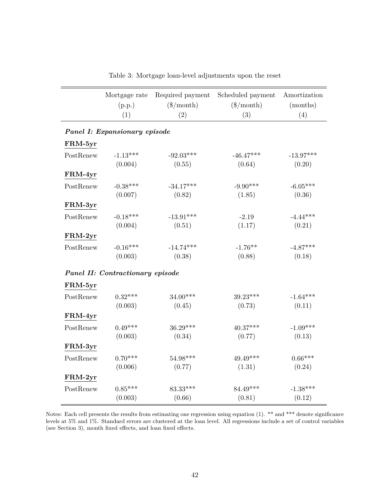<span id="page-43-0"></span>

|           | Mortgage rate<br>(p.p.)<br>(1)   | Required payment<br>$(\$/month)$<br>(2) | Scheduled payment<br>$(\$/month)$<br>(3) | Amortization<br>(months)<br>(4) |  |  |  |  |  |  |  |  |  |
|-----------|----------------------------------|-----------------------------------------|------------------------------------------|---------------------------------|--|--|--|--|--|--|--|--|--|
|           |                                  |                                         |                                          |                                 |  |  |  |  |  |  |  |  |  |
|           | Panel I: Expansionary episode    |                                         |                                          |                                 |  |  |  |  |  |  |  |  |  |
| FRM-5yr   |                                  |                                         |                                          |                                 |  |  |  |  |  |  |  |  |  |
| PostRenew | $-1.13***$                       | $-92.03***$                             | $-46.47***$                              | $-13.97***$                     |  |  |  |  |  |  |  |  |  |
|           | (0.004)                          | (0.55)                                  | (0.64)                                   | (0.20)                          |  |  |  |  |  |  |  |  |  |
| FRM-4yr   |                                  |                                         |                                          |                                 |  |  |  |  |  |  |  |  |  |
| PostRenew | $-0.38***$                       | $-34.17***$                             | $-9.90***$                               | $-6.05***$                      |  |  |  |  |  |  |  |  |  |
|           | (0.007)                          | (0.82)                                  | (1.85)                                   | (0.36)                          |  |  |  |  |  |  |  |  |  |
| FRM-3yr   |                                  |                                         |                                          |                                 |  |  |  |  |  |  |  |  |  |
| PostRenew | $-0.18***$                       | $-13.91***$                             | $-2.19$                                  | $-4.44***$                      |  |  |  |  |  |  |  |  |  |
|           | (0.004)                          | (0.51)                                  | (1.17)                                   | (0.21)                          |  |  |  |  |  |  |  |  |  |
| FRM-2yr   |                                  |                                         |                                          |                                 |  |  |  |  |  |  |  |  |  |
| PostRenew | $-0.16***$                       | $-14.74***$                             | $-1.76**$                                | $-4.87***$                      |  |  |  |  |  |  |  |  |  |
|           | (0.003)                          | (0.38)                                  | (0.88)                                   | (0.18)                          |  |  |  |  |  |  |  |  |  |
|           | Panel II: Contractionary episode |                                         |                                          |                                 |  |  |  |  |  |  |  |  |  |
| FRM-5yr   |                                  |                                         |                                          |                                 |  |  |  |  |  |  |  |  |  |
| PostRenew | $0.32***$                        | 34.00***                                | 39.23***                                 | $-1.64***$                      |  |  |  |  |  |  |  |  |  |
|           | (0.003)                          | (0.45)                                  | (0.73)                                   | (0.11)                          |  |  |  |  |  |  |  |  |  |
| FRM-4yr   |                                  |                                         |                                          |                                 |  |  |  |  |  |  |  |  |  |
| PostRenew | $0.49***$                        | $36.29***$                              | $40.37***$                               | $-1.09***$                      |  |  |  |  |  |  |  |  |  |
|           | (0.003)                          | (0.34)                                  | (0.77)                                   | (0.13)                          |  |  |  |  |  |  |  |  |  |
| FRM-3yr   |                                  |                                         |                                          |                                 |  |  |  |  |  |  |  |  |  |
| PostRenew | $0.70***$                        | $54.98***$                              | $49.49***$                               | $0.66***$                       |  |  |  |  |  |  |  |  |  |
|           | (0.006)                          | (0.77)                                  | (1.31)                                   | (0.24)                          |  |  |  |  |  |  |  |  |  |
| FRM-2yr   |                                  |                                         |                                          |                                 |  |  |  |  |  |  |  |  |  |
| PostRenew | $0.85***$                        | 83.33***                                | 84.49***                                 | $-1.38***$                      |  |  |  |  |  |  |  |  |  |
|           | (0.003)                          | (0.66)                                  | (0.81)                                   | (0.12)                          |  |  |  |  |  |  |  |  |  |

<span id="page-43-1"></span>Table 3: Mortgage loan-level adjustments upon the reset

Notes: Each cell presents the results from estimating one regression using equation [\(1\)](#page-12-0). \*\* and \*\*\* denote significance levels at 5% and 1%. Standard errors are clustered at the loan level. All regressions include a set of control variables (see Section 3), month fixed effects, and loan fixed effects.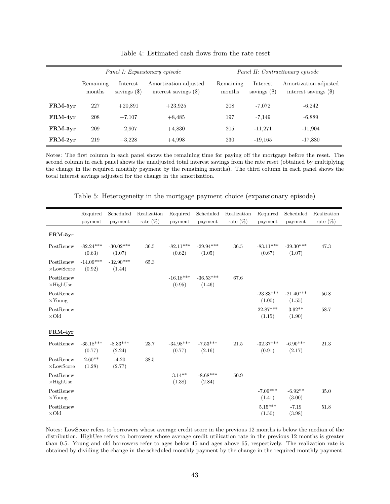<span id="page-44-0"></span>

|           |                     |                            | Panel I: Expansionary episode                    | Panel II: Contractionary episode |                            |                                                  |  |  |
|-----------|---------------------|----------------------------|--------------------------------------------------|----------------------------------|----------------------------|--------------------------------------------------|--|--|
|           | Remaining<br>months | Interest<br>savings $(\$)$ | Amortization-adjusted<br>interest savings $(\$)$ | Remaining<br>months              | Interest<br>savings $(\$)$ | Amortization-adjusted<br>interest savings $(\$)$ |  |  |
| FRM-5yr   | 227                 | $+20.891$                  | $+23.925$                                        | 208                              | $-7,072$                   | $-6,242$                                         |  |  |
| FRM-4yr   | 208                 | $+7,107$                   | $+8,485$                                         | 197                              | $-7,149$                   | $-6,889$                                         |  |  |
| FRM-3yr   | 209                 | $+2,907$                   | $+4,830$                                         | 205                              | $-11,271$                  | $-11,904$                                        |  |  |
| $FRM-2yr$ | 219                 | $+3,228$                   | $+4.998$                                         | 230                              | $-19,165$                  | $-17,880$                                        |  |  |

Table 4: Estimated cash flows from the rate reset

Notes: The first column in each panel shows the remaining time for paying off the mortgage before the reset. The second column in each panel shows the unadjusted total interest savings from the rate reset (obtained by multiplying the change in the required monthly payment by the remaining months). The third column in each panel shows the total interest savings adjusted for the change in the amortization.

Table 5: Heterogeneity in the mortgage payment choice (expansionary episode)

<span id="page-44-1"></span>

|                                    | Required<br>payment   | Scheduled<br>payment  | Realization<br>rate $(\%)$ | Required<br>payment               | Scheduled<br>payment  | Realization<br>rate $(\%)$ | Required<br>payment   | Scheduled<br>payment  | Realization<br>rate $(\%)$ |
|------------------------------------|-----------------------|-----------------------|----------------------------|-----------------------------------|-----------------------|----------------------------|-----------------------|-----------------------|----------------------------|
| FRM-5yr                            |                       |                       |                            |                                   |                       |                            |                       |                       |                            |
| PostRenew                          | $-82.24***$<br>(0.63) | $-30.02***$<br>(1.07) | 36.5                       | $-82.11***$<br>(0.62)             | $-29.94***$<br>(1.05) | 36.5                       | $-83.11***$<br>(0.67) | $-39.30***$<br>(1.07) | 47.3                       |
| PostRenew<br>$\times$ LowScore     | $-14.09***$<br>(0.92) | $-32.90***$<br>(1.44) | 65.3                       |                                   |                       |                            |                       |                       |                            |
| PostRenew<br>$\times$ HighUse      |                       |                       |                            | $-16.18***$<br>(0.95)             | $-36.53***$<br>(1.46) | 67.6                       |                       |                       |                            |
| PostRenew<br>$\times$ Young        |                       |                       |                            |                                   |                       |                            | $-23.83***$<br>(1.00) | $-21.40***$<br>(1.55) | 56.8                       |
| PostRenew<br>$\times\text{Old}$    |                       |                       |                            |                                   |                       |                            | $22.87***$<br>(1.15)  | $3.92**$<br>(1.90)    | 58.7                       |
| FRM-4yr                            |                       |                       |                            |                                   |                       |                            |                       |                       |                            |
| PostRenew                          | $-35.18***$<br>(0.77) | $-8.33***$<br>(2.24)  | 23.7                       | $-34.98^{\ast\ast\ast}$<br>(0.77) | $-7.53***$<br>(2.16)  | 21.5                       | $-32.37***$<br>(0.91) | $-6.90***$<br>(2.17)  | 21.3                       |
| PostRenew<br>$\times \rm LowScore$ | $2.60**$<br>(1.28)    | $-4.20$<br>(2.77)     | 38.5                       |                                   |                       |                            |                       |                       |                            |
| PostRenew<br>$\times$ HighUse      |                       |                       |                            | $3.14**$<br>(1.38)                | $-8.68***$<br>(2.84)  | 50.9                       |                       |                       |                            |
| PostRenew<br>$\times$ Young        |                       |                       |                            |                                   |                       |                            | $-7.09***$<br>(1.41)  | $-6.92**$<br>(3.00)   | 35.0                       |
| PostRenew<br>$\times\text{Old}$    |                       |                       |                            |                                   |                       |                            | $5.15***$<br>(1.50)   | $-7.19$<br>(3.98)     | 51.8                       |

Notes: LowScore refers to borrowers whose average credit score in the previous 12 months is below the median of the distribution. HighUse refers to borrowers whose average credit utilization rate in the previous 12 months is greater than 0.5. Young and old borrowers refer to ages below 45 and ages above 65, respectively. The realization rate is obtained by dividing the change in the scheduled monthly payment by the change in the required monthly payment.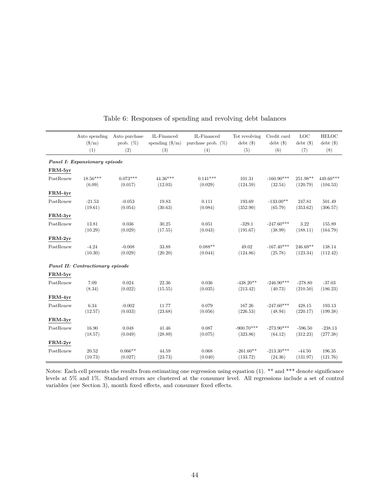<span id="page-45-0"></span>

|                               | Auto spending                    | Auto purchase    | IL-Financed       | IL-Financed           | Tot revolving           | Credit card             | LOC                     | <b>HELOC</b>            |  |  |  |  |
|-------------------------------|----------------------------------|------------------|-------------------|-----------------------|-------------------------|-------------------------|-------------------------|-------------------------|--|--|--|--|
|                               | $(\frac{\text{m}}{\text{m}})$    | prob. $(\%)$     | spending $(\$/m)$ | purchase prob. $(\%)$ | $_{\text{debt}}$ $(\$)$ | $_{\text{debt}}$ $(\$)$ | $_{\text{debt}}$ $(\$)$ | $_{\text{debt}}$ $(\$)$ |  |  |  |  |
|                               | (1)                              | (2)              | (3)               | (4)                   | (5)                     | (6)                     | (7)                     | (8)                     |  |  |  |  |
| Panel I: Expansionary episode |                                  |                  |                   |                       |                         |                         |                         |                         |  |  |  |  |
| FRM-5yr                       |                                  |                  |                   |                       |                         |                         |                         |                         |  |  |  |  |
| PostRenew                     | $18.56***$                       | $0.073***$       | $44.36***$        | $0.141***$            | 101.31                  | $-160.90***$            | 251.98**                | 449.60***               |  |  |  |  |
|                               | (6.09)                           | (0.017)          | (12.03)           | (0.029)               | (124.59)                | (32.54)                 | (120.79)                | (104.53)                |  |  |  |  |
| FRM-4yr                       |                                  |                  |                   |                       |                         |                         |                         |                         |  |  |  |  |
| PostRenew                     | $-21.53$                         | $-0.053$         | 19.83             | 0.111                 | 193.69                  | $-133.00**$             | 247.81                  | 501.49                  |  |  |  |  |
|                               | (19.61)                          | (0.054)          | (30.63)           | (0.084)               | (352.90)                | (65.79)                 | (353.62)                | (306.57)                |  |  |  |  |
| FRM-3yr                       |                                  |                  |                   |                       |                         |                         |                         |                         |  |  |  |  |
| PostRenew                     | 13.81                            | 0.036            | 30.25             | 0.051                 | $-329.1$                | $-247.60***$            | 3.22                    | 155.89                  |  |  |  |  |
|                               | (10.29)                          | (0.029)          | (17.55)           | (0.043)               | (191.67)                | (38.99)                 | (188.11)                | (164.79)                |  |  |  |  |
| FRM-2yr                       |                                  |                  |                   |                       |                         |                         |                         |                         |  |  |  |  |
| PostRenew                     | $-4.24$                          | $-0.008$         | 33.88             | $0.088**$             | 49.02                   | $-167.40***$            | $246.69**$              | 138.14                  |  |  |  |  |
|                               | (10.30)                          | (0.029)          | (20.20)           | (0.044)               | (124.86)                | (25.78)                 | (123.34)                | (112.42)                |  |  |  |  |
|                               | Panel II: Contractionary episode |                  |                   |                       |                         |                         |                         |                         |  |  |  |  |
|                               |                                  |                  |                   |                       |                         |                         |                         |                         |  |  |  |  |
| FRM-5yr                       |                                  |                  |                   |                       |                         |                         |                         |                         |  |  |  |  |
| PostRenew                     | 7.09<br>(8.34)                   | 0.024<br>(0.022) | 22.36<br>(15.55)  | 0.036<br>(0.035)      | $-438.20**$<br>(213.42) | $-246.90***$<br>(40.73) | $-278.80$<br>(210.50)   | $-37.03$<br>(186.23)    |  |  |  |  |
|                               |                                  |                  |                   |                       |                         |                         |                         |                         |  |  |  |  |
| FRM-4yr                       |                                  |                  |                   |                       |                         |                         |                         |                         |  |  |  |  |
| PostRenew                     | 6.34                             | $-0.002$         | 11.77             | 0.079                 | 167.26                  | $-247.60***$            | 428.15                  | 193.13                  |  |  |  |  |
|                               | (12.57)                          | (0.033)          | (23.68)           | (0.056)               | (226.53)                | (48.94)                 | (220.17)                | (199.38)                |  |  |  |  |
| FRM-3yr                       |                                  |                  |                   |                       |                         |                         |                         |                         |  |  |  |  |
| PostRenew                     | 16.90                            | 0.048            | 41.46             | 0.087                 | $-900.70***$            | $-273.90***$            | $-596.50$               | $-238.13$               |  |  |  |  |
|                               | (18.57)                          | (0.049)          | (28.89)           | (0.075)               | (323.86)                | (64.12)                 | (312.23)                | (277.38)                |  |  |  |  |
| FRM-2yr                       |                                  |                  |                   |                       |                         |                         |                         |                         |  |  |  |  |
| PostRenew                     | 20.52                            | $0.066**$        | 44.59             | 0.068                 | $-261.60**$             | $-213.30***$            | $-44.50$                | 196.35                  |  |  |  |  |
|                               | (10.73)                          | (0.027)          | (23.73)           | (0.040)               | (133.72)                | (24.36)                 | (131.97)                | (121.76)                |  |  |  |  |

<span id="page-45-1"></span>Table 6: Responses of spending and revolving debt balances

Notes: Each cell presents the results from estimating one regression using equation [\(1\)](#page-12-0). \*\* and \*\*\* denote significance levels at 5% and 1%. Standard errors are clustered at the consumer level. All regressions include a set of control variables (see Section 3), month fixed effects, and consumer fixed effects.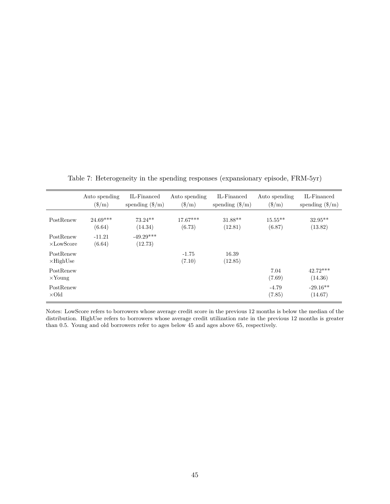<span id="page-46-0"></span>

|                                | Auto spending<br>$(\$/m)$ | IL-Financed<br>spending $(\frac{6}{m})$ | Auto spending<br>$(\$/m)$ | IL-Financed<br>spending $(\frac{2}{m})$ | Auto spending<br>$(\$/m)$ | IL-Financed<br>spending $(\frac{2}{m})$ |
|--------------------------------|---------------------------|-----------------------------------------|---------------------------|-----------------------------------------|---------------------------|-----------------------------------------|
| PostRenew                      | $24.69***$<br>(6.64)      | $73.24**$<br>(14.34)                    | $17.67***$<br>(6.73)      | $31.88**$<br>(12.81)                    | $15.55***$<br>(6.87)      | $32.95**$<br>(13.82)                    |
| PostRenew<br>$\times$ LowScore | $-11.21$<br>(6.64)        | $-49.29***$<br>(12.73)                  |                           |                                         |                           |                                         |
| PostRenew<br>$\times$ HighUse  |                           |                                         | $-1.75$<br>(7.10)         | 16.39<br>(12.85)                        |                           |                                         |
| PostRenew<br>$\times$ Young    |                           |                                         |                           |                                         | 7.04<br>(7.69)            | $42.72***$<br>(14.36)                   |
| PostRenew<br>$\times$ Old      |                           |                                         |                           |                                         | $-4.79$<br>(7.85)         | $-29.16**$<br>(14.67)                   |

Table 7: Heterogeneity in the spending responses (expansionary episode, FRM-5yr)

Notes: LowScore refers to borrowers whose average credit score in the previous 12 months is below the median of the distribution. HighUse refers to borrowers whose average credit utilization rate in the previous 12 months is greater than 0.5. Young and old borrowers refer to ages below 45 and ages above 65, respectively.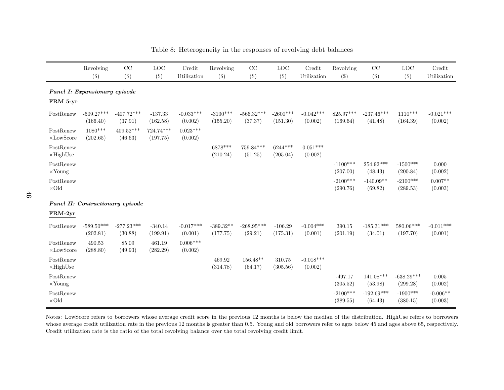|                                    | Revolving                        | CC                      | LOC                   | Credit                 | Revolving               | $\rm CC$                | <b>LOC</b>             | Credit                 | Revolving              | CC                      | <b>LOC</b>               | Credit                 |
|------------------------------------|----------------------------------|-------------------------|-----------------------|------------------------|-------------------------|-------------------------|------------------------|------------------------|------------------------|-------------------------|--------------------------|------------------------|
|                                    | $(\$)$                           | $(\$)$                  | $(\$\)$               | Utilization            | $(\$)$                  | $(\$)$                  | $(\$)$                 | Utilization            | $(\$)$                 | $(\$)$                  | $(\$)$                   | Utilization            |
|                                    | Panel I: Expansionary episode    |                         |                       |                        |                         |                         |                        |                        |                        |                         |                          |                        |
| FRM 5-yr                           |                                  |                         |                       |                        |                         |                         |                        |                        |                        |                         |                          |                        |
| PostRenew                          | $-509.27***$<br>(166.40)         | $-407.72***$<br>(37.91) | $-137.33$<br>(162.58) | $-0.033***$<br>(0.002) | $-3100***$<br>(155.20)  | $-566.32***$<br>(37.37) | $-2600***$<br>(151.30) | $-0.042***$<br>(0.002) | 825.97***<br>(169.64)  | $-237.46***$<br>(41.48) | $1110***$<br>(164.39)    | $-0.021***$<br>(0.002) |
| PostRenew<br>$\times \rm LowScore$ | $1080***$<br>(202.65)            | $409.52***$<br>(46.63)  | 724.74***<br>(197.75) | $0.023***$<br>(0.002)  |                         |                         |                        |                        |                        |                         |                          |                        |
| PostRenew<br>$\times$ HighUse      |                                  |                         |                       |                        | 6878***<br>(210.24)     | $759.84***$<br>(51.25)  | $6244***$<br>(205.04)  | $0.051***$<br>(0.002)  |                        |                         |                          |                        |
| PostRenew<br>$\times$ Young        |                                  |                         |                       |                        |                         |                         |                        |                        | $-1100***$<br>(207.00) | 254.92***<br>(48.43)    | $-1500***$<br>(200.84)   | 0.000<br>(0.002)       |
| PostRenew<br>$\times$ Old          |                                  |                         |                       |                        |                         |                         |                        |                        | $-2100***$<br>(290.76) | $-140.09**$<br>(69.82)  | $-2100***$<br>(289.53)   | $0.007**$<br>(0.003)   |
|                                    | Panel II: Contractionary episode |                         |                       |                        |                         |                         |                        |                        |                        |                         |                          |                        |
| $FRM-2yr$                          |                                  |                         |                       |                        |                         |                         |                        |                        |                        |                         |                          |                        |
| PostRenew                          | $-589.50***$<br>(202.81)         | $-277.23***$<br>(30.88) | $-340.14$<br>(199.91) | $-0.017***$<br>(0.001) | $-389.32**$<br>(177.75) | $-268.95***$<br>(29.21) | $-106.29$<br>(175.31)  | $-0.004***$<br>(0.001) | 390.15<br>(201.19)     | $-185.31***$<br>(34.01) | $580.06***$<br>(197.70)  | $-0.011***$<br>(0.001) |
| PostRenew<br>$\times$ LowScore     | 490.53<br>(288.80)               | 85.09<br>(49.93)        | 461.19<br>(282.29)    | $0.006***$<br>(0.002)  |                         |                         |                        |                        |                        |                         |                          |                        |
| PostRenew<br>$\times$ HighUse      |                                  |                         |                       |                        | 469.92<br>(314.78)      | $156.48**$<br>(64.17)   | 310.75<br>(305.56)     | $-0.018***$<br>(0.002) |                        |                         |                          |                        |
| PostRenew<br>$\times$ Young        |                                  |                         |                       |                        |                         |                         |                        |                        | $-497.17$<br>(305.52)  | $141.08***$<br>(53.98)  | $-638.29***$<br>(299.28) | 0.005<br>(0.002)       |
| PostRenew<br>$\times$ Old          |                                  |                         |                       |                        |                         |                         |                        |                        | $-2100***$<br>(389.55) | $-192.69***$<br>(64.43) | $-1900***$<br>(380.15)   | $-0.006**$<br>(0.003)  |

Table 8: Heterogeneity in the responses of revolving debt balances

<span id="page-47-0"></span>Notes: LowScore refers to borrowers whose average credit score in the previous 12 months is below the median of the distribution. HighUse refers to borrowers whose average credit utilization rate in the previous 12 months is greater than 0.5. Young and old borrowers refer to ages below 45 and ages above 65, respectively.Credit utilization rate is the ratio of the total revolving balance over the total revolving credit limit.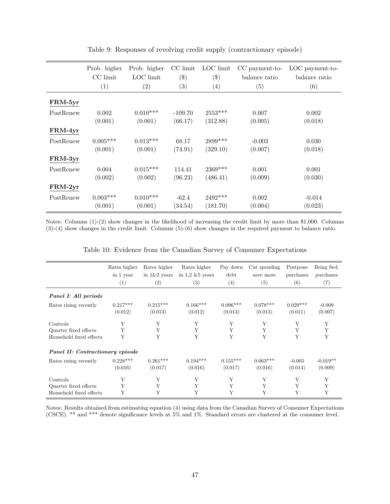<span id="page-48-0"></span>

|                  | Prob. higher | Prob. higher | CC limit          | LOC limit | CC payment-to- | LOC payment-to- |
|------------------|--------------|--------------|-------------------|-----------|----------------|-----------------|
|                  | CC limit     | LOC limit    | $($ \$)           | $(\$\)$   | balance ratio  | balance ratio   |
|                  | (1)          | (2)          | $\left( 3\right)$ | (4)       | (5)            | (6)             |
| FRM-5yr          |              |              |                   |           |                |                 |
| PostRenew        | 0.002        | $0.010***$   | $-109.70$         | $2553***$ | 0.007          | 0.002           |
|                  | (0.001)      | (0.001)      | (66.17)           | (312.88)  | (0.005)        | (0.018)         |
| FRM-4yr          |              |              |                   |           |                |                 |
| PostRenew        | $0.005***$   | $0.013***$   | 68.17             | 2899***   | $-0.003$       | 0.030           |
|                  | (0.001)      | (0.001)      | (74.91)           | (329.10)  | (0.007)        | (0.018)         |
| FRM-3yr          |              |              |                   |           |                |                 |
| PostRenew        | 0.004        | $0.015***$   | 114.41            | 2369***   | 0.001          | 0.001           |
|                  | (0.002)      | (0.002)      | (96.23)           | (486.41)  | (0.009)        | (0.030)         |
| $\text{FRM-2yr}$ |              |              |                   |           |                |                 |
| PostRenew        | $0.003***$   | $0.010***$   | $-62.4$           | $2492***$ | 0.002          | $-0.014$        |
|                  | (0.001)      | (0.001)      | (34.54)           | (181.70)  | (0.004)        | (0.023)         |

Table 9: Responses of revolving credit supply (contractionary episode)

Notes: Columns (1)-(2) show changes in the likelihood of increasing the credit limit by more than \$1,000. Columns (3)-(4) show changes in the credit limit. Columns (5)-(6) show changes in the required payment to balance ratio.

<span id="page-48-1"></span>

|                                  | Rates higher<br>in 1 year<br>(1) | Rates higher<br>in $1\&2$ years<br>$\left( 2\right)$ | Rates higher<br>in $1.2 \& 5$ years<br>$\left( 3\right)$ | Pay down<br>debt<br>(4) | Cut spending<br>save more<br>(5) | Postpone<br>purchases<br>(6) | Bring fwd.<br>purchases<br>(7) |
|----------------------------------|----------------------------------|------------------------------------------------------|----------------------------------------------------------|-------------------------|----------------------------------|------------------------------|--------------------------------|
| Panel I: All periods             |                                  |                                                      |                                                          |                         |                                  |                              |                                |
| Rates rising recently            | $0.217***$<br>(0.012)            | $0.215***$<br>(0.013)                                | $0.166***$<br>(0.012)                                    | $0.096***$<br>(0.013)   | $0.078***$<br>(0.013)            | $0.029***$<br>(0.011)        | $-0.009$<br>(0.007)            |
| Controls                         | Y                                | Y                                                    | Y                                                        | Y                       | Y                                | Y                            | Y                              |
| Quarter fixed effects            | Y                                | Y                                                    | Y                                                        | Y                       | Y                                | Y                            | Y                              |
| Household fixed effects          | Y                                | Y                                                    | Y                                                        | Y                       | Y                                | Y                            | Y                              |
| Panel II: Contractionary episode |                                  |                                                      |                                                          |                         |                                  |                              |                                |
| Rates rising recently            | $0.228***$                       | $0.261***$                                           | $0.194***$                                               | $0.155***$              | $0.063***$                       | $-0.005$                     | $-0.019**$                     |
|                                  | (0.016)                          | (0.017)                                              | (0.016)                                                  | (0.017)                 | (0.016)                          | (0.014)                      | (0.009)                        |
| Controls                         | Y                                | Y                                                    | Y                                                        | Y                       | Y                                | Υ                            | Y                              |
| Quarter fixed effects            | Y                                | Y                                                    | Y                                                        | Y                       | Y                                | Y                            | Y                              |
| Household fixed effects          | Y                                | Y                                                    | Y                                                        | Y                       | Y                                | Y                            | Y                              |

Table 10: Evidence from the Canadian Survey of Consumer Expectations

Notes: Results obtained from estimating equation [\(4\)](#page-23-0) using data from the Canadian Survey of Consumer Expectations (CSCE). \*\* and \*\*\* denote significance levels at 5% and 1%. Standard errors are clustered at the consumer level.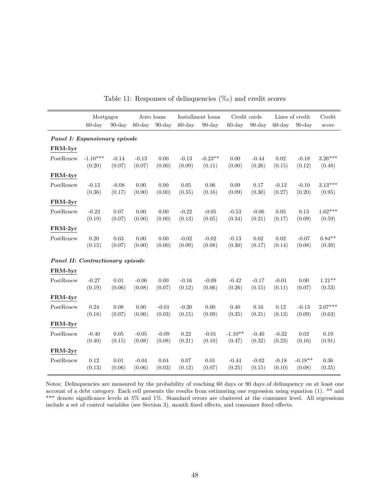<span id="page-49-0"></span>

|                                  | Mortgages  |           |           | Auto loans |           | Installment loans | Credit cards |           |           | Lines of credit | Credit    |
|----------------------------------|------------|-----------|-----------|------------|-----------|-------------------|--------------|-----------|-----------|-----------------|-----------|
|                                  | $60$ -day  | $90$ -day | $60$ -day | $90$ -day  | $60$ -day | $90$ -day         | $60$ -day    | $90$ -day | $60$ -day | $90$ -day       | score     |
| Panel I: Expansionary episode    |            |           |           |            |           |                   |              |           |           |                 |           |
| FRM-5yr                          |            |           |           |            |           |                   |              |           |           |                 |           |
| PostRenew                        | $-1.10***$ | $-0.14$   | $-0.13$   | $0.00\,$   | $-0.13$   | $-0.23**$         | $0.00\,$     | $-0.44$   | $0.02\,$  | $-0.18$         | $3.26***$ |
|                                  | (0.20)     | (0.07)    | (0.07)    | (0.00)     | (0.09)    | (0.11)            | (0.00)       | (0.26)    | (0.15)    | (0.12)          | (0.48)    |
| FRM-4yr                          |            |           |           |            |           |                   |              |           |           |                 |           |
| PostRenew                        | $-0.13$    | $-0.08$   | 0.00      | 0.00       | 0.05      | 0.06              | 0.09         | 0.17      | $-0.12$   | $-0.10$         | $3.13***$ |
|                                  | (0.36)     | (0.17)    | (0.00)    | (0.00)     | (0.55)    | (0.16)            | (0.09)       | (0.30)    | (0.27)    | (0.20)          | (0.95)    |
| FRM-3yr                          |            |           |           |            |           |                   |              |           |           |                 |           |
| PostRenew                        | $-0.23$    | 0.07      | 0.00      | $0.00\,$   | $-0.22$   | $-0.05$           | $-0.53$      | $-0.06$   | $0.05\,$  | 0.13            | $1.62***$ |
|                                  | (0.19)     | (0.07)    | (0.00)    | (0.00)     | (0.13)    | (0.05)            | (0.34)       | (0.21)    | (0.17)    | (0.09)          | (0.59)    |
| FRM-2yr                          |            |           |           |            |           |                   |              |           |           |                 |           |
| PostRenew                        | 0.20       | $0.03\,$  | 0.00      | 0.00       | $-0.02$   | $-0.02$           | $-0.13$      | 0.02      | $0.02\,$  | $-0.07$         | $0.84**$  |
|                                  | (0.15)     | (0.07)    | (0.00)    | (0.00)     | (0.09)    | (0.08)            | (0.30)       | (0.17)    | (0.14)    | (0.08)          | (0.39)    |
| Panel II: Contractionary episode |            |           |           |            |           |                   |              |           |           |                 |           |
| FRM-5yr                          |            |           |           |            |           |                   |              |           |           |                 |           |
| PostRenew                        | $-0.27$    | 0.01      | $-0.06$   | 0.00       | $-0.16$   | $-0.09$           | $-0.42$      | $-0.17$   | $-0.01$   | 0.00            | $1.21**$  |
|                                  | (0.19)     | (0.06)    | (0.08)    | (0.07)     | (0.12)    | (0.06)            | (0.26)       | (0.15)    | (0.11)    | (0.07)          | (0.53)    |
| FRM-4yr                          |            |           |           |            |           |                   |              |           |           |                 |           |
| PostRenew                        | 0.24       | 0.08      | 0.00      | $-0.01$    | $-0.20$   | 0.00              | 0.40         | 0.16      | 0.12      | $-0.13$         | $2.07***$ |
|                                  | (0.18)     | (0.07)    | (0.06)    | (0.03)     | (0.15)    | (0.09)            | (0.35)       | (0.21)    | (0.13)    | (0.09)          | (0.63)    |
| FRM-3yr                          |            |           |           |            |           |                   |              |           |           |                 |           |
| PostRenew                        | $-0.40$    | 0.05      | $-0.05$   | $-0.09$    | 0.22      | $-0.01$           | $-1.10**$    | $-0.40$   | $-0.32$   | 0.02            | 0.19      |
|                                  | (0.40)     | (0.15)    | (0.08)    | (0.08)     | (0.21)    | (0.10)            | (0.47)       | (0.32)    | (0.23)    | (0.16)          | (0.91)    |
| FRM-2yr                          |            |           |           |            |           |                   |              |           |           |                 |           |
| PostRenew                        | 0.12       | 0.01      | $-0.04$   | 0.04       | 0.07      | 0.01              | $-0.44$      | $-0.02$   | $-0.18$   | $-0.18**$       | $0.36\,$  |
|                                  | (0.13)     | (0.06)    | (0.06)    | (0.03)     | (0.12)    | (0.07)            | (0.25)       | (0.15)    | (0.10)    | (0.08)          | (0.35)    |

Table 11: Responses of delinquencies  $(\%_0)$  and credit scores

Notes: Delinquencies are measured by the probability of reaching 60 days or 90 days of delinquency on at least one account of a debt category. Each cell presents the results from estimating one regression using equation [\(1\)](#page-12-0). \*\* and \*\*\* denote significance levels at 5% and 1%. Standard errors are clustered at the consumer level. All regressions include a set of control variables (see Section 3), month fixed effects, and consumer fixed effects.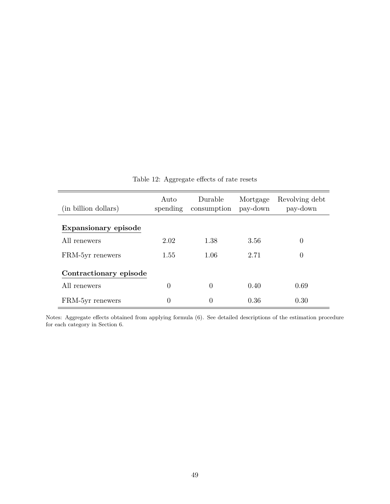<span id="page-50-0"></span>

| (in billion dollars)   | Auto<br>spending | Durable<br>consumption | Mortgage<br>pay-down | Revolving debt<br>pay-down |
|------------------------|------------------|------------------------|----------------------|----------------------------|
| Expansionary episode   |                  |                        |                      |                            |
| All renewers           | 2.02             | 1.38                   | 3.56                 | 0                          |
| FRM-5yr renewers       | 1.55             | 1.06                   | 2.71                 | 0                          |
| Contractionary episode |                  |                        |                      |                            |
| All renewers           | $\theta$         | $\Omega$               | 0.40                 | 0.69                       |
| FRM-5yr renewers       | $\theta$         | $\Omega$               | 0.36                 | 0.30                       |

Table 12: Aggregate effects of rate resets

Notes: Aggregate effects obtained from applying formula [\(6\)](#page-26-0). See detailed descriptions of the estimation procedure for each category in Section 6.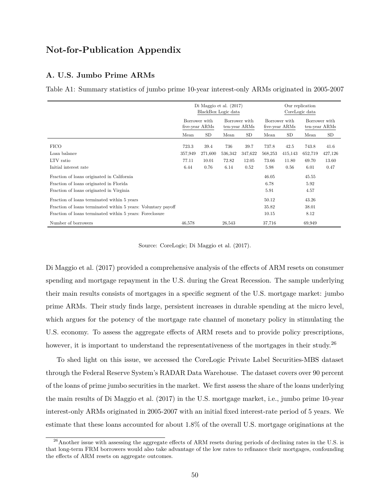# **Not-for-Publication Appendix**

# **A. U.S. Jumbo Prime ARMs**

Table A1: Summary statistics of jumbo prime 10-year interest-only ARMs originated in 2005-2007

<span id="page-51-0"></span>

|                                                               |         | Di Maggio et al. $(2017)$<br>BlackBox Logic data |         |                                | Our replication<br>CoreLogic data |         |               |               |
|---------------------------------------------------------------|---------|--------------------------------------------------|---------|--------------------------------|-----------------------------------|---------|---------------|---------------|
|                                                               |         | Borrower with<br>five-year ARMs                  |         | Borrower with<br>ten-year ARMs | Borrower with<br>five-year ARMs   |         | Borrower with | ten-year ARMs |
|                                                               | Mean    | <b>SD</b>                                        | Mean    | SD                             | Mean                              | SD      | Mean          | SD            |
| <b>FICO</b>                                                   | 723.3   | 39.4                                             | 736     | 39.7                           | 737.8                             | 42.5    | 743.8         | 41.6          |
| Loan balance                                                  | 357,949 | 271,600                                          | 536,342 | 347,622                        | 568,253                           | 415,143 | 652,719       | 427,126       |
| LTV ratio                                                     | 77.11   | 10.01                                            | 72.82   | 12.05                          | 73.66                             | 11.80   | 69.70         | 13.60         |
| Initial interest rate                                         | 6.44    | 0.76                                             | 6.14    | 0.52                           | 5.98                              | 0.56    | 6.01          | 0.47          |
| Fraction of loans originated in California                    |         |                                                  |         |                                | 46.05                             |         | 45.55         |               |
| Fraction of loans originated in Florida                       |         |                                                  |         |                                | 6.78                              |         | 5.92          |               |
| Fraction of loans originated in Virginia                      |         |                                                  |         |                                | 5.91                              |         | 4.57          |               |
| Fraction of loans terminated within 5 years                   |         |                                                  |         |                                | 50.12                             |         | 43.26         |               |
| Fraction of loans terminated within 5 years: Voluntary payoff |         |                                                  |         |                                | 35.82                             |         | 38.01         |               |
| Fraction of loans terminated within 5 years: Foreclosure      |         |                                                  |         |                                | 10.15                             |         | 8.12          |               |
| Number of borrowers                                           | 46,578  |                                                  | 26,543  |                                | 37,716                            |         | 69,949        |               |

Source: CoreLogic; [Di Maggio et al.](#page-34-0) [\(2017\)](#page-34-0).

[Di Maggio et al.](#page-34-0) [\(2017\)](#page-34-0) provided a comprehensive analysis of the effects of ARM resets on consumer spending and mortgage repayment in the U.S. during the Great Recession. The sample underlying their main results consists of mortgages in a specific segment of the U.S. mortgage market: jumbo prime ARMs. Their study finds large, persistent increases in durable spending at the micro level, which argues for the potency of the mortgage rate channel of monetary policy in stimulating the U.S. economy. To assess the aggregate effects of ARM resets and to provide policy prescriptions, however, it is important to understand the representativeness of the mortgages in their study.<sup>26</sup>

To shed light on this issue, we accessed the CoreLogic Private Label Securities-MBS dataset through the Federal Reserve System's RADAR Data Warehouse. The dataset covers over 90 percent of the loans of prime jumbo securities in the market. We first assess the share of the loans underlying the main results of [Di Maggio et al.](#page-34-0) [\(2017\)](#page-34-0) in the U.S. mortgage market, i.e., jumbo prime 10-year interest-only ARMs originated in 2005-2007 with an initial fixed interest-rate period of 5 years. We estimate that these loans accounted for about 1.8% of the overall U.S. mortgage originations at the

 $^{26}$ Another issue with assessing the aggregate effects of ARM resets during periods of declining rates in the U.S. is that long-term FRM borrowers would also take advantage of the low rates to refinance their mortgages, confounding the effects of ARM resets on aggregate outcomes.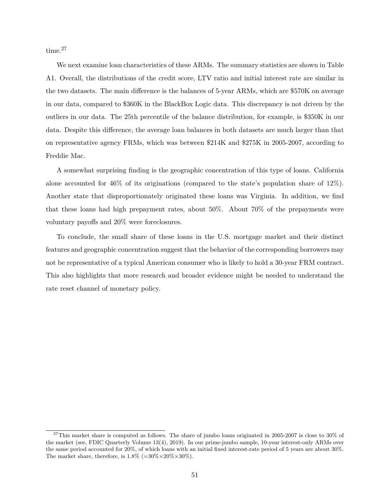time.<sup>27</sup>

We next examine loan characteristics of these ARMs. The summary statistics are shown in Table [A1.](#page-51-0) Overall, the distributions of the credit score, LTV ratio and initial interest rate are similar in the two datasets. The main difference is the balances of 5-year ARMs, which are \$570K on average in our data, compared to \$360K in the BlackBox Logic data. This discrepancy is not driven by the outliers in our data. The 25th percentile of the balance distribution, for example, is \$350K in our data. Despite this difference, the average loan balances in both datasets are much larger than that on representative agency FRMs, which was between \$214K and \$275K in 2005-2007, according to Freddie Mac.

A somewhat surprising finding is the geographic concentration of this type of loans. California alone accounted for 46% of its originations (compared to the state's population share of 12%). Another state that disproportionately originated these loans was Virginia. In addition, we find that these loans had high prepayment rates, about 50%. About 70% of the prepayments were voluntary payoffs and 20% were foreclosures.

To conclude, the small share of these loans in the U.S. mortgage market and their distinct features and geographic concentration suggest that the behavior of the corresponding borrowers may not be representative of a typical American consumer who is likely to hold a 30-year FRM contract. This also highlights that more research and broader evidence might be needed to understand the rate reset channel of monetary policy.

 $^{27}$ This market share is computed as follows. The share of jumbo loans originated in 2005-2007 is close to 30% of the market (see, FDIC Quarterly Volume 13(4), 2019). In our prime-jumbo sample, 10-year interest-only ARMs over the same period accounted for 20%, of which loans with an initial fixed interest-rate period of 5 years are about 30%. The market share, therefore, is  $1.8\%$  (=30\%  $\times$ 20\%  $\times$ 30\%).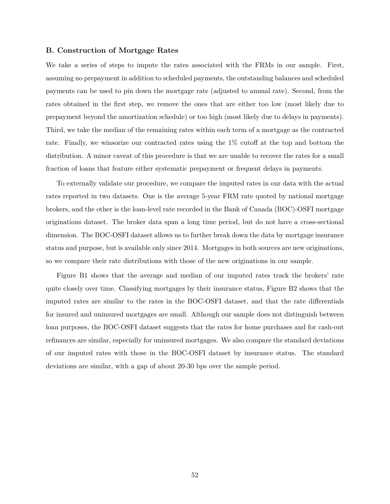# **B. Construction of Mortgage Rates**

We take a series of steps to impute the rates associated with the FRMs in our sample. First, assuming no prepayment in addition to scheduled payments, the outstanding balances and scheduled payments can be used to pin down the mortgage rate (adjusted to annual rate). Second, from the rates obtained in the first step, we remove the ones that are either too low (most likely due to prepayment beyond the amortization schedule) or too high (most likely due to delays in payments). Third, we take the median of the remaining rates within each term of a mortgage as the contracted rate. Finally, we winsorize our contracted rates using the 1% cutoff at the top and bottom the distribution. A minor caveat of this procedure is that we are unable to recover the rates for a small fraction of loans that feature either systematic prepayment or frequent delays in payments.

To externally validate our procedure, we compare the imputed rates in our data with the actual rates reported in two datasets. One is the average 5-year FRM rate quoted by national mortgage brokers, and the other is the loan-level rate recorded in the Bank of Canada (BOC)-OSFI mortgage originations dataset. The broker data span a long time period, but do not have a cross-sectional dimension. The BOC-OSFI dataset allows us to further break down the data by mortgage insurance status and purpose, but is available only since 2014. Mortgages in both sources are new originations, so we compare their rate distributions with those of the new originations in our sample.

Figure [B1](#page-54-0) shows that the average and median of our imputed rates track the brokers' rate quite closely over time. Classifying mortgages by their insurance status, Figure [B2](#page-54-1) shows that the imputed rates are similar to the rates in the BOC-OSFI dataset, and that the rate differentials for insured and uninsured mortgages are small. Although our sample does not distinguish between loan purposes, the BOC-OSFI dataset suggests that the rates for home purchases and for cash-out refinances are similar, especially for uninsured mortgages. We also compare the standard deviations of our imputed rates with those in the BOC-OSFI dataset by insurance status. The standard deviations are similar, with a gap of about 20-30 bps over the sample period.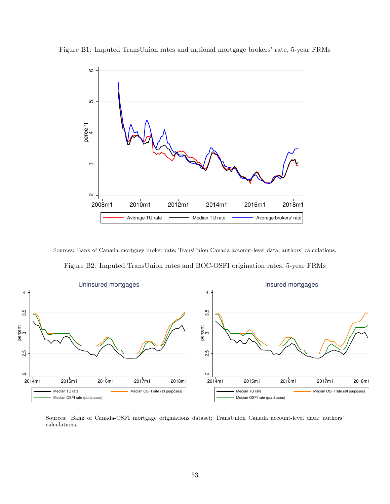

<span id="page-54-0"></span>Figure B1: Imputed TransUnion rates and national mortgage brokers' rate, 5-year FRMs

<span id="page-54-1"></span>Sources: Bank of Canada mortgage broker rate; TransUnion Canada account-level data; authors' calculations. Figure B2: Imputed TransUnion rates and BOC-OSFI origination rates, 5-year FRMs



Sources: Bank of Canada-OSFI mortgage originations dataset; TransUnion Canada account-level data; authors' calculations.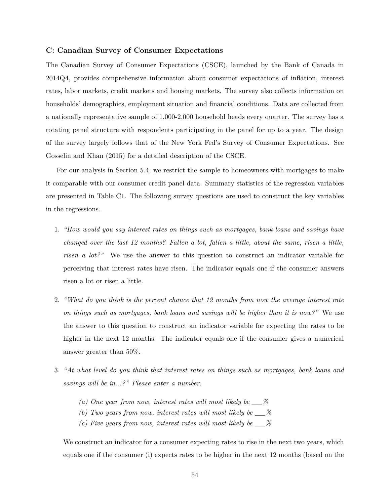# **C: Canadian Survey of Consumer Expectations**

The Canadian Survey of Consumer Expectations (CSCE), launched by the Bank of Canada in 2014Q4, provides comprehensive information about consumer expectations of inflation, interest rates, labor markets, credit markets and housing markets. The survey also collects information on households' demographics, employment situation and financial conditions. Data are collected from a nationally representative sample of 1,000-2,000 household heads every quarter. The survey has a rotating panel structure with respondents participating in the panel for up to a year. The design of the survey largely follows that of the New York Fed's Survey of Consumer Expectations. See [Gosselin and Khan](#page-35-14) [\(2015\)](#page-35-14) for a detailed description of the CSCE.

For our analysis in Section 5.4, we restrict the sample to homeowners with mortgages to make it comparable with our consumer credit panel data. Summary statistics of the regression variables are presented in Table [C1.](#page-57-0) The following survey questions are used to construct the key variables in the regressions.

- 1. *"How would you say interest rates on things such as mortgages, bank loans and savings have changed over the last 12 months? Fallen a lot, fallen a little, about the same, risen a little, risen a lot?"* We use the answer to this question to construct an indicator variable for perceiving that interest rates have risen. The indicator equals one if the consumer answers risen a lot or risen a little.
- 2. *"What do you think is the percent chance that 12 months from now the average interest rate on things such as mortgages, bank loans and savings will be higher than it is now?"* We use the answer to this question to construct an indicator variable for expecting the rates to be higher in the next 12 months. The indicator equals one if the consumer gives a numerical answer greater than 50%.
- 3. *"At what level do you think that interest rates on things such as mortgages, bank loans and savings will be in...?" Please enter a number.*
	- *(a) One year from now, interest rates will most likely be \_\_%*
	- *(b) Two years from now, interest rates will most likely be \_\_%*
	- *(c) Five years from now, interest rates will most likely be \_\_%*

We construct an indicator for a consumer expecting rates to rise in the next two years, which equals one if the consumer (i) expects rates to be higher in the next 12 months (based on the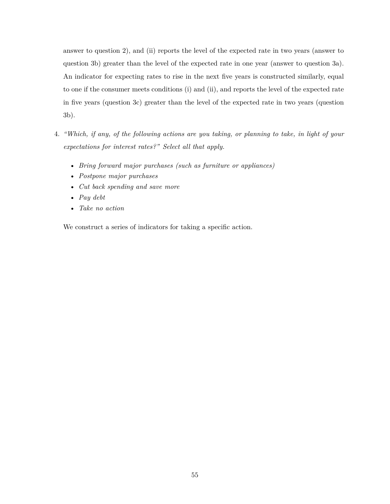answer to question 2), and (ii) reports the level of the expected rate in two years (answer to question 3b) greater than the level of the expected rate in one year (answer to question 3a). An indicator for expecting rates to rise in the next five years is constructed similarly, equal to one if the consumer meets conditions (i) and (ii), and reports the level of the expected rate in five years (question 3c) greater than the level of the expected rate in two years (question 3b).

- 4. *"Which, if any, of the following actions are you taking, or planning to take, in light of your expectations for interest rates?" Select all that apply.*
	- *Bring forward major purchases (such as furniture or appliances)*
	- *Postpone major purchases*
	- *Cut back spending and save more*
	- *Pay debt*
	- *Take no action*

We construct a series of indicators for taking a specific action.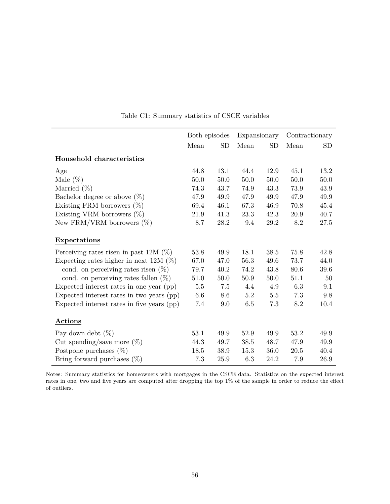<span id="page-57-0"></span>

|                                            | Both episodes |           | Expansionary |           |      | Contractionary |
|--------------------------------------------|---------------|-----------|--------------|-----------|------|----------------|
|                                            | Mean          | <b>SD</b> | Mean         | <b>SD</b> | Mean | <b>SD</b>      |
| Household characteristics                  |               |           |              |           |      |                |
| Age                                        | 44.8          | 13.1      | 44.4         | 12.9      | 45.1 | 13.2           |
| Male $(\%)$                                | 50.0          | 50.0      | 50.0         | 50.0      | 50.0 | 50.0           |
| Married $(\%)$                             | 74.3          | 43.7      | 74.9         | 43.3      | 73.9 | 43.9           |
| Bachelor degree or above $(\%)$            | 47.9          | 49.9      | 47.9         | 49.9      | 47.9 | 49.9           |
| Existing FRM borrowers $(\%)$              | 69.4          | 46.1      | 67.3         | 46.9      | 70.8 | 45.4           |
| Existing VRM borrowers $(\%)$              | 21.9          | 41.3      | 23.3         | 42.3      | 20.9 | 40.7           |
| New FRM/VRM borrowers $(\%)$               | 8.7           | 28.2      | 9.4          | 29.2      | 8.2  | 27.5           |
| Expectations                               |               |           |              |           |      |                |
| Perceiving rates risen in past 12M $(\%)$  | 53.8          | 49.9      | 18.1         | 38.5      | 75.8 | 42.8           |
| Expecting rates higher in next 12M $(\%)$  | 67.0          | 47.0      | 56.3         | 49.6      | 73.7 | 44.0           |
| cond. on perceiving rates risen $(\%)$     | 79.7          | 40.2      | 74.2         | 43.8      | 80.6 | 39.6           |
| cond. on perceiving rates fallen $(\%)$    | 51.0          | 50.0      | $50.9$       | 50.0      | 51.1 | 50             |
| Expected interest rates in one year (pp)   | 5.5           | 7.5       | 4.4          | 4.9       | 6.3  | 9.1            |
| Expected interest rates in two years (pp)  | 6.6           | 8.6       | 5.2          | 5.5       | 7.3  | 9.8            |
| Expected interest rates in five years (pp) | 7.4           | 9.0       | 6.5          | 7.3       | 8.2  | 10.4           |
| <b>Actions</b>                             |               |           |              |           |      |                |
| Pay down debt $(\%)$                       | 53.1          | 49.9      | 52.9         | 49.9      | 53.2 | 49.9           |
| Cut spending/save more $(\%)$              | 44.3          | 49.7      | 38.5         | 48.7      | 47.9 | 49.9           |
| Postpone purchases $(\%)$                  | 18.5          | 38.9      | 15.3         | 36.0      | 20.5 | 40.4           |
| Bring forward purchases $(\%)$             | 7.3           | 25.9      | 6.3          | 24.2      | 7.9  | 26.9           |

Table C1: Summary statistics of CSCE variables

Notes: Summary statistics for homeowners with mortgages in the CSCE data. Statistics on the expected interest rates in one, two and five years are computed after dropping the top 1% of the sample in order to reduce the effect of outliers.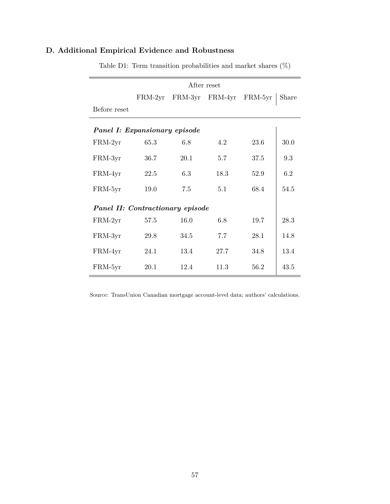|                                  |           |         | After reset |         |       |  |  |  |  |  |  |  |
|----------------------------------|-----------|---------|-------------|---------|-------|--|--|--|--|--|--|--|
|                                  | $FRM-2yr$ | FRM-3yr | FRM-4yr     | FRM-5yr | Share |  |  |  |  |  |  |  |
| Before reset                     |           |         |             |         |       |  |  |  |  |  |  |  |
| Panel I: Expansionary episode    |           |         |             |         |       |  |  |  |  |  |  |  |
| $FRM-2yr$                        | 65.3      | 6.8     | 4.2         | 23.6    | 30.0  |  |  |  |  |  |  |  |
| FRM-3yr                          | 36.7      | 20.1    | 5.7         | 37.5    | 9.3   |  |  |  |  |  |  |  |
| FRM-4yr                          | 22.5      | 6.3     | 18.3        | 52.9    | 6.2   |  |  |  |  |  |  |  |
| FRM-5yr                          | 19.0      | 7.5     | 5.1         | 68.4    | 54.5  |  |  |  |  |  |  |  |
| Panel II: Contractionary episode |           |         |             |         |       |  |  |  |  |  |  |  |
| FRM-2yr                          | 57.5      | 16.0    | 6.8         | 19.7    | 28.3  |  |  |  |  |  |  |  |
| FRM-3yr                          | 29.8      | 34.5    | 7.7         | 28.1    | 14.8  |  |  |  |  |  |  |  |
| FRM-4yr                          | 24.1      | 13.4    | 27.7        | 34.8    | 13.4  |  |  |  |  |  |  |  |
| FRM-5yr                          | 20.1      | 12.4    | 11.3        | 56.2    | 43.5  |  |  |  |  |  |  |  |

# <span id="page-58-0"></span>**D. Additional Empirical Evidence and Robustness**

Table D1: Term transition probabilities and market shares  $(\%)$ 

Source: TransUnion Canadian mortgage account-level data; authors' calculations.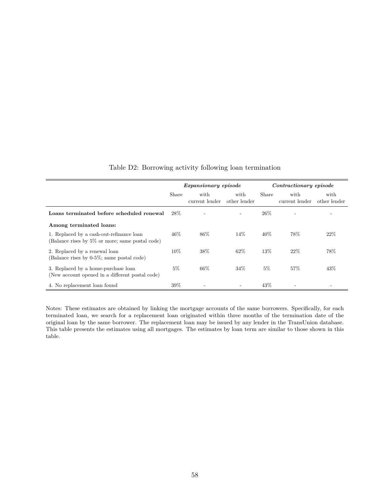<span id="page-59-0"></span>

|                                                                                              |       | Expansionary episode   |                      |        | Contractionary episode |                      |
|----------------------------------------------------------------------------------------------|-------|------------------------|----------------------|--------|------------------------|----------------------|
|                                                                                              | Share | with<br>current lender | with<br>other lender | Share  | with<br>current lender | with<br>other lender |
| Loans terminated before scheduled renewal                                                    | 28\%  |                        |                      | 26\%   |                        |                      |
| Among terminated loans:                                                                      |       |                        |                      |        |                        |                      |
| 1. Replaced by a cash-out-refinance loan<br>(Balance rises by 5\% or more; same postal code) | 46\%  | 86%                    | 14%                  | $40\%$ | 78%                    | 22%                  |
| 2. Replaced by a renewal loan<br>(Balance rises by $0-5\%$ ; same postal code)               | 10%   | 38%                    | 62%                  | 13%    | 22%                    | 78%                  |
| 3. Replaced by a home-purchase loan<br>(New account opened in a different postal code)       | $5\%$ | 66%                    | 34%                  | $5\%$  | 57%                    | 43%                  |
| 4. No replacement loan found                                                                 | 39%   | ۰                      |                      | 43%    |                        |                      |

# Table D2: Borrowing activity following loan termination

Notes: These estimates are obtained by linking the mortgage accounts of the same borrowers. Specifically, for each terminated loan, we search for a replacement loan originated within three months of the termination date of the original loan by the same borrower. The replacement loan may be issued by any lender in the TransUnion database. This table presents the estimates using all mortgages. The estimates by loan term are similar to those shown in this table.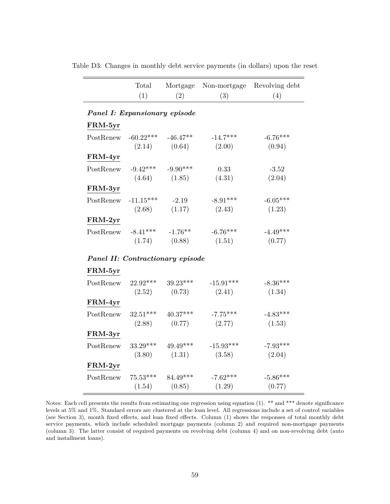|                                  | Total<br>(1) | Mortgage<br>(2) | Non-mortgage<br>(3) | Revolving debt<br>(4) |
|----------------------------------|--------------|-----------------|---------------------|-----------------------|
|                                  |              |                 |                     |                       |
| Panel I: Expansionary episode    |              |                 |                     |                       |
| FRM-5yr                          |              |                 |                     |                       |
| PostRenew                        | $-60.22***$  | $-46.47**$      | $-14.7***$          | $-6.76***$            |
|                                  | (2.14)       | (0.64)          | (2.00)              | (0.94)                |
| FRM-4yr                          |              |                 |                     |                       |
| PostRenew                        | $-9.42***$   | $-9.90***$      | 0.33                | $-3.52$               |
|                                  | (4.64)       | (1.85)          | (4.31)              | (2.04)                |
| $\text{FRM-3}\text{yr}$          |              |                 |                     |                       |
| PostRenew                        | $-11.15***$  | $-2.19$         | $-8.91***$          | $-6.05***$            |
|                                  | (2.68)       | (1.17)          | (2.43)              | (1.23)                |
| FRM-2yr                          |              |                 |                     |                       |
| PostRenew                        | $-8.41***$   | $-1.76**$       | $-6.76***$          | $-4.49***$            |
|                                  | (1.74)       | (0.88)          | (1.51)              | (0.77)                |
| Panel II: Contractionary episode |              |                 |                     |                       |
| FRM-5yr                          |              |                 |                     |                       |
| PostRenew                        | $22.92***$   | $39.23***$      | $-15.91***$         | $-8.36***$            |
|                                  | (2.52)       | (0.73)          | (2.41)              | (1.34)                |
| FRM-4yr                          |              |                 |                     |                       |
| PostRenew                        | $32.51***$   | $40.37***$      | $-7.75***$          | $-4.83***$            |
|                                  | (2.88)       | (0.77)          | (2.77)              | (1.53)                |
| FRM-3yr                          |              |                 |                     |                       |
| PostRenew                        | $33.29***$   | $49.49***$      | $-15.93***$         | $-7.93***$            |
|                                  | (3.80)       | (1.31)          | (3.58)              | (2.04)                |
| FRM-2yr                          |              |                 |                     |                       |
| PostRenew                        | $75.53***$   | 84.49***        | $-7.62***$          | $-5.86***$            |
|                                  | (1.54)       | (0.85)          | (1.29)              | (0.77)                |

<span id="page-60-0"></span>Table D3: Changes in monthly debt service payments (in dollars) upon the reset

Notes: Each cell presents the results from estimating one regression using equation [\(1\)](#page-12-0). \*\* and \*\*\* denote significance levels at 5% and 1%. Standard errors are clustered at the loan level. All regressions include a set of control variables (see Section 3), month fixed effects, and loan fixed effects. Column (1) shows the responses of total monthly debt service payments, which include scheduled mortgage payments (column 2) and required non-mortgage payments (column 3). The latter consist of required payments on revolving debt (column 4) and on non-revolving debt (auto and installment loans).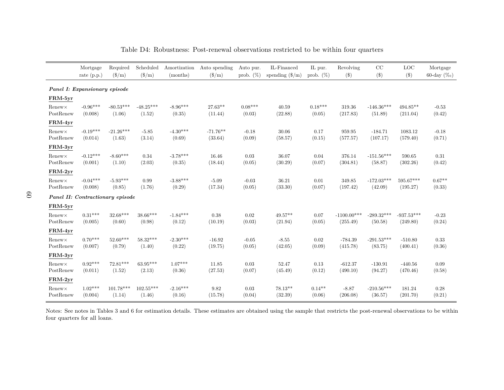|                                  | Mortgage<br>rate $(p.p.)$ | Required<br>$(\frac{\text{S}}{\text{m}})$ | Scheduled<br>$(\$/m)$      | Amortization<br>(months) | Auto spending<br>$(\$/m)$ | Auto pur.<br>prob. $(\%)$ | IL-Financed<br>spending $(\frac{8}{m})$ | IL pur.<br>prob. $(\%)$ | Revolving<br>$(\$\)$      | CC<br>$(\$)$                                  | <b>LOC</b><br>$(\$\)$    | Mortgage<br>60-day $(\%_0)$ |
|----------------------------------|---------------------------|-------------------------------------------|----------------------------|--------------------------|---------------------------|---------------------------|-----------------------------------------|-------------------------|---------------------------|-----------------------------------------------|--------------------------|-----------------------------|
| Panel I: Expansionary episode    |                           |                                           |                            |                          |                           |                           |                                         |                         |                           |                                               |                          |                             |
| FRM-5yr                          |                           |                                           |                            |                          |                           |                           |                                         |                         |                           |                                               |                          |                             |
| $Renew \times$<br>PostRenew      | $-0.96***$<br>(0.008)     | $-80.53***$<br>(1.06)                     | $-48.25***$<br>(1.52)      | $-8.96***$<br>(0.35)     | $27.63**$<br>(11.44)      | $0.08***$<br>(0.03)       | 40.59<br>(22.88)                        | $0.18***$<br>(0.05)     | 319.36<br>(217.83)        | $-146.36***$<br>(51.89)                       | $494.85**$<br>(211.04)   | $-0.53$<br>(0.42)           |
| FRM-4yr                          |                           |                                           |                            |                          |                           |                           |                                         |                         |                           |                                               |                          |                             |
| $Renew \times$<br>PostRenew      | $-0.19***$<br>(0.014)     | $-21.26***$<br>(1.63)                     | $-5.85$<br>(3.14)          | $-4.30***$<br>(0.69)     | $-71.76**$<br>(33.64)     | $-0.18$<br>(0.09)         | 30.06<br>(58.57)                        | 0.17<br>(0.15)          | 959.95<br>(577.57)        | $-184.71$<br>(107.17)                         | 1083.12<br>(579.40)      | $-0.18$<br>(0.71)           |
| FRM-3yr                          |                           |                                           |                            |                          |                           |                           |                                         |                         |                           |                                               |                          |                             |
| $Renew \times$<br>PostRenew      | $-0.12***$<br>(0.001)     | $-8.60***$<br>(1.10)                      | 0.34<br>(2.03)             | $-3.78***$<br>(0.35)     | 16.46<br>(18.44)          | 0.03<br>(0.05)            | 36.07<br>(30.29)                        | 0.04<br>(0.07)          | 376.14<br>(304.81)        | $\textbf{ -151.56}^{\textbf{***}}$<br>(58.87) | 590.65<br>(302.26)       | $0.31\,$<br>(0.42)          |
| FRM-2yr                          |                           |                                           |                            |                          |                           |                           |                                         |                         |                           |                                               |                          |                             |
| $Renew \times$<br>PostRenew      | $-0.04***$<br>(0.008)     | $-5.93***$<br>(0.85)                      | 0.99<br>(1.76)             | $-3.88***$<br>(0.29)     | $-5.09$<br>(17.34)        | $-0.03$<br>(0.05)         | 36.21<br>(33.30)                        | 0.01<br>(0.07)          | 349.85<br>(197.42)        | $-172.03***$<br>(42.09)                       | 595.67***<br>(195.27)    | $0.67**$<br>(0.33)          |
| Panel II: Contractionary episode |                           |                                           |                            |                          |                           |                           |                                         |                         |                           |                                               |                          |                             |
| FRM-5yr                          |                           |                                           |                            |                          |                           |                           |                                         |                         |                           |                                               |                          |                             |
| $Renew \times$<br>PostRenew      | $0.31***$<br>(0.005)      | $32.68***$<br>(0.60)                      | $38.66***$<br>(0.98)       | $-1.84***$<br>(0.12)     | 0.38<br>(10.19)           | 0.02<br>(0.03)            | $49.57**$<br>(21.94)                    | 0.07<br>(0.05)          | $-1100.00***$<br>(255.49) | $-289.32***$<br>(50.58)                       | $-937.53***$<br>(249.80) | $-0.23$<br>(0.24)           |
| FRM-4yr                          |                           |                                           |                            |                          |                           |                           |                                         |                         |                           |                                               |                          |                             |
| $Renew \times$<br>PostRenew      | $0.70***$<br>(0.007)      | $52.60***$<br>(0.79)                      | $58.32***$<br>(1.40)       | $-2.30***$<br>(0.22)     | $-16.92$<br>(19.75)       | $-0.05$<br>(0.05)         | $-8.55$<br>(42.05)                      | 0.02<br>(0.09)          | $-784.39$<br>(415.78)     | $-291.53***$<br>(83.75)                       | $-510.80$<br>(400.41)    | 0.33<br>(0.36)              |
| ${\rm FRM}\text{-}3{\rm yr}$     |                           |                                           |                            |                          |                           |                           |                                         |                         |                           |                                               |                          |                             |
| $Renew \times$<br>PostRenew      | $0.92***$<br>(0.011)      | $72.81***$<br>(1.52)                      | $63.95***$<br>(2.13)       | $1.07***$<br>(0.36)      | 11.85<br>(27.53)          | 0.03<br>(0.07)            | 52.47<br>(45.49)                        | 0.13<br>(0.12)          | $-612.37$<br>(490.10)     | $-130.91$<br>(94.27)                          | $-440.56$<br>(470.46)    | 0.09<br>(0.58)              |
| ${\rm FRM}\text{-}2{\rm yr}$     |                           |                                           |                            |                          |                           |                           |                                         |                         |                           |                                               |                          |                             |
| $Renew \times$<br>PostRenew      | $1.02***$<br>(0.004)      | $101.78***$<br>(1.14)                     | $102.55^{***}\,$<br>(1.46) | $-2.16***$<br>(0.16)     | 9.82<br>(15.78)           | 0.03<br>(0.04)            | 78.13**<br>(32.39)                      | $0.14**$<br>(0.06)      | $-8.87$<br>(206.08)       | $-210.56***$<br>(36.57)                       | 181.24<br>(201.70)       | 0.28<br>(0.21)              |

Table D4: Robustness: Post-renewal observations restricted to be within four quarters

<span id="page-61-0"></span>Notes: See notes in Tables [3](#page-43-1) and [6](#page-45-1) for estimation details. These estimates are obtained using the sample that restricts the post-renewal observations to be withinfour quarters for all loans.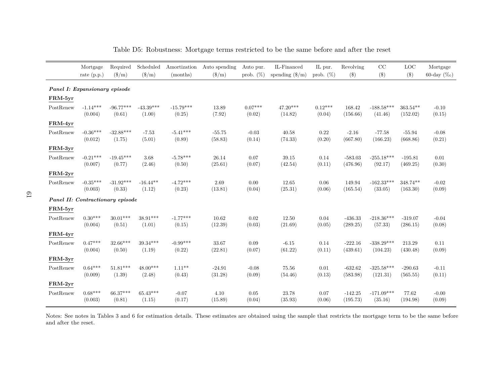|           | Mortgage<br>rate $(p.p.)$        | Required<br>$(\$/m)$             | Scheduled<br>$(\$/m)$ | Amortization<br>(months) | Auto spending<br>$(\frac{\text{S}}{\text{m}})$ | Auto pur.<br>prob. $(\%)$ | IL-Financed<br>spending $(\frac{6}{m})$ | IL pur.<br>prob. $(\%)$ | Revolving<br>(3) | CC<br>$($ \$ | LOC<br>$(\$)$ | Mortgage<br>60-day $(\%_0)$ |
|-----------|----------------------------------|----------------------------------|-----------------------|--------------------------|------------------------------------------------|---------------------------|-----------------------------------------|-------------------------|------------------|--------------|---------------|-----------------------------|
|           | Panel I: Expansionary episode    |                                  |                       |                          |                                                |                           |                                         |                         |                  |              |               |                             |
| FRM-5yr   |                                  |                                  |                       |                          |                                                |                           |                                         |                         |                  |              |               |                             |
| PostRenew | $-1.14***$                       | $-96.77***$                      | $-43.39***$           | $-15.79***$              | 13.89                                          | $0.07***$                 | $47.20***$                              | $0.12***$               | 168.42           | $-188.58***$ | $363.54**$    | $-0.10$                     |
|           | (0.004)                          | (0.61)                           | (1.00)                | (0.25)                   | (7.92)                                         | (0.02)                    | (14.82)                                 | (0.04)                  | (156.66)         | (41.46)      | (152.02)      | (0.15)                      |
| FRM-4yr   |                                  |                                  |                       |                          |                                                |                           |                                         |                         |                  |              |               |                             |
| PostRenew | $-0.36***$                       | $-32.88***$                      | $-7.53$               | $-5.41***$               | $-55.75$                                       | $-0.03$                   | 40.58                                   | 0.22                    | $-2.16$          | $-77.58$     | $-55.94$      | $-0.08$                     |
|           | (0.012)                          | (1.75)                           | (5.01)                | (0.89)                   | (58.83)                                        | (0.14)                    | (74.33)                                 | (0.20)                  | (667.80)         | (166.23)     | (668.86)      | (0.21)                      |
| FRM-3yr   |                                  |                                  |                       |                          |                                                |                           |                                         |                         |                  |              |               |                             |
| PostRenew | $-0.21***$                       | $\textbf{-19.45}^{\textbf{***}}$ | 3.68                  | $-5.78***$               | 26.14                                          | 0.07                      | 39.15                                   | 0.14                    | $-583.03$        | $-255.18***$ | $-195.81$     | 0.01                        |
|           | (0.007)                          | (0.77)                           | (2.46)                | (0.50)                   | (25.61)                                        | (0.07)                    | (42.54)                                 | (0.11)                  | (476.96)         | (92.17)      | (469.25)      | (0.30)                      |
| FRM-2yr   |                                  |                                  |                       |                          |                                                |                           |                                         |                         |                  |              |               |                             |
| PostRenew | $-0.35***$                       | $-31.92***$                      | $-16.44**$            | $-4.72***$               | 2.69                                           | 0.00                      | 12.65                                   | 0.06                    | 149.94           | $-162.33***$ | 348.74**      | $-0.02$                     |
|           | (0.003)                          | (0.33)                           | (1.12)                | (0.23)                   | (13.81)                                        | (0.04)                    | (25.31)                                 | (0.06)                  | (165.54)         | (33.05)      | (163.30)      | (0.09)                      |
|           | Panel II: Contractionary episode |                                  |                       |                          |                                                |                           |                                         |                         |                  |              |               |                             |
| FRM-5yr   |                                  |                                  |                       |                          |                                                |                           |                                         |                         |                  |              |               |                             |
| PostRenew | $0.30***$                        | $30.01***$                       | $38.91***$            | $-1.77***$               | 10.62                                          | 0.02                      | 12.50                                   | 0.04                    | $-436.33$        | $-218.36***$ | $-319.07$     | $-0.04$                     |
|           | (0.004)                          | (0.51)                           | (1.01)                | (0.15)                   | (12.39)                                        | (0.03)                    | (21.69)                                 | (0.05)                  | (289.25)         | (57.33)      | (286.15)      | (0.08)                      |
| FRM-4yr   |                                  |                                  |                       |                          |                                                |                           |                                         |                         |                  |              |               |                             |
| PostRenew | $0.47***$                        | $32.66***$                       | $39.34***$            | $-0.99***$               | 33.67                                          | 0.09                      | $-6.15$                                 | 0.14                    | $-222.16$        | $-338.29***$ | 213.29        | 0.11                        |
|           | (0.004)                          | (0.50)                           | (1.19)                | (0.22)                   | (22.81)                                        | (0.07)                    | (61.22)                                 | (0.11)                  | (439.61)         | (104.23)     | (430.48)      | (0.09)                      |
| FRM-3yr   |                                  |                                  |                       |                          |                                                |                           |                                         |                         |                  |              |               |                             |
| PostRenew | $0.64***$                        | $51.81***$                       | $48.00***$            | $1.11***$                | $-24.91$                                       | $-0.08$                   | 75.56                                   | 0.01                    | $-632.62$        | $-325.58***$ | $-290.63$     | $-0.11$                     |
|           | (0.009)                          | (1.39)                           | (2.48)                | (0.43)                   | (31.28)                                        | (0.09)                    | (54.46)                                 | (0.13)                  | (583.98)         | (121.31)     | (565.55)      | (0.11)                      |
| FRM-2yr   |                                  |                                  |                       |                          |                                                |                           |                                         |                         |                  |              |               |                             |
| PostRenew | $0.68***$                        | 66.37***                         | $65.43***$            | $-0.07$                  | 4.10                                           | 0.05                      | 23.78                                   | 0.07                    | $-142.25$        | $-171.09***$ | 77.62         | $-0.00$                     |
|           | (0.003)                          | (0.81)                           | (1.15)                | (0.17)                   | (15.89)                                        | (0.04)                    | (35.93)                                 | (0.06)                  | (195.73)         | (35.16)      | (194.98)      | (0.09)                      |

Table D5: Robustness: Mortgage terms restricted to be the same before and after the reset

<span id="page-62-0"></span>Notes: See notes in Tables [3](#page-43-1) and [6](#page-45-1) for estimation details. These estimates are obtained using the sample that restricts the mortgage term to be the same beforeand after the reset.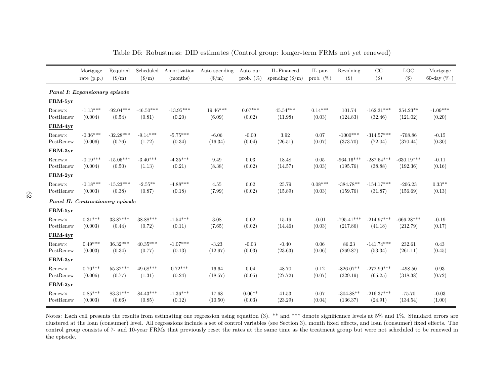|                             | Mortgage                         | Required              | Scheduled                     | Amortization          | Auto spending                 | Auto pur.           | IL-Financed              | IL pur.             | Revolving                | CC                      | <b>LOC</b>               | Mortgage             |
|-----------------------------|----------------------------------|-----------------------|-------------------------------|-----------------------|-------------------------------|---------------------|--------------------------|---------------------|--------------------------|-------------------------|--------------------------|----------------------|
|                             | rate $(p.p.)$                    | $(\$/m)$              | $(\frac{\text{S}}{\text{m}})$ | (months)              | $(\frac{\text{S}}{\text{m}})$ | prob. $(\%)$        | spending $(\frac{6}{m})$ | prob. $(\%)$        | (3)                      | $(\$\)$                 | $(\$)$                   | 60-day $(\%_0)$      |
|                             | Panel I: Expansionary episode    |                       |                               |                       |                               |                     |                          |                     |                          |                         |                          |                      |
| FRM-5yr                     |                                  |                       |                               |                       |                               |                     |                          |                     |                          |                         |                          |                      |
| $Renew \times$<br>PostRenew | $-1.13***$<br>(0.004)            | $-92.04***$<br>(0.54) | $-46.50***$<br>(0.81)         | $-13.95***$<br>(0.20) | $19.46***$<br>(6.09)          | $0.07***$<br>(0.02) | $45.54***$<br>(11.98)    | $0.14***$<br>(0.03) | 101.74<br>(124.83)       | $-162.31***$<br>(32.46) | 254.23**<br>(121.02)     | $-1.09***$<br>(0.20) |
| FRM-4yr                     |                                  |                       |                               |                       |                               |                     |                          |                     |                          |                         |                          |                      |
| $Renew \times$<br>PostRenew | $-0.36***$<br>(0.006)            | $-32.28***$<br>(0.76) | $-9.14***$<br>(1.72)          | $-5.75***$<br>(0.34)  | $-6.06$<br>(16.34)            | $-0.00$<br>(0.04)   | 3.92<br>(26.51)          | 0.07<br>(0.07)      | $-1000***$<br>(373.70)   | $-314.57***$<br>(72.04) | $-708.86$<br>(370.44)    | $-0.15$<br>(0.30)    |
| FRM-3yr                     |                                  |                       |                               |                       |                               |                     |                          |                     |                          |                         |                          |                      |
| $Renew \times$<br>PostRenew | $-0.19***$<br>(0.004)            | $-15.05***$<br>(0.50) | $-3.40***$<br>(1.13)          | $-4.35***$<br>(0.21)  | 9.49<br>(8.38)                | 0.03<br>(0.02)      | 18.48<br>(14.57)         | 0.05<br>(0.03)      | $-964.16***$<br>(195.76) | $-287.54***$<br>(38.88) | $-630.19***$<br>(192.36) | $-0.11$<br>(0.16)    |
| FRM-2yr                     |                                  |                       |                               |                       |                               |                     |                          |                     |                          |                         |                          |                      |
| $Renew \times$<br>PostRenew | $-0.18***$<br>(0.003)            | $-15.23***$<br>(0.38) | $-2.55***$<br>(0.87)          | $-4.88***$<br>(0.18)  | 4.55<br>(7.99)                | 0.02<br>(0.02)      | 25.79<br>(15.89)         | $0.08***$<br>(0.03) | $-384.78**$<br>(159.76)  | $-154.17***$<br>(31.87) | $-206.23$<br>(156.69)    | $0.33**$<br>(0.13)   |
|                             | Panel II: Contractionary episode |                       |                               |                       |                               |                     |                          |                     |                          |                         |                          |                      |
| FRM-5yr                     |                                  |                       |                               |                       |                               |                     |                          |                     |                          |                         |                          |                      |
| $Renew \times$<br>PostRenew | $0.31***$<br>(0.003)             | $33.87***$<br>(0.44)  | 38.88***<br>(0.72)            | $-1.54***$<br>(0.11)  | 3.08<br>(7.65)                | 0.02<br>(0.02)      | 15.19<br>(14.46)         | $-0.01$<br>(0.03)   | $-795.41***$<br>(217.86) | $-214.97***$<br>(41.18) | $-666.28***$<br>(212.79) | $-0.19$<br>(0.17)    |
| FRM-4yr                     |                                  |                       |                               |                       |                               |                     |                          |                     |                          |                         |                          |                      |
| $Renew \times$<br>PostRenew | $0.49***$<br>(0.003)             | $36.32***$<br>(0.34)  | $40.35***$<br>(0.77)          | $-1.07***$<br>(0.13)  | $-3.23$<br>(12.97)            | $-0.03$<br>(0.03)   | $-0.40$<br>(23.63)       | 0.06<br>(0.06)      | 86.23<br>(269.87)        | $-141.74***$<br>(53.34) | 232.61<br>(261.11)       | 0.43<br>(0.45)       |
| FRM-3yr                     |                                  |                       |                               |                       |                               |                     |                          |                     |                          |                         |                          |                      |
| $Renew \times$<br>PostRenew | $0.70***$<br>(0.006)             | $55.32***$<br>(0.77)  | $49.68***$<br>(1.31)          | $0.72***$<br>(0.24)   | 16.64<br>(18.57)              | 0.04<br>(0.05)      | 48.70<br>(27.72)         | 0.12<br>(0.07)      | $-826.07**$<br>(329.19)  | $-272.99***$<br>(65.25) | $-498.50$<br>(318.38)    | 0.93<br>(0.72)       |
| FRM-2yr                     |                                  |                       |                               |                       |                               |                     |                          |                     |                          |                         |                          |                      |
| $Renew \times$<br>PostRenew | $0.85***$<br>(0.003)             | $83.31***$<br>(0.66)  | $84.43***$<br>(0.85)          | $-1.36***$<br>(0.12)  | 17.68<br>(10.50)              | $0.06**$<br>(0.03)  | 41.53<br>(23.29)         | 0.07<br>(0.04)      | $-304.88**$<br>(136.37)  | $-216.37***$<br>(24.91) | $-75.70$<br>(134.54)     | $-0.03$<br>(1.00)    |

Table D6: Robustness: DID estimates (Control group: longer-term FRMs not yet renewed)

<span id="page-63-0"></span>Notes: Each cell presents the results from estimating one regression using equation [\(3\)](#page-14-0). \*\* and \*\*\* denote significance levels at 5% and 1%. Standard errors are clustered at the loan (consumer) level. All regressions include <sup>a</sup> set of control variables (see Section 3), month fixed effects, and loan (consumer) fixed effects. The control group consists of 7- and 10-year FRMs that previously reset the rates at the same time as the treatment group but were not scheduled to be renewed inthe episode.